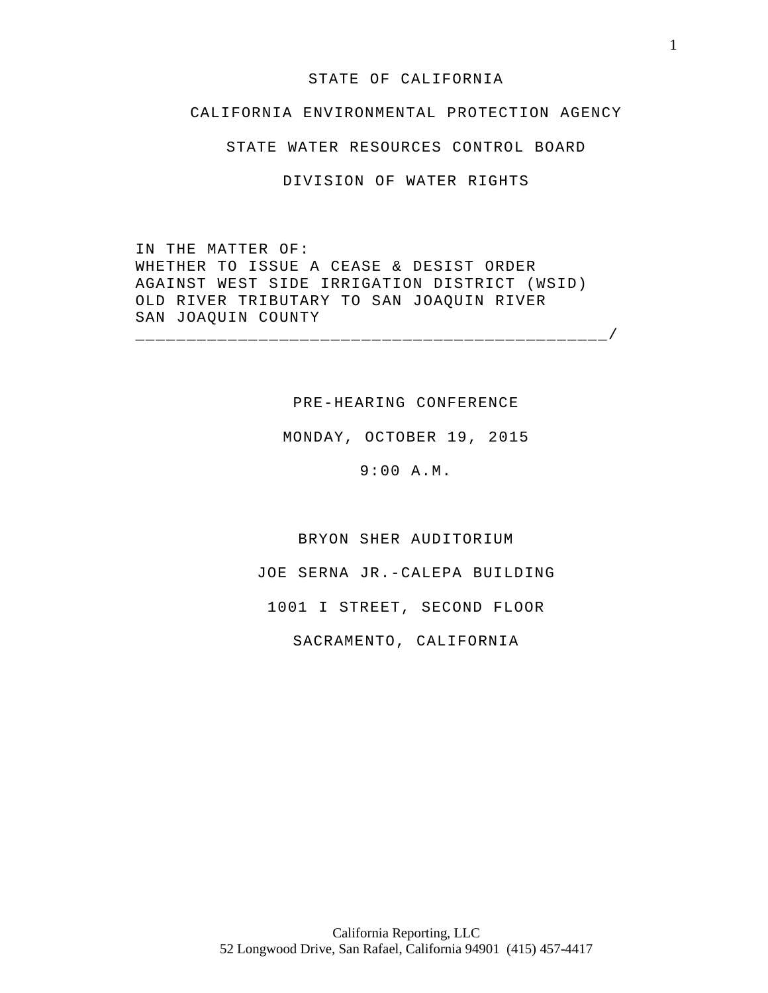### STATE OF CALIFORNIA

# CALIFORNIA ENVIRONMENTAL PROTECTION AGENCY

STATE WATER RESOURCES CONTROL BOARD

DIVISION OF WATER RIGHTS

IN THE MATTER OF: WHETHER TO ISSUE A CEASE & DESIST ORDER AGAINST WEST SIDE IRRIGATION DISTRICT (WSID) OLD RIVER TRIBUTARY TO SAN JOAQUIN RIVER SAN JOAQUIN COUNTY

\_\_\_\_\_\_\_\_\_\_\_\_\_\_\_\_\_\_\_\_\_\_\_\_\_\_\_\_\_\_\_\_\_\_\_\_\_\_\_\_\_\_\_\_\_\_/

# PRE-HEARING CONFERENCE

MONDAY, OCTOBER 19, 2015

9:00 A.M.

BRYON SHER AUDITORIUM

JOE SERNA JR.-CALEPA BUILDING

1001 I STREET, SECOND FLOOR

SACRAMENTO, CALIFORNIA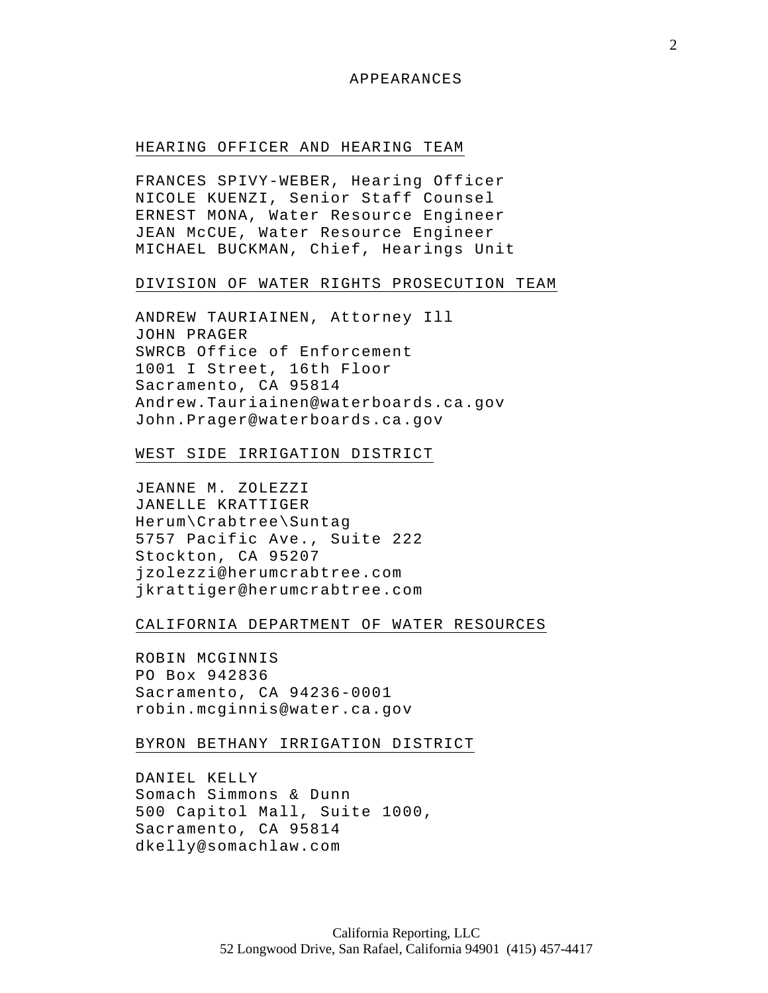### APPEARANCES

### HEARING OFFICER AND HEARING TEAM

FRANCES SPIVY-WEBER, Hearing Officer NICOLE KUENZI, Senior Staff Counsel ERNEST MONA, Water Resource Engineer JEAN McCUE, Water Resource Engineer MICHAEL BUCKMAN, Chief, Hearings Unit

## DIVISION OF WATER RIGHTS PROSECUTION TEAM

ANDREW TAURIAINEN, Attorney Ill JOHN PRAGER SWRCB Office of Enforcement 1001 I Street, 16th Floor Sacramento, CA 95814 Andrew.Tauriainen@waterboards.ca.gov John.Prager@waterboards.ca.gov

## WEST SIDE IRRIGATION DISTRICT

JEANNE M. ZOLEZZI JANELLE KRATTIGER Herum\Crabtree\Suntag 5757 Pacific Ave., Suite 222 Stockton, CA 95207 jzolezzi@herumcrabtree.com jkrattiger@herumcrabtree.com

## CALIFORNIA DEPARTMENT OF WATER RESOURCES

ROBIN MCGINNIS PO Box 942836 Sacramento, CA 94236-0001 robin.mcginnis@water.ca.gov

### BYRON BETHANY IRRIGATION DISTRICT

DANIEL KELLY Somach Simmons & Dunn 500 Capitol Mall, Suite 1000, Sacramento, CA 95814 dkelly@somachlaw.com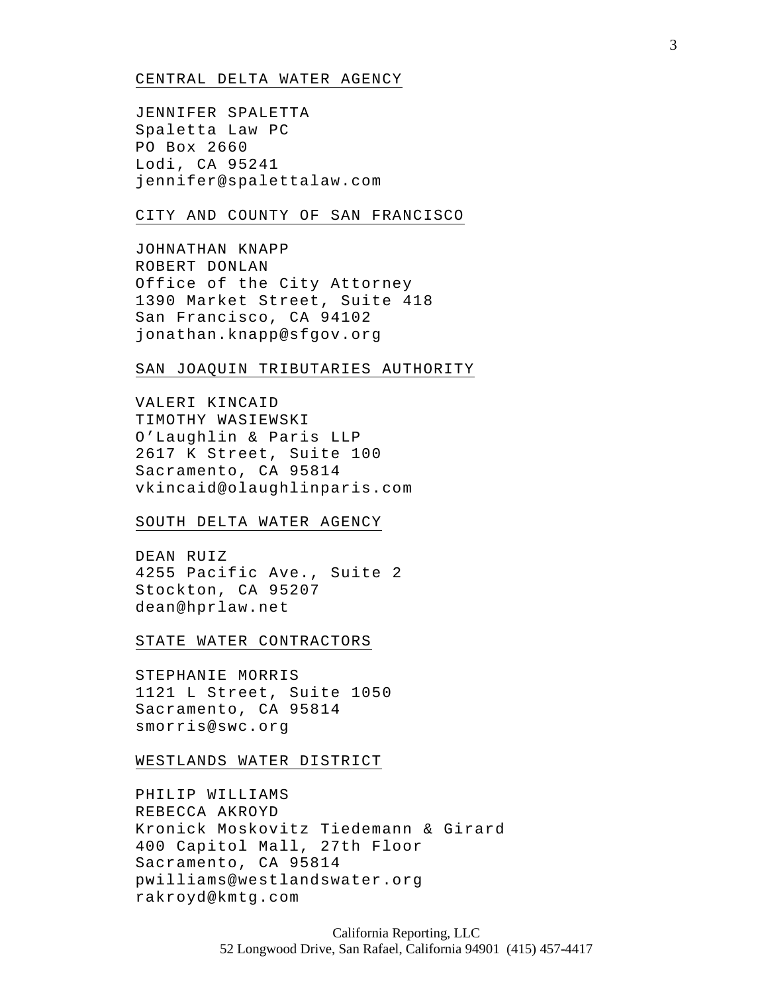### CENTRAL DELTA WATER AGENCY

JENNIFER SPALETTA Spaletta Law PC PO Box 2660 Lodi, CA 95241 jennifer@spalettalaw.com

## CITY AND COUNTY OF SAN FRANCISCO

JOHNATHAN KNAPP ROBERT DONLAN Office of the City Attorney 1390 Market Street, Suite 418 San Francisco, CA 94102 jonathan.knapp@sfgov.org

## SAN JOAQUIN TRIBUTARIES AUTHORITY

VALERI KINCAID TIMOTHY WASIEWSKI O'Laughlin & Paris LLP 2617 K Street, Suite 100 Sacramento, CA 95814 vkincaid@olaughlinparis.com

### SOUTH DELTA WATER AGENCY

DEAN RUIZ 4255 Pacific Ave., Suite 2 Stockton, CA 95207 dean@hprlaw.net

### STATE WATER CONTRACTORS

STEPHANIE MORRIS 1121 L Street, Suite 1050 Sacramento, CA 95814 smorris@swc.org

### WESTLANDS WATER DISTRICT

PHILIP WILLIAMS REBECCA AKROYD Kronick Moskovitz Tiedemann & Girard 400 Capitol Mall, 27th Floor Sacramento, CA 95814 pwilliams@westlandswater.org rakroyd@kmtg.com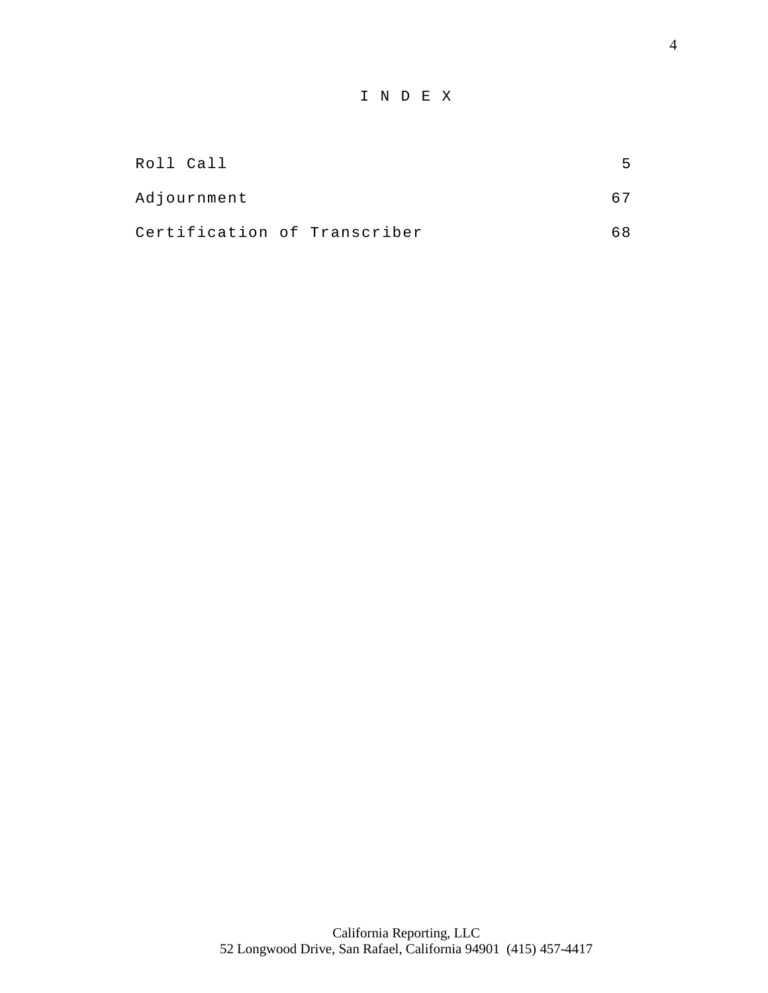# I N D E X

| Roll Call                    |  | 5.  |
|------------------------------|--|-----|
| Adjournment                  |  |     |
| Certification of Transcriber |  | 68. |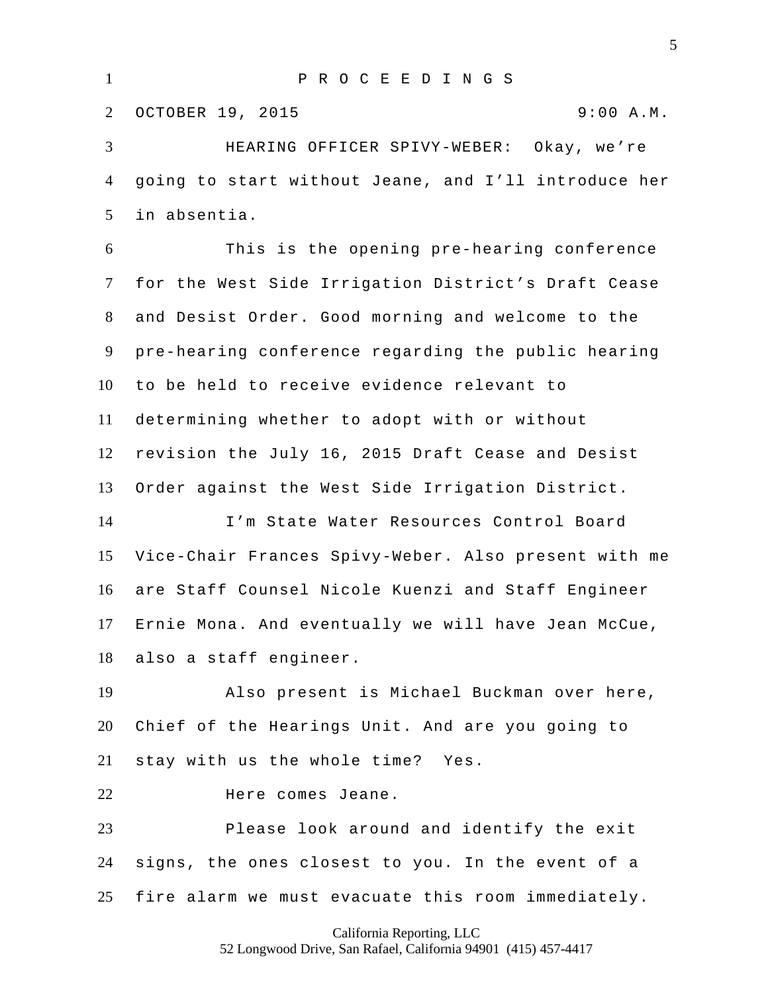P R O C E E D I N G S OCTOBER 19, 2015 9:00 A.M. HEARING OFFICER SPIVY-WEBER: Okay, we're

 going to start without Jeane, and I'll introduce her in absentia.

 This is the opening pre-hearing conference for the West Side Irrigation District's Draft Cease and Desist Order. Good morning and welcome to the pre-hearing conference regarding the public hearing to be held to receive evidence relevant to determining whether to adopt with or without revision the July 16, 2015 Draft Cease and Desist Order against the West Side Irrigation District. I'm State Water Resources Control Board

 Vice-Chair Frances Spivy-Weber. Also present with me are Staff Counsel Nicole Kuenzi and Staff Engineer Ernie Mona. And eventually we will have Jean McCue, also a staff engineer.

 Also present is Michael Buckman over here, Chief of the Hearings Unit. And are you going to stay with us the whole time? Yes.

Here comes Jeane.

 Please look around and identify the exit signs, the ones closest to you. In the event of a fire alarm we must evacuate this room immediately.

California Reporting, LLC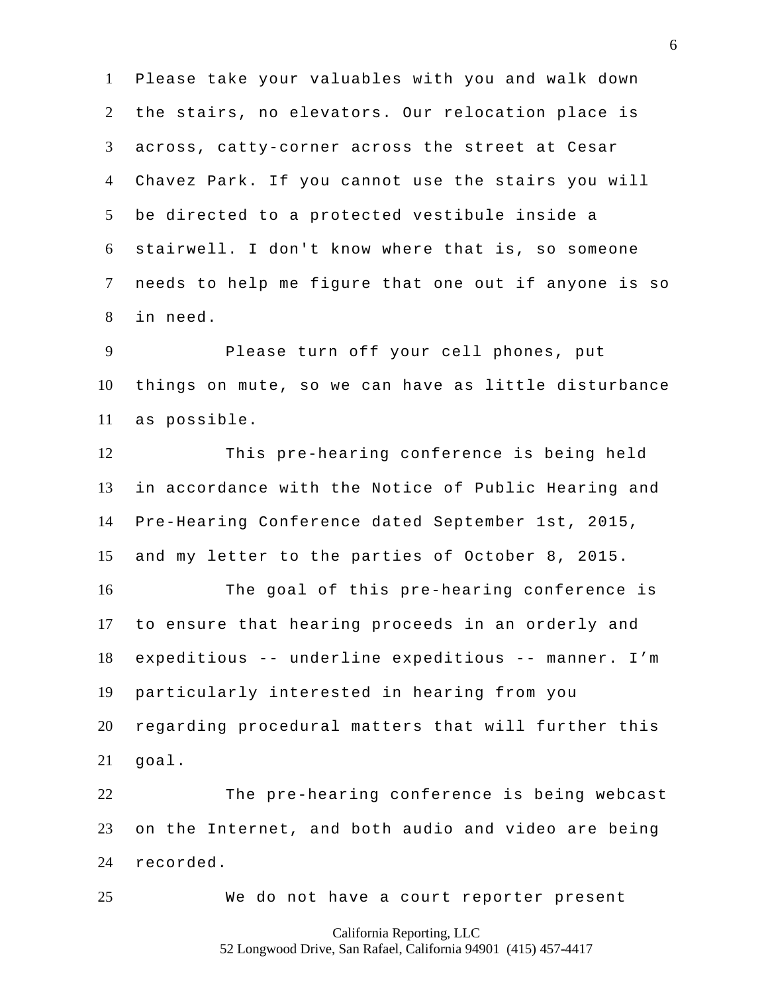Please take your valuables with you and walk down the stairs, no elevators. Our relocation place is across, catty-corner across the street at Cesar Chavez Park. If you cannot use the stairs you will be directed to a protected vestibule inside a stairwell. I don't know where that is, so someone needs to help me figure that one out if anyone is so in need.

 Please turn off your cell phones, put things on mute, so we can have as little disturbance as possible.

 This pre-hearing conference is being held in accordance with the Notice of Public Hearing and Pre-Hearing Conference dated September 1st, 2015, and my letter to the parties of October 8, 2015.

 The goal of this pre-hearing conference is to ensure that hearing proceeds in an orderly and expeditious -- underline expeditious -- manner. I'm particularly interested in hearing from you regarding procedural matters that will further this goal.

 The pre-hearing conference is being webcast on the Internet, and both audio and video are being recorded.

We do not have a court reporter present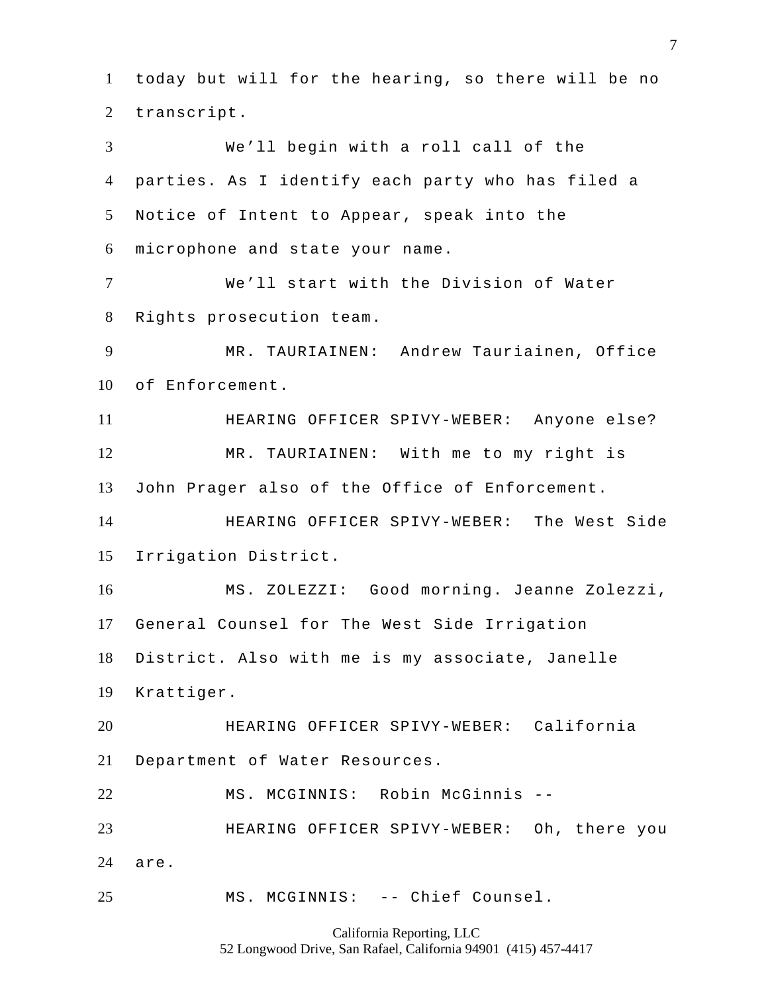today but will for the hearing, so there will be no transcript. We'll begin with a roll call of the parties. As I identify each party who has filed a Notice of Intent to Appear, speak into the microphone and state your name. We'll start with the Division of Water Rights prosecution team. MR. TAURIAINEN: Andrew Tauriainen, Office of Enforcement. HEARING OFFICER SPIVY-WEBER: Anyone else? MR. TAURIAINEN: With me to my right is John Prager also of the Office of Enforcement. HEARING OFFICER SPIVY-WEBER: The West Side Irrigation District. MS. ZOLEZZI: Good morning. Jeanne Zolezzi, General Counsel for The West Side Irrigation District. Also with me is my associate, Janelle Krattiger. HEARING OFFICER SPIVY-WEBER: California Department of Water Resources. MS. MCGINNIS: Robin McGinnis -- HEARING OFFICER SPIVY-WEBER: Oh, there you are. MS. MCGINNIS: -- Chief Counsel.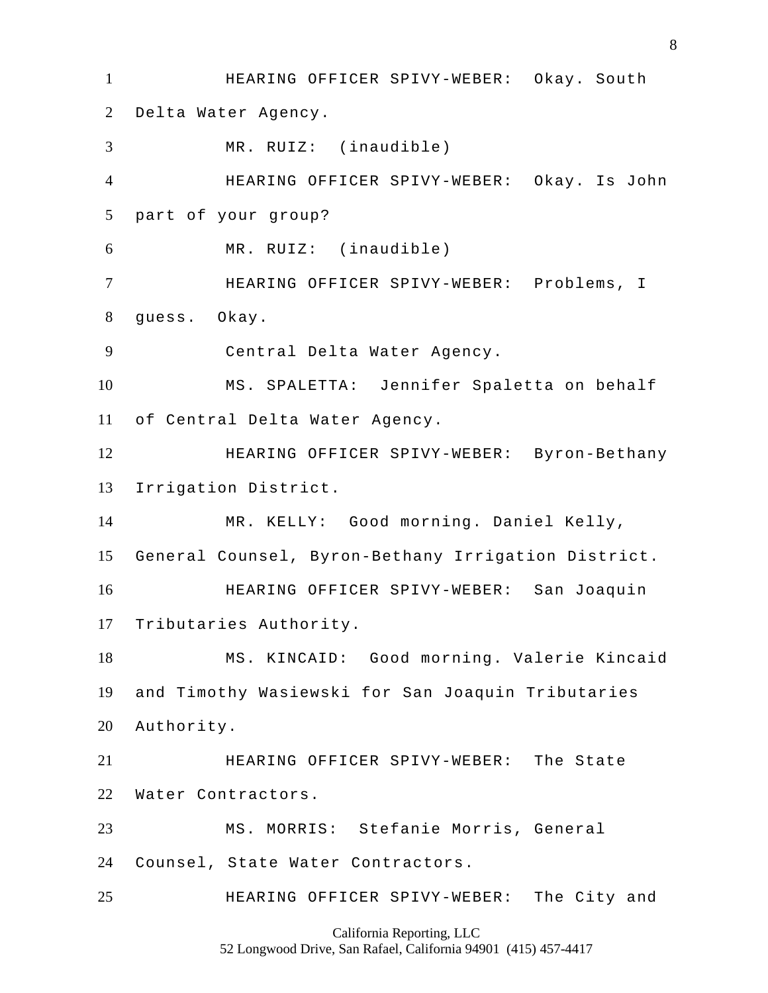HEARING OFFICER SPIVY-WEBER: Okay. South Delta Water Agency. MR. RUIZ: (inaudible) HEARING OFFICER SPIVY-WEBER: Okay. Is John part of your group? MR. RUIZ: (inaudible) HEARING OFFICER SPIVY-WEBER: Problems, I guess. Okay. Central Delta Water Agency. MS. SPALETTA: Jennifer Spaletta on behalf of Central Delta Water Agency. HEARING OFFICER SPIVY-WEBER: Byron-Bethany Irrigation District. MR. KELLY: Good morning. Daniel Kelly, General Counsel, Byron-Bethany Irrigation District. HEARING OFFICER SPIVY-WEBER: San Joaquin Tributaries Authority. MS. KINCAID: Good morning. Valerie Kincaid and Timothy Wasiewski for San Joaquin Tributaries Authority. HEARING OFFICER SPIVY-WEBER: The State Water Contractors. MS. MORRIS: Stefanie Morris, General Counsel, State Water Contractors. HEARING OFFICER SPIVY-WEBER: The City and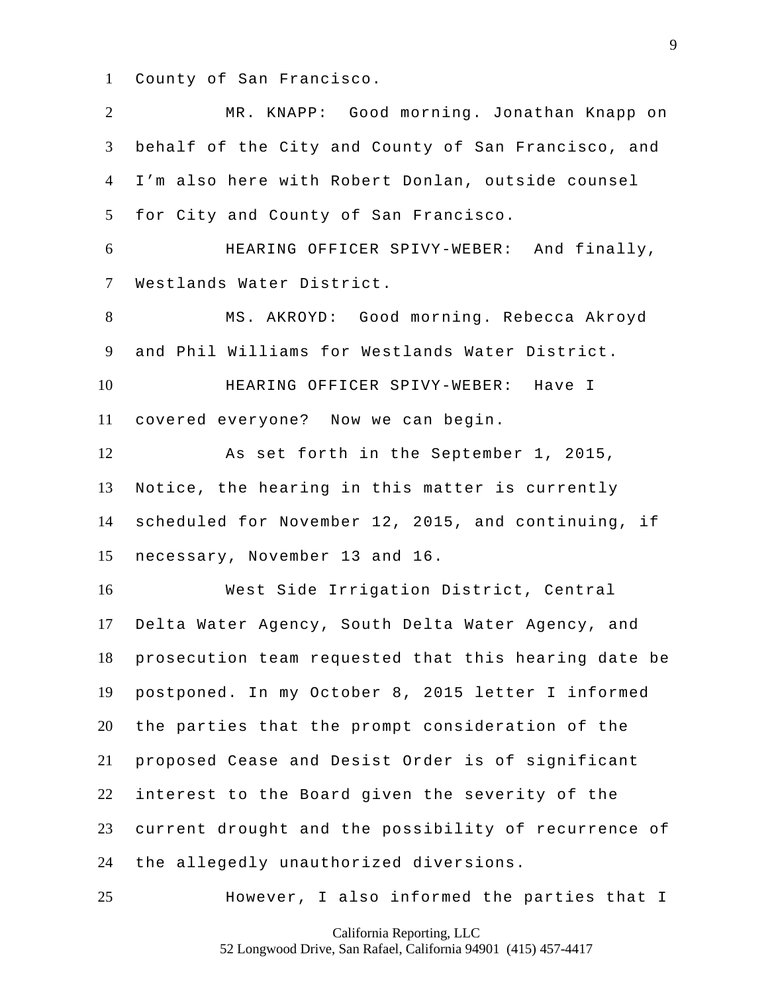County of San Francisco.

 MR. KNAPP: Good morning. Jonathan Knapp on behalf of the City and County of San Francisco, and I'm also here with Robert Donlan, outside counsel for City and County of San Francisco. HEARING OFFICER SPIVY-WEBER: And finally, Westlands Water District. MS. AKROYD: Good morning. Rebecca Akroyd and Phil Williams for Westlands Water District. HEARING OFFICER SPIVY-WEBER: Have I covered everyone? Now we can begin. As set forth in the September 1, 2015, Notice, the hearing in this matter is currently scheduled for November 12, 2015, and continuing, if necessary, November 13 and 16. West Side Irrigation District, Central Delta Water Agency, South Delta Water Agency, and prosecution team requested that this hearing date be postponed. In my October 8, 2015 letter I informed the parties that the prompt consideration of the proposed Cease and Desist Order is of significant interest to the Board given the severity of the current drought and the possibility of recurrence of the allegedly unauthorized diversions. However, I also informed the parties that I

California Reporting, LLC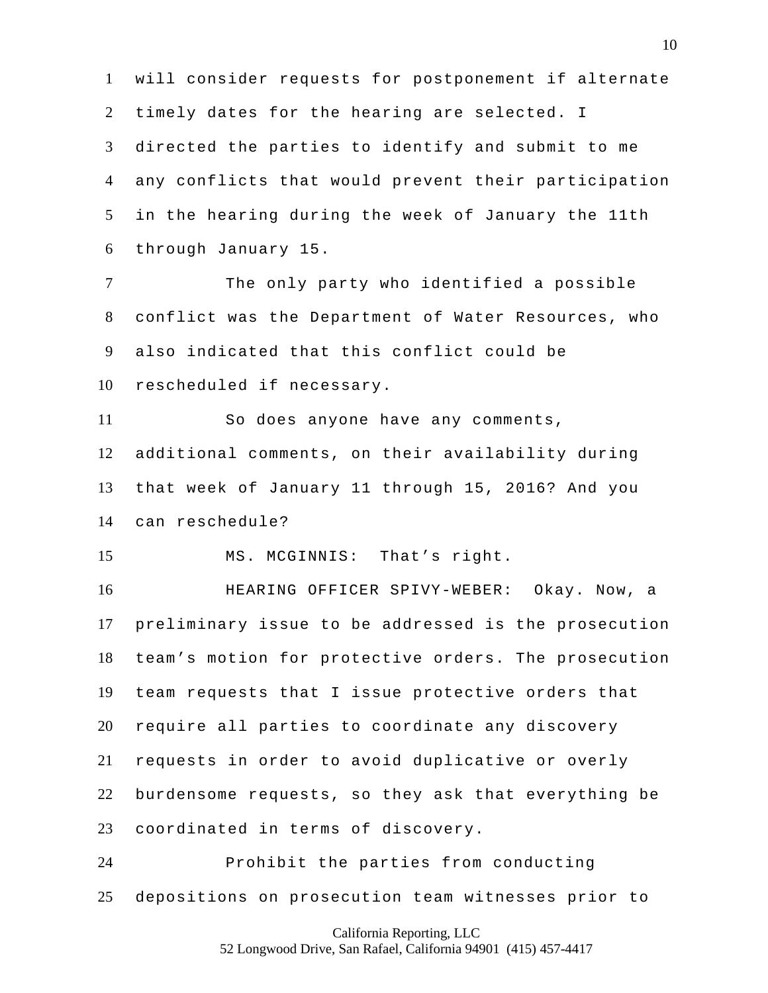will consider requests for postponement if alternate timely dates for the hearing are selected. I directed the parties to identify and submit to me any conflicts that would prevent their participation in the hearing during the week of January the 11th through January 15.

 The only party who identified a possible conflict was the Department of Water Resources, who also indicated that this conflict could be rescheduled if necessary.

 So does anyone have any comments, additional comments, on their availability during that week of January 11 through 15, 2016? And you can reschedule?

MS. MCGINNIS: That's right.

 HEARING OFFICER SPIVY-WEBER: Okay. Now, a preliminary issue to be addressed is the prosecution team's motion for protective orders. The prosecution team requests that I issue protective orders that require all parties to coordinate any discovery requests in order to avoid duplicative or overly burdensome requests, so they ask that everything be coordinated in terms of discovery.

 Prohibit the parties from conducting depositions on prosecution team witnesses prior to

California Reporting, LLC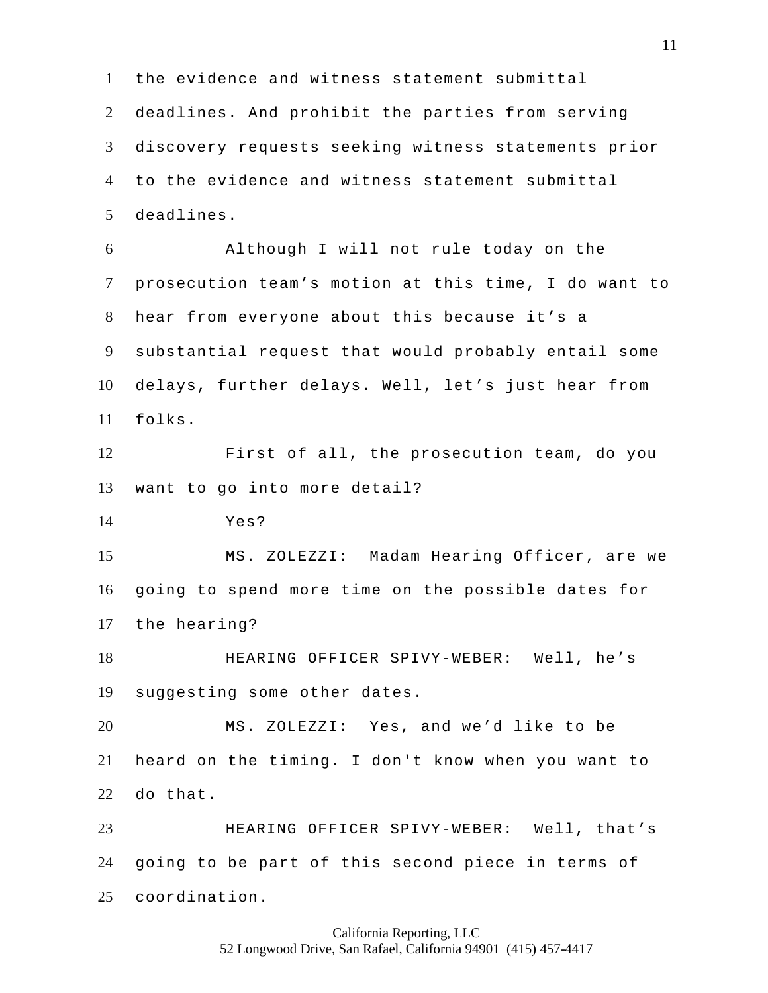the evidence and witness statement submittal deadlines. And prohibit the parties from serving discovery requests seeking witness statements prior to the evidence and witness statement submittal deadlines. Although I will not rule today on the prosecution team's motion at this time, I do want to hear from everyone about this because it's a substantial request that would probably entail some delays, further delays. Well, let's just hear from folks. First of all, the prosecution team, do you want to go into more detail? Yes? MS. ZOLEZZI: Madam Hearing Officer, are we going to spend more time on the possible dates for the hearing? HEARING OFFICER SPIVY-WEBER: Well, he's suggesting some other dates. MS. ZOLEZZI: Yes, and we'd like to be heard on the timing. I don't know when you want to do that. HEARING OFFICER SPIVY-WEBER: Well, that's going to be part of this second piece in terms of coordination.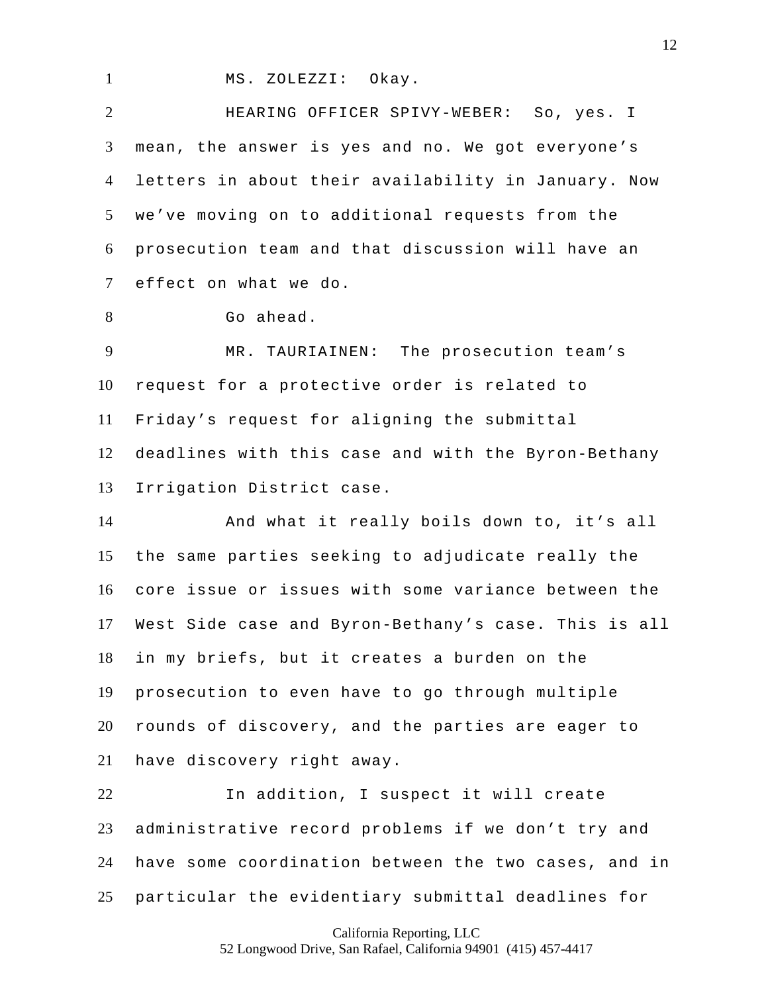1 MS. ZOLEZZI: Okay.

 HEARING OFFICER SPIVY-WEBER: So, yes. I mean, the answer is yes and no. We got everyone's letters in about their availability in January. Now we've moving on to additional requests from the prosecution team and that discussion will have an effect on what we do.

8 Go ahead.

 MR. TAURIAINEN: The prosecution team's request for a protective order is related to Friday's request for aligning the submittal deadlines with this case and with the Byron-Bethany Irrigation District case.

 And what it really boils down to, it's all the same parties seeking to adjudicate really the core issue or issues with some variance between the West Side case and Byron-Bethany's case. This is all in my briefs, but it creates a burden on the prosecution to even have to go through multiple rounds of discovery, and the parties are eager to have discovery right away.

 In addition, I suspect it will create administrative record problems if we don't try and have some coordination between the two cases, and in particular the evidentiary submittal deadlines for

California Reporting, LLC

52 Longwood Drive, San Rafael, California 94901 (415) 457-4417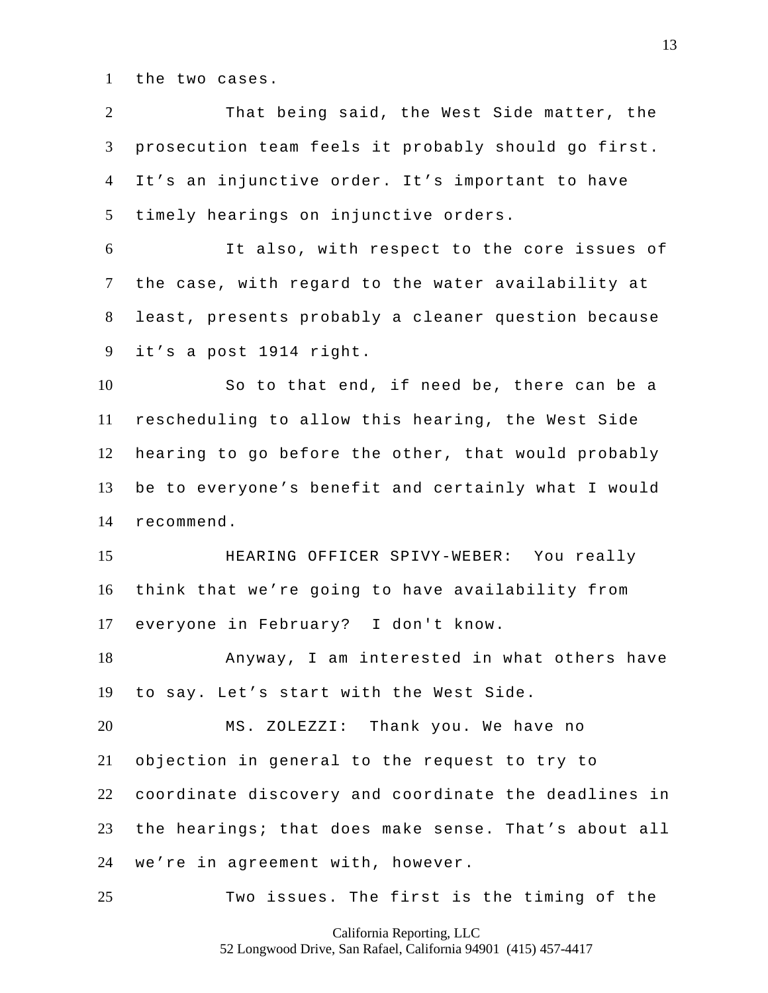the two cases.

 That being said, the West Side matter, the prosecution team feels it probably should go first. It's an injunctive order. It's important to have timely hearings on injunctive orders.

 It also, with respect to the core issues of the case, with regard to the water availability at least, presents probably a cleaner question because it's a post 1914 right.

 So to that end, if need be, there can be a rescheduling to allow this hearing, the West Side hearing to go before the other, that would probably be to everyone's benefit and certainly what I would recommend.

 HEARING OFFICER SPIVY-WEBER: You really think that we're going to have availability from everyone in February? I don't know.

 Anyway, I am interested in what others have to say. Let's start with the West Side.

 MS. ZOLEZZI: Thank you. We have no objection in general to the request to try to coordinate discovery and coordinate the deadlines in the hearings; that does make sense. That's about all we're in agreement with, however.

Two issues. The first is the timing of the

California Reporting, LLC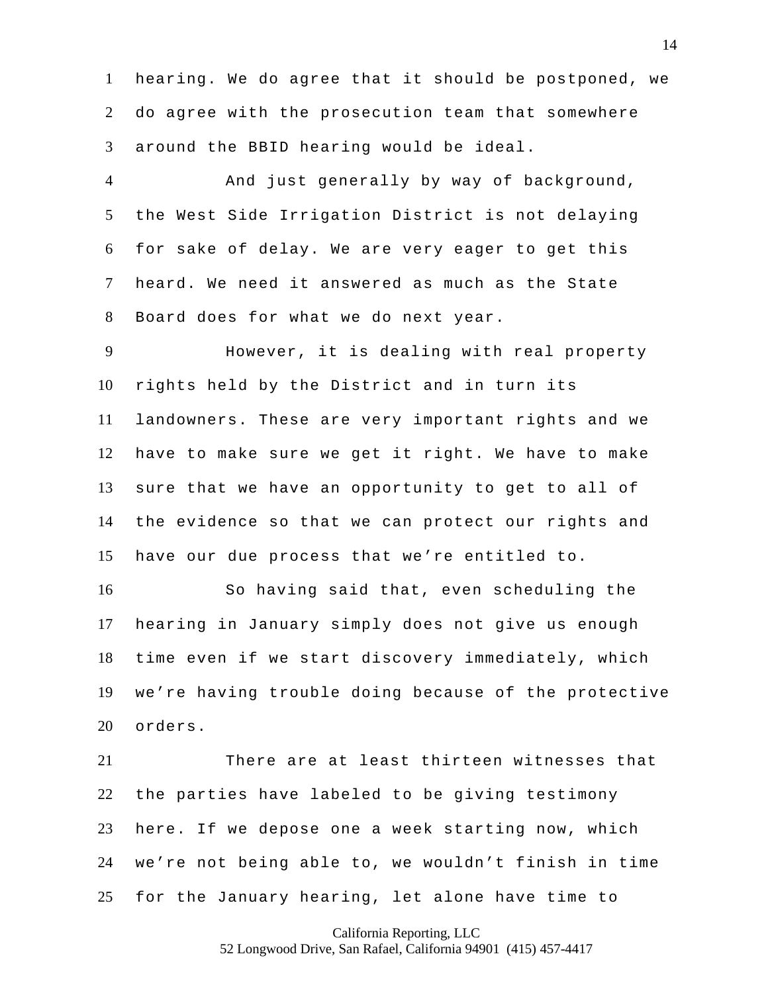hearing. We do agree that it should be postponed, we do agree with the prosecution team that somewhere around the BBID hearing would be ideal.

 And just generally by way of background, the West Side Irrigation District is not delaying for sake of delay. We are very eager to get this heard. We need it answered as much as the State Board does for what we do next year.

 However, it is dealing with real property rights held by the District and in turn its landowners. These are very important rights and we have to make sure we get it right. We have to make sure that we have an opportunity to get to all of the evidence so that we can protect our rights and have our due process that we're entitled to.

 So having said that, even scheduling the hearing in January simply does not give us enough time even if we start discovery immediately, which we're having trouble doing because of the protective orders.

 There are at least thirteen witnesses that the parties have labeled to be giving testimony here. If we depose one a week starting now, which we're not being able to, we wouldn't finish in time for the January hearing, let alone have time to

California Reporting, LLC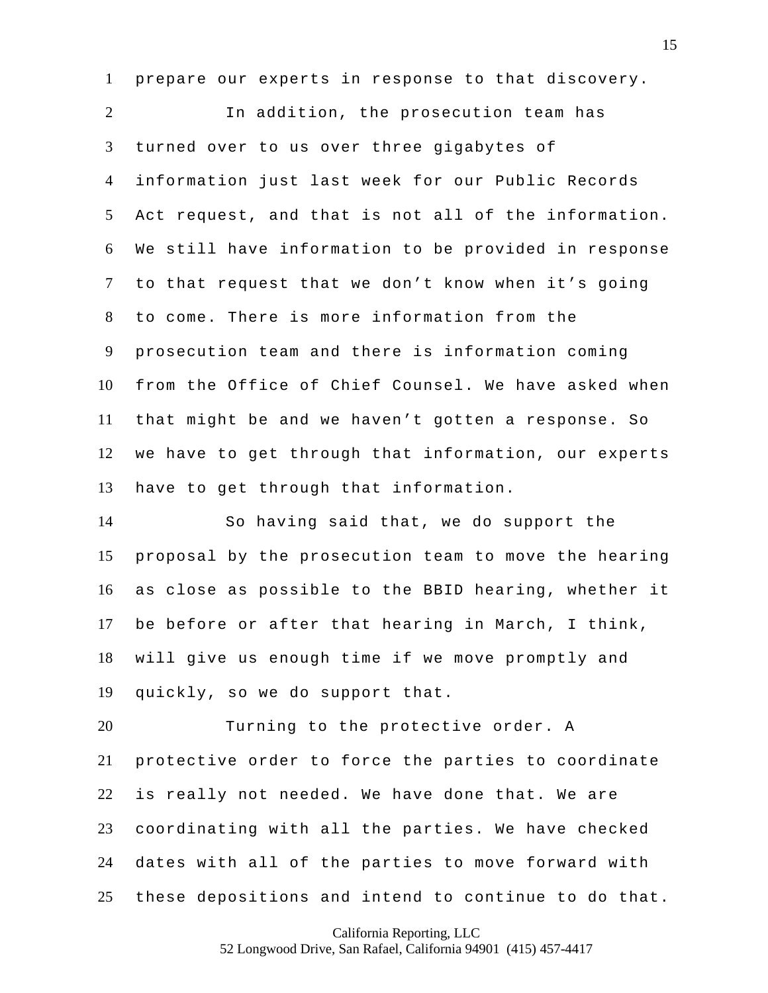prepare our experts in response to that discovery.

 In addition, the prosecution team has turned over to us over three gigabytes of information just last week for our Public Records Act request, and that is not all of the information. We still have information to be provided in response to that request that we don't know when it's going to come. There is more information from the prosecution team and there is information coming from the Office of Chief Counsel. We have asked when that might be and we haven't gotten a response. So we have to get through that information, our experts have to get through that information.

 So having said that, we do support the proposal by the prosecution team to move the hearing as close as possible to the BBID hearing, whether it be before or after that hearing in March, I think, will give us enough time if we move promptly and quickly, so we do support that.

 Turning to the protective order. A protective order to force the parties to coordinate is really not needed. We have done that. We are coordinating with all the parties. We have checked dates with all of the parties to move forward with these depositions and intend to continue to do that.

California Reporting, LLC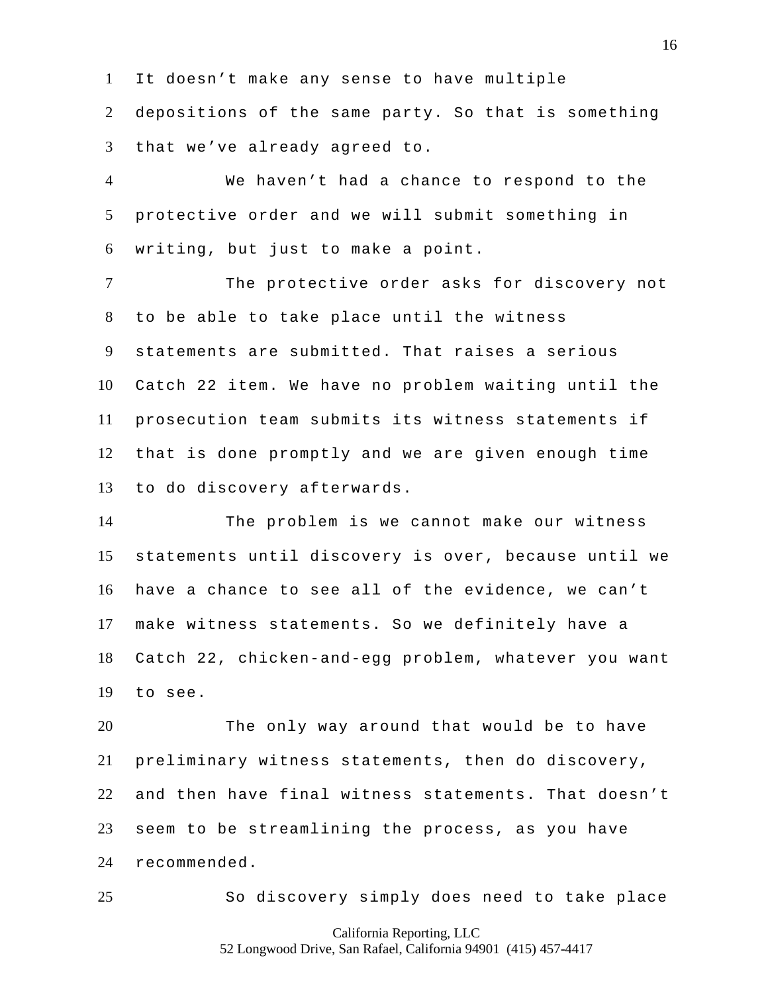It doesn't make any sense to have multiple

 depositions of the same party. So that is something that we've already agreed to.

 We haven't had a chance to respond to the protective order and we will submit something in writing, but just to make a point.

 The protective order asks for discovery not to be able to take place until the witness statements are submitted. That raises a serious Catch 22 item. We have no problem waiting until the prosecution team submits its witness statements if that is done promptly and we are given enough time to do discovery afterwards.

 The problem is we cannot make our witness statements until discovery is over, because until we have a chance to see all of the evidence, we can't make witness statements. So we definitely have a Catch 22, chicken-and-egg problem, whatever you want to see.

 The only way around that would be to have preliminary witness statements, then do discovery, and then have final witness statements. That doesn't seem to be streamlining the process, as you have recommended.

So discovery simply does need to take place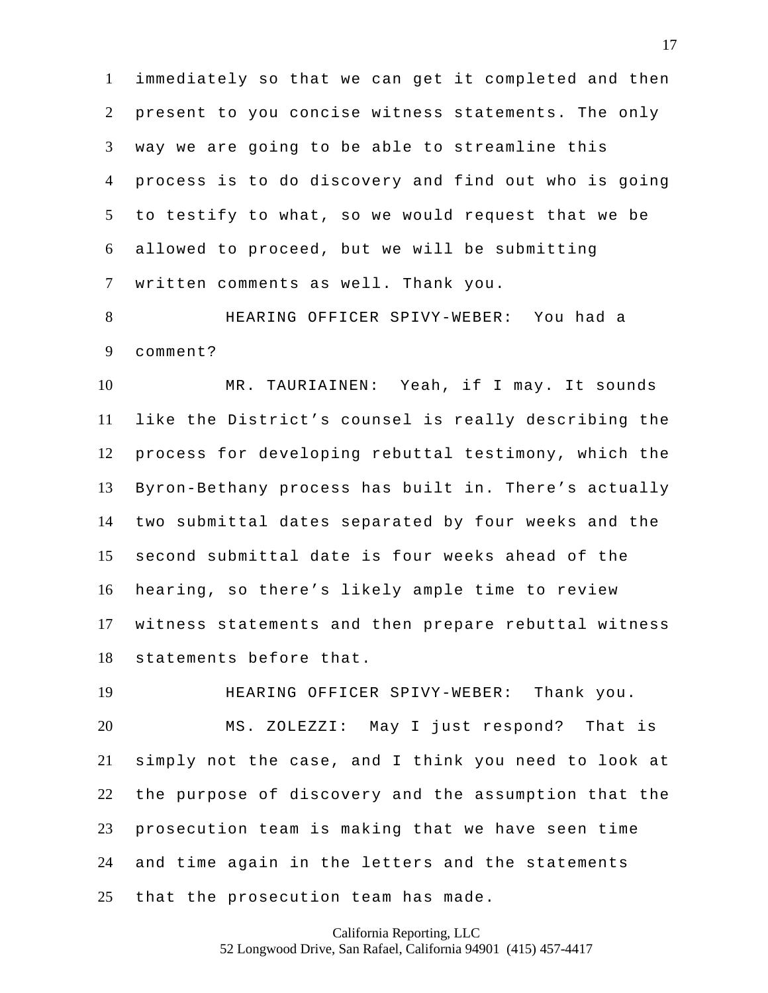immediately so that we can get it completed and then present to you concise witness statements. The only way we are going to be able to streamline this process is to do discovery and find out who is going to testify to what, so we would request that we be allowed to proceed, but we will be submitting written comments as well. Thank you.

 HEARING OFFICER SPIVY-WEBER: You had a comment?

 MR. TAURIAINEN: Yeah, if I may. It sounds like the District's counsel is really describing the process for developing rebuttal testimony, which the Byron-Bethany process has built in. There's actually two submittal dates separated by four weeks and the second submittal date is four weeks ahead of the hearing, so there's likely ample time to review witness statements and then prepare rebuttal witness statements before that.

 HEARING OFFICER SPIVY-WEBER: Thank you. MS. ZOLEZZI: May I just respond? That is simply not the case, and I think you need to look at the purpose of discovery and the assumption that the prosecution team is making that we have seen time and time again in the letters and the statements that the prosecution team has made.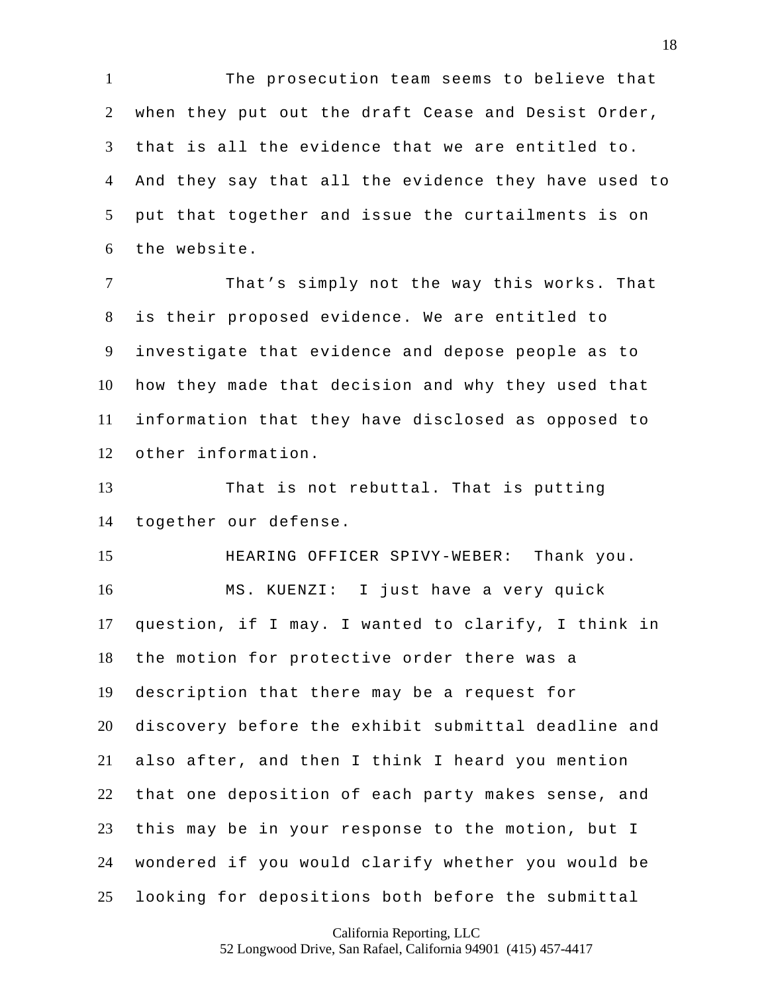The prosecution team seems to believe that when they put out the draft Cease and Desist Order, that is all the evidence that we are entitled to. And they say that all the evidence they have used to put that together and issue the curtailments is on the website.

 That's simply not the way this works. That is their proposed evidence. We are entitled to investigate that evidence and depose people as to how they made that decision and why they used that information that they have disclosed as opposed to other information.

 That is not rebuttal. That is putting together our defense.

 HEARING OFFICER SPIVY-WEBER: Thank you. MS. KUENZI: I just have a very quick question, if I may. I wanted to clarify, I think in the motion for protective order there was a description that there may be a request for discovery before the exhibit submittal deadline and also after, and then I think I heard you mention that one deposition of each party makes sense, and this may be in your response to the motion, but I wondered if you would clarify whether you would be looking for depositions both before the submittal

California Reporting, LLC

52 Longwood Drive, San Rafael, California 94901 (415) 457-4417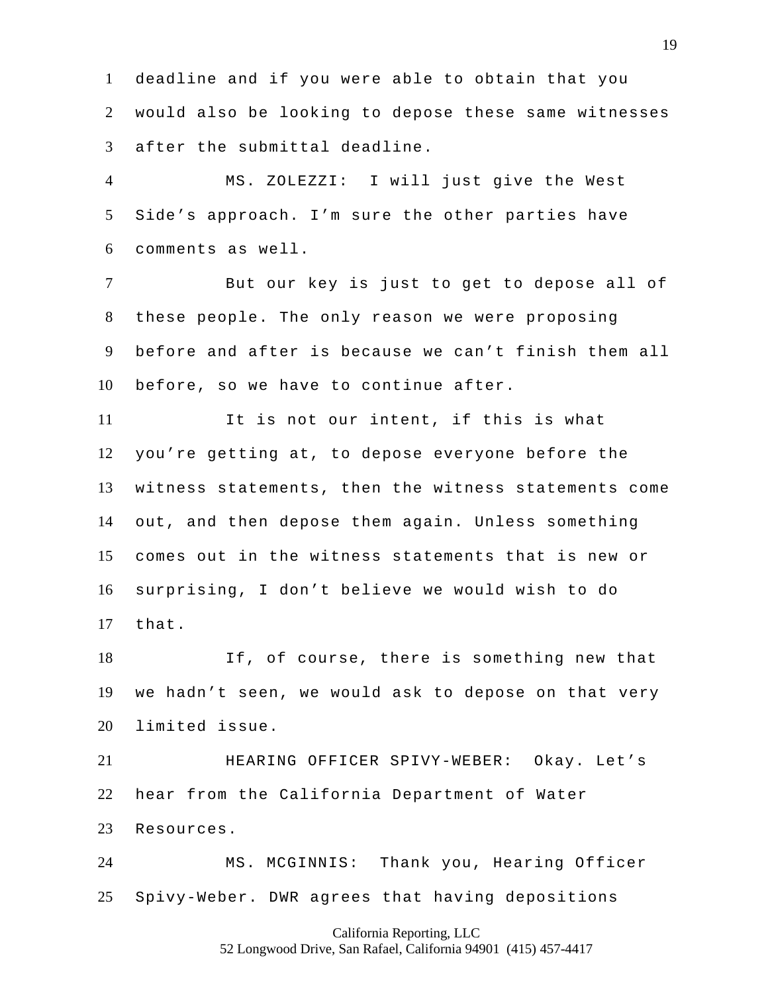deadline and if you were able to obtain that you would also be looking to depose these same witnesses after the submittal deadline.

 MS. ZOLEZZI: I will just give the West Side's approach. I'm sure the other parties have comments as well.

 But our key is just to get to depose all of these people. The only reason we were proposing before and after is because we can't finish them all before, so we have to continue after.

 It is not our intent, if this is what you're getting at, to depose everyone before the witness statements, then the witness statements come out, and then depose them again. Unless something comes out in the witness statements that is new or surprising, I don't believe we would wish to do that.

 If, of course, there is something new that we hadn't seen, we would ask to depose on that very limited issue.

 HEARING OFFICER SPIVY-WEBER: Okay. Let's hear from the California Department of Water Resources.

 MS. MCGINNIS: Thank you, Hearing Officer Spivy-Weber. DWR agrees that having depositions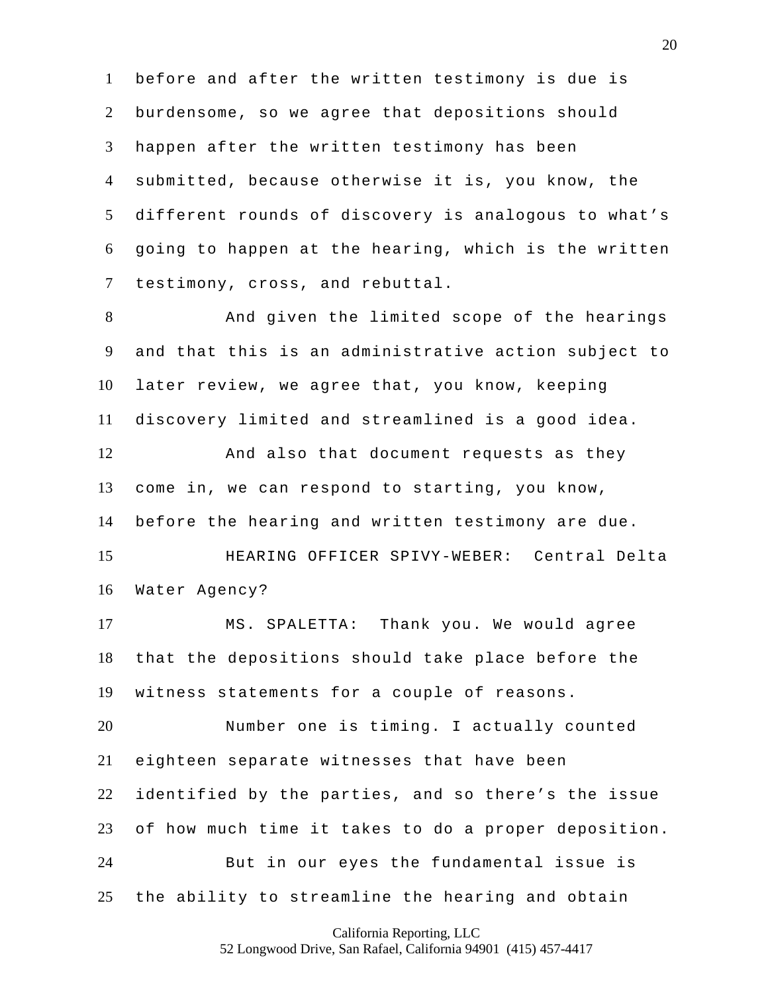before and after the written testimony is due is burdensome, so we agree that depositions should happen after the written testimony has been submitted, because otherwise it is, you know, the different rounds of discovery is analogous to what's going to happen at the hearing, which is the written testimony, cross, and rebuttal.

 And given the limited scope of the hearings and that this is an administrative action subject to later review, we agree that, you know, keeping discovery limited and streamlined is a good idea. And also that document requests as they come in, we can respond to starting, you know, before the hearing and written testimony are due. HEARING OFFICER SPIVY-WEBER: Central Delta Water Agency? MS. SPALETTA: Thank you. We would agree that the depositions should take place before the witness statements for a couple of reasons. Number one is timing. I actually counted eighteen separate witnesses that have been identified by the parties, and so there's the issue of how much time it takes to do a proper deposition. But in our eyes the fundamental issue is

California Reporting, LLC

the ability to streamline the hearing and obtain

52 Longwood Drive, San Rafael, California 94901 (415) 457-4417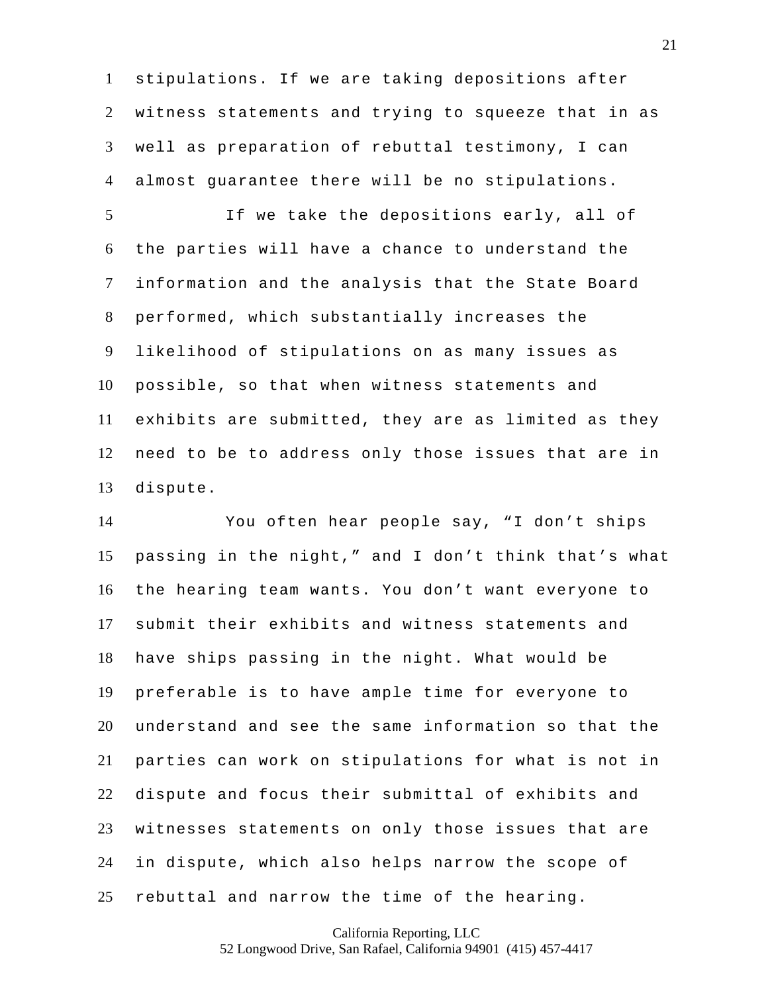stipulations. If we are taking depositions after witness statements and trying to squeeze that in as well as preparation of rebuttal testimony, I can almost guarantee there will be no stipulations.

 If we take the depositions early, all of the parties will have a chance to understand the information and the analysis that the State Board performed, which substantially increases the likelihood of stipulations on as many issues as possible, so that when witness statements and exhibits are submitted, they are as limited as they need to be to address only those issues that are in dispute.

 You often hear people say, "I don't ships passing in the night," and I don't think that's what the hearing team wants. You don't want everyone to submit their exhibits and witness statements and have ships passing in the night. What would be preferable is to have ample time for everyone to understand and see the same information so that the parties can work on stipulations for what is not in dispute and focus their submittal of exhibits and witnesses statements on only those issues that are in dispute, which also helps narrow the scope of rebuttal and narrow the time of the hearing.

California Reporting, LLC

52 Longwood Drive, San Rafael, California 94901 (415) 457-4417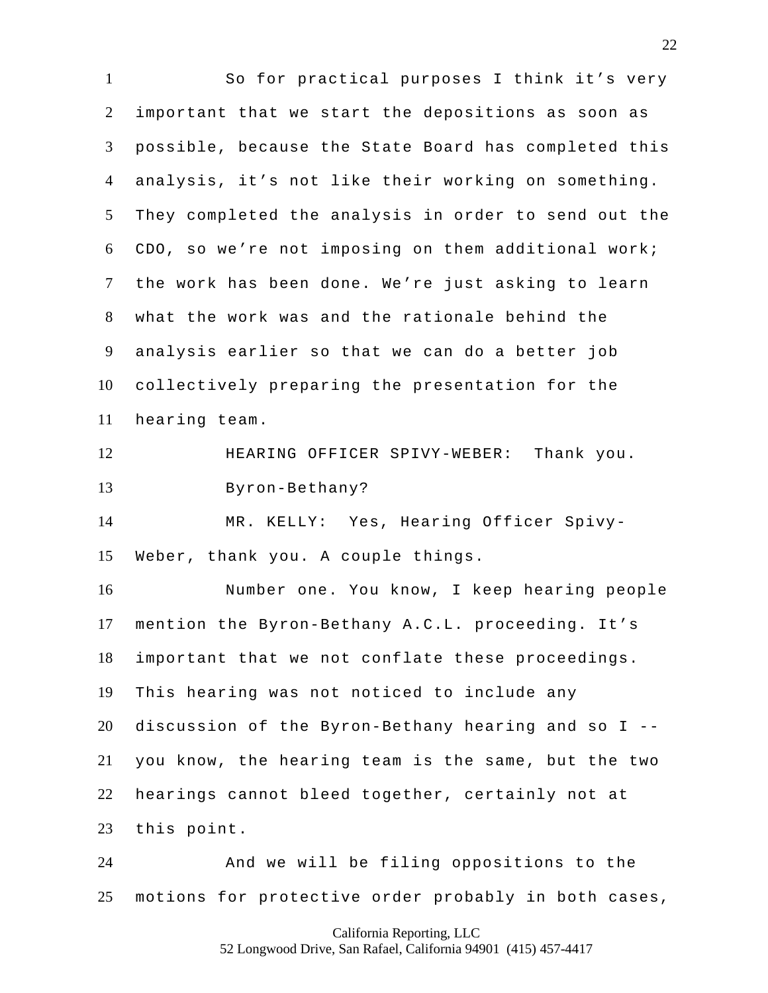So for practical purposes I think it's very important that we start the depositions as soon as possible, because the State Board has completed this analysis, it's not like their working on something. They completed the analysis in order to send out the CDO, so we're not imposing on them additional work; the work has been done. We're just asking to learn what the work was and the rationale behind the analysis earlier so that we can do a better job collectively preparing the presentation for the hearing team. HEARING OFFICER SPIVY-WEBER: Thank you. Byron-Bethany? MR. KELLY: Yes, Hearing Officer Spivy- Weber, thank you. A couple things. Number one. You know, I keep hearing people mention the Byron-Bethany A.C.L. proceeding. It's important that we not conflate these proceedings. This hearing was not noticed to include any discussion of the Byron-Bethany hearing and so I -- you know, the hearing team is the same, but the two hearings cannot bleed together, certainly not at this point. And we will be filing oppositions to the

motions for protective order probably in both cases,

California Reporting, LLC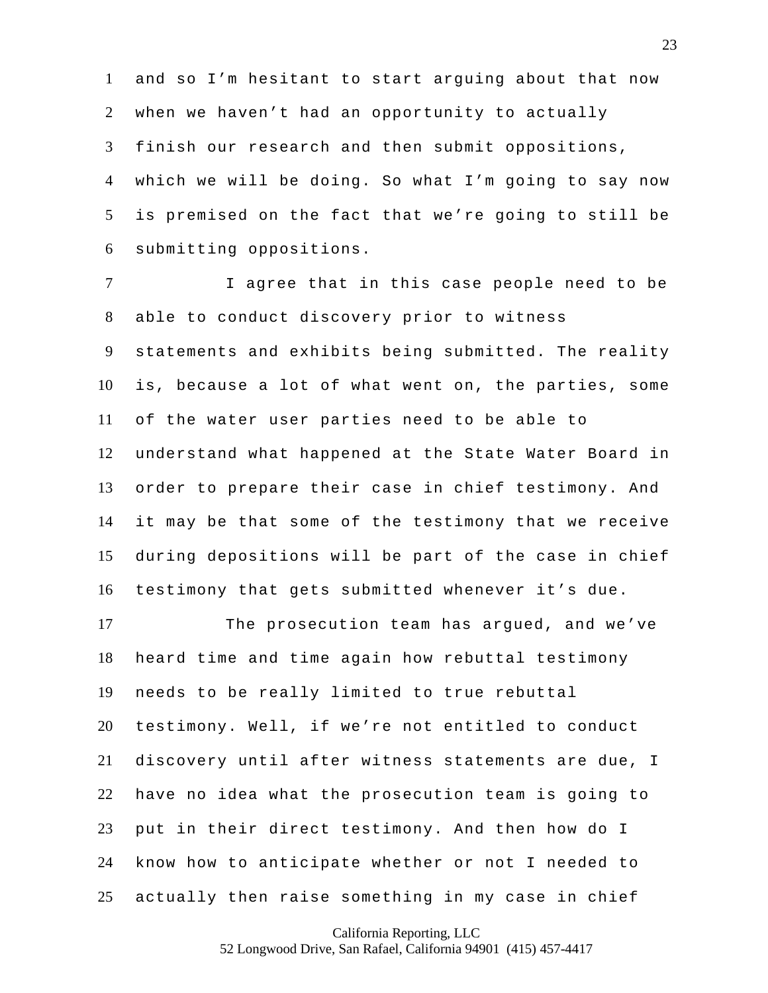and so I'm hesitant to start arguing about that now when we haven't had an opportunity to actually finish our research and then submit oppositions, which we will be doing. So what I'm going to say now is premised on the fact that we're going to still be submitting oppositions.

 I agree that in this case people need to be able to conduct discovery prior to witness statements and exhibits being submitted. The reality is, because a lot of what went on, the parties, some of the water user parties need to be able to understand what happened at the State Water Board in order to prepare their case in chief testimony. And it may be that some of the testimony that we receive during depositions will be part of the case in chief testimony that gets submitted whenever it's due.

 The prosecution team has argued, and we've heard time and time again how rebuttal testimony needs to be really limited to true rebuttal testimony. Well, if we're not entitled to conduct discovery until after witness statements are due, I have no idea what the prosecution team is going to put in their direct testimony. And then how do I know how to anticipate whether or not I needed to actually then raise something in my case in chief

California Reporting, LLC

52 Longwood Drive, San Rafael, California 94901 (415) 457-4417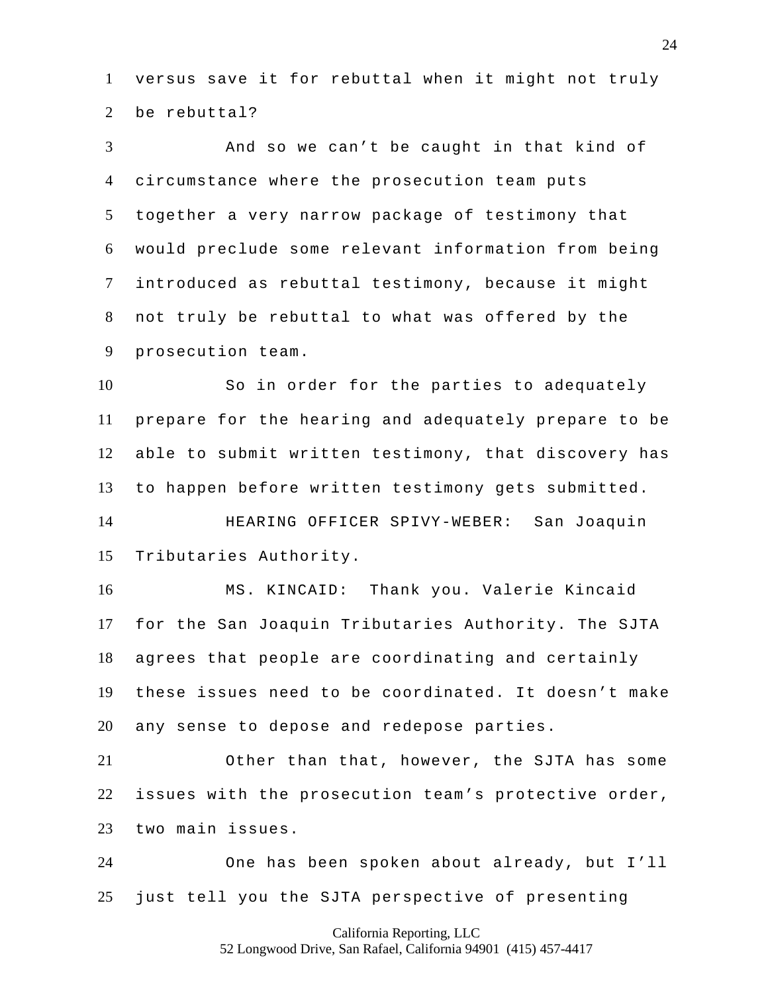versus save it for rebuttal when it might not truly 2 be rebuttal?

 And so we can't be caught in that kind of circumstance where the prosecution team puts together a very narrow package of testimony that would preclude some relevant information from being introduced as rebuttal testimony, because it might not truly be rebuttal to what was offered by the prosecution team.

 So in order for the parties to adequately prepare for the hearing and adequately prepare to be able to submit written testimony, that discovery has to happen before written testimony gets submitted. HEARING OFFICER SPIVY-WEBER: San Joaquin

Tributaries Authority.

 MS. KINCAID: Thank you. Valerie Kincaid for the San Joaquin Tributaries Authority. The SJTA agrees that people are coordinating and certainly these issues need to be coordinated. It doesn't make any sense to depose and redepose parties.

 Other than that, however, the SJTA has some issues with the prosecution team's protective order, two main issues.

 One has been spoken about already, but I'll just tell you the SJTA perspective of presenting

## California Reporting, LLC 52 Longwood Drive, San Rafael, California 94901 (415) 457-4417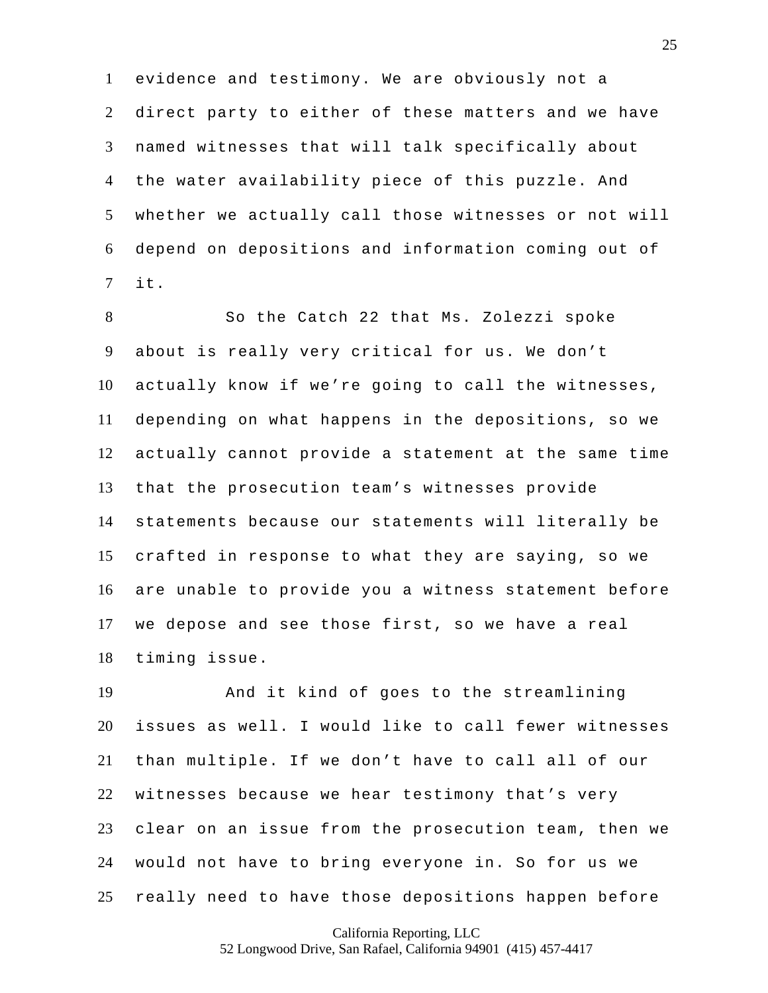evidence and testimony. We are obviously not a direct party to either of these matters and we have named witnesses that will talk specifically about the water availability piece of this puzzle. And whether we actually call those witnesses or not will depend on depositions and information coming out of it.

 So the Catch 22 that Ms. Zolezzi spoke about is really very critical for us. We don't actually know if we're going to call the witnesses, depending on what happens in the depositions, so we actually cannot provide a statement at the same time that the prosecution team's witnesses provide statements because our statements will literally be crafted in response to what they are saying, so we are unable to provide you a witness statement before we depose and see those first, so we have a real timing issue.

 And it kind of goes to the streamlining issues as well. I would like to call fewer witnesses than multiple. If we don't have to call all of our witnesses because we hear testimony that's very clear on an issue from the prosecution team, then we would not have to bring everyone in. So for us we really need to have those depositions happen before

California Reporting, LLC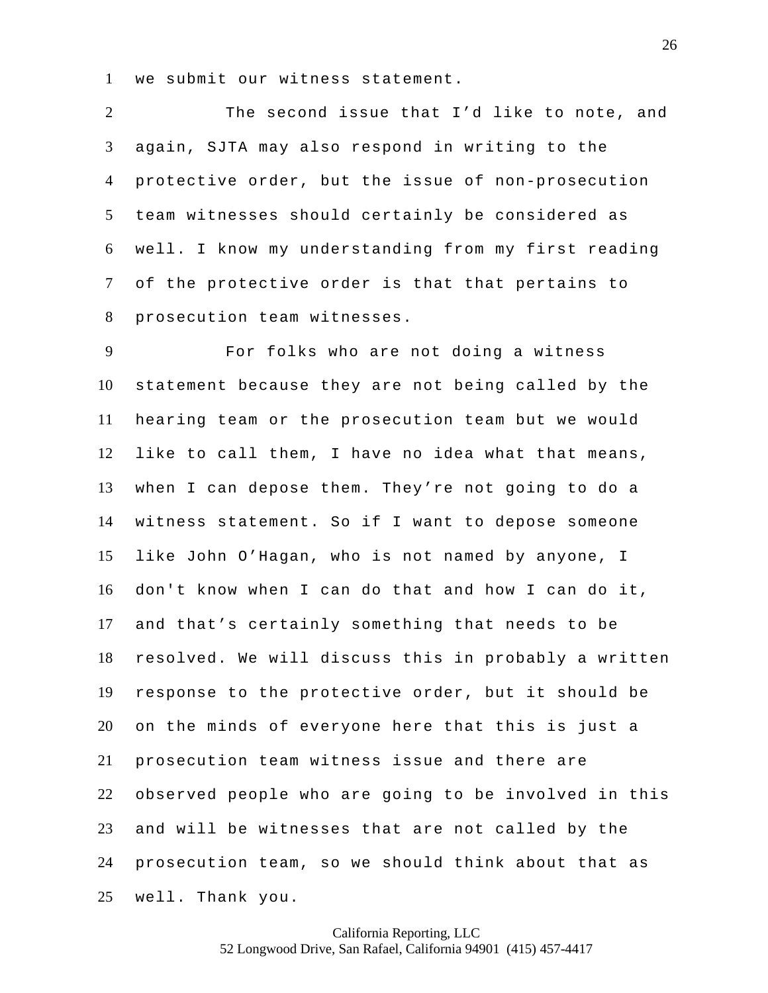we submit our witness statement.

 The second issue that I'd like to note, and again, SJTA may also respond in writing to the protective order, but the issue of non-prosecution team witnesses should certainly be considered as well. I know my understanding from my first reading of the protective order is that that pertains to prosecution team witnesses.

 For folks who are not doing a witness statement because they are not being called by the hearing team or the prosecution team but we would like to call them, I have no idea what that means, when I can depose them. They're not going to do a witness statement. So if I want to depose someone like John O'Hagan, who is not named by anyone, I don't know when I can do that and how I can do it, and that's certainly something that needs to be resolved. We will discuss this in probably a written response to the protective order, but it should be on the minds of everyone here that this is just a prosecution team witness issue and there are observed people who are going to be involved in this and will be witnesses that are not called by the prosecution team, so we should think about that as well. Thank you.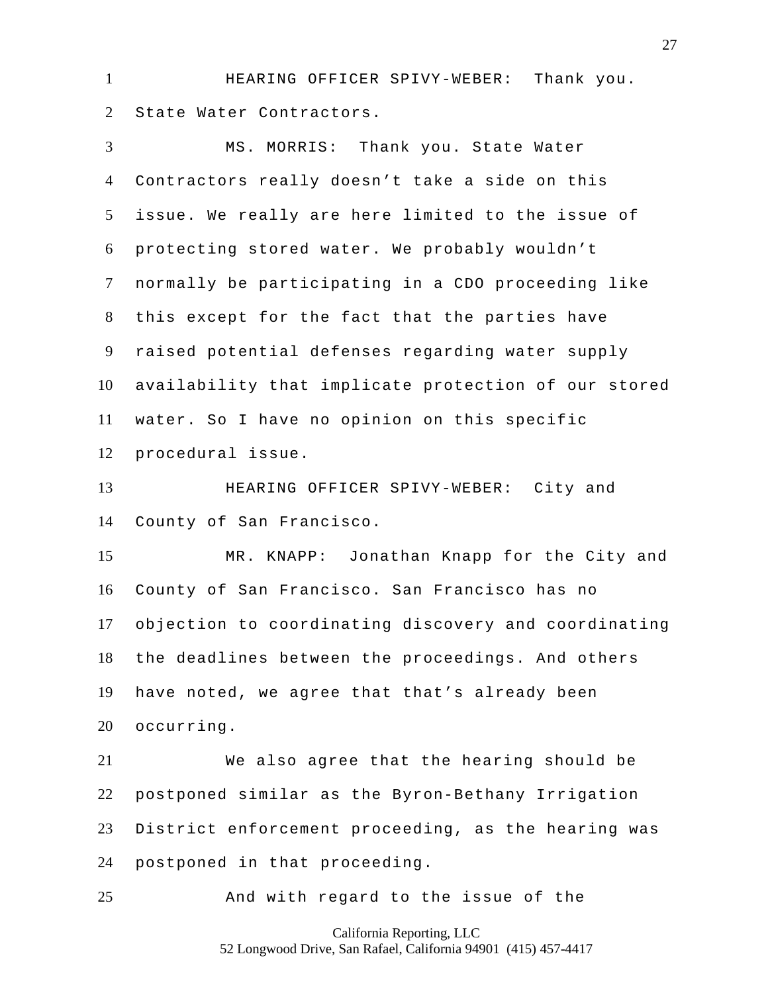HEARING OFFICER SPIVY-WEBER: Thank you. State Water Contractors.

 MS. MORRIS: Thank you. State Water Contractors really doesn't take a side on this issue. We really are here limited to the issue of protecting stored water. We probably wouldn't normally be participating in a CDO proceeding like this except for the fact that the parties have raised potential defenses regarding water supply availability that implicate protection of our stored water. So I have no opinion on this specific procedural issue.

 HEARING OFFICER SPIVY-WEBER: City and County of San Francisco.

 MR. KNAPP: Jonathan Knapp for the City and County of San Francisco. San Francisco has no objection to coordinating discovery and coordinating the deadlines between the proceedings. And others have noted, we agree that that's already been occurring.

 We also agree that the hearing should be postponed similar as the Byron-Bethany Irrigation District enforcement proceeding, as the hearing was postponed in that proceeding.

And with regard to the issue of the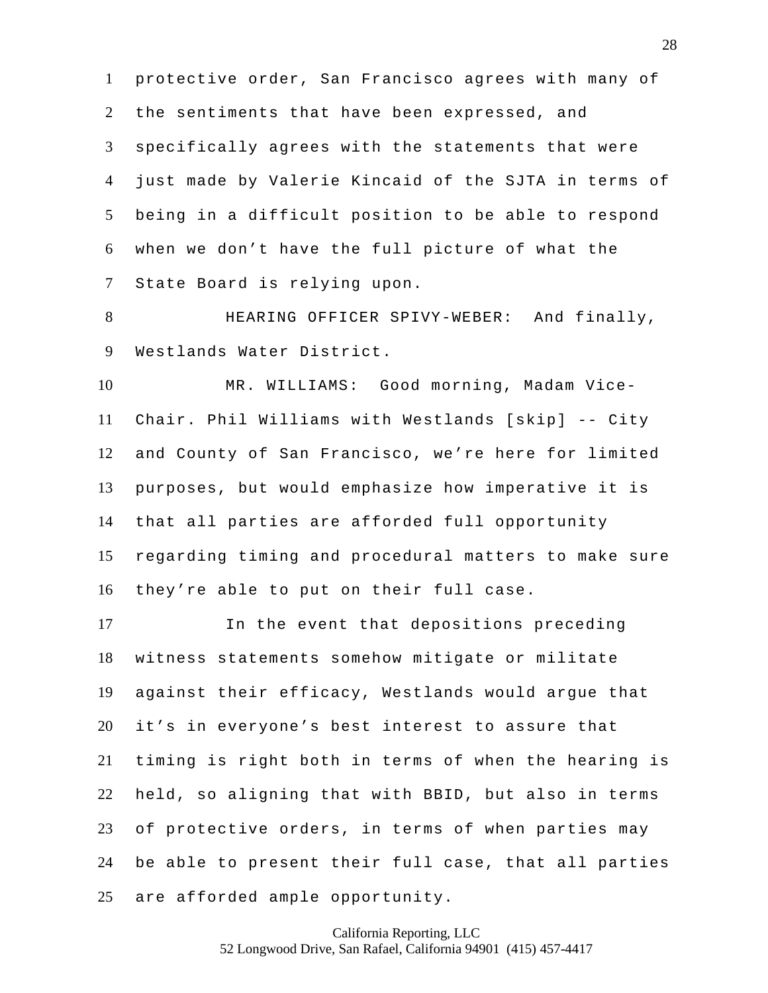protective order, San Francisco agrees with many of the sentiments that have been expressed, and specifically agrees with the statements that were just made by Valerie Kincaid of the SJTA in terms of being in a difficult position to be able to respond when we don't have the full picture of what the State Board is relying upon.

 HEARING OFFICER SPIVY-WEBER: And finally, Westlands Water District.

 MR. WILLIAMS: Good morning, Madam Vice- Chair. Phil Williams with Westlands [skip] -- City and County of San Francisco, we're here for limited purposes, but would emphasize how imperative it is that all parties are afforded full opportunity regarding timing and procedural matters to make sure they're able to put on their full case.

 In the event that depositions preceding witness statements somehow mitigate or militate against their efficacy, Westlands would argue that it's in everyone's best interest to assure that timing is right both in terms of when the hearing is held, so aligning that with BBID, but also in terms of protective orders, in terms of when parties may be able to present their full case, that all parties are afforded ample opportunity.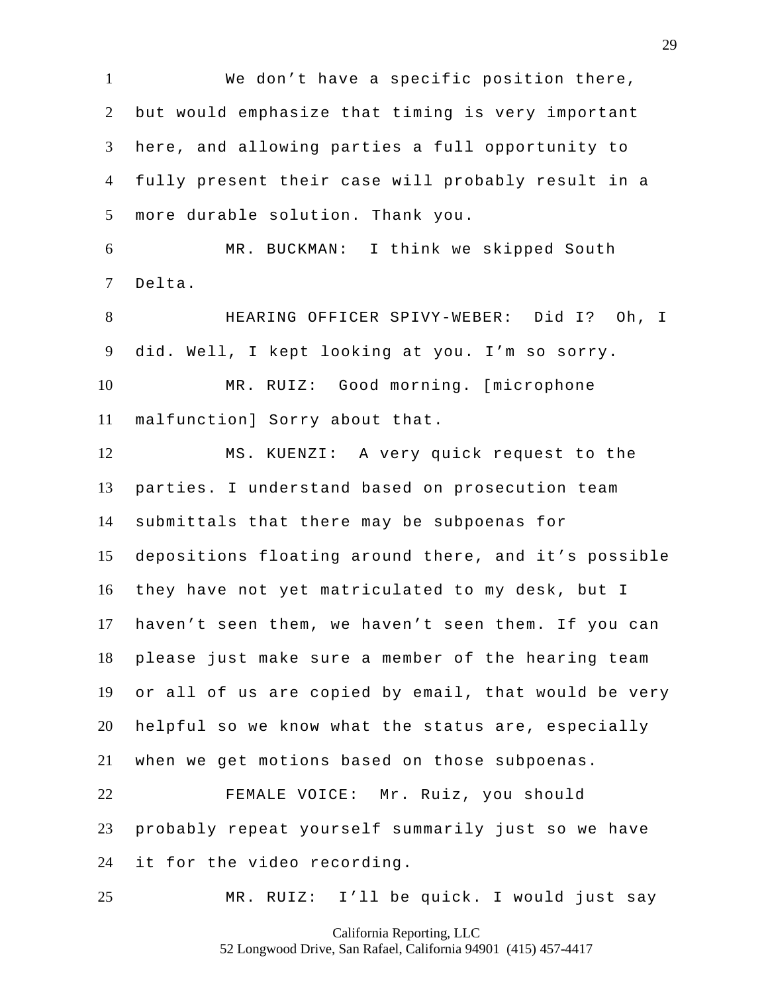We don't have a specific position there, but would emphasize that timing is very important here, and allowing parties a full opportunity to fully present their case will probably result in a more durable solution. Thank you. MR. BUCKMAN: I think we skipped South Delta. HEARING OFFICER SPIVY-WEBER: Did I? Oh, I did. Well, I kept looking at you. I'm so sorry. MR. RUIZ: Good morning. [microphone malfunction] Sorry about that. MS. KUENZI: A very quick request to the parties. I understand based on prosecution team submittals that there may be subpoenas for depositions floating around there, and it's possible they have not yet matriculated to my desk, but I haven't seen them, we haven't seen them. If you can please just make sure a member of the hearing team or all of us are copied by email, that would be very helpful so we know what the status are, especially when we get motions based on those subpoenas. FEMALE VOICE: Mr. Ruiz, you should probably repeat yourself summarily just so we have it for the video recording. MR. RUIZ: I'll be quick. I would just say

California Reporting, LLC

52 Longwood Drive, San Rafael, California 94901 (415) 457-4417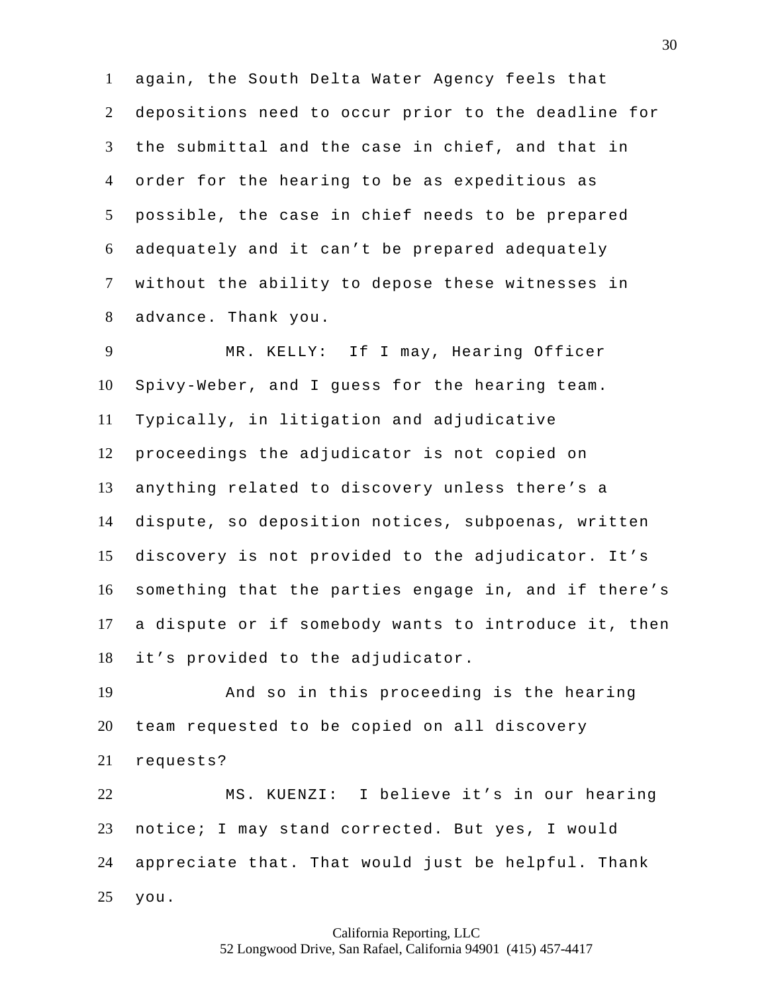again, the South Delta Water Agency feels that depositions need to occur prior to the deadline for the submittal and the case in chief, and that in order for the hearing to be as expeditious as possible, the case in chief needs to be prepared adequately and it can't be prepared adequately without the ability to depose these witnesses in advance. Thank you.

 MR. KELLY: If I may, Hearing Officer Spivy-Weber, and I guess for the hearing team. Typically, in litigation and adjudicative proceedings the adjudicator is not copied on anything related to discovery unless there's a dispute, so deposition notices, subpoenas, written discovery is not provided to the adjudicator. It's something that the parties engage in, and if there's a dispute or if somebody wants to introduce it, then it's provided to the adjudicator.

 And so in this proceeding is the hearing team requested to be copied on all discovery requests?

 MS. KUENZI: I believe it's in our hearing notice; I may stand corrected. But yes, I would appreciate that. That would just be helpful. Thank you.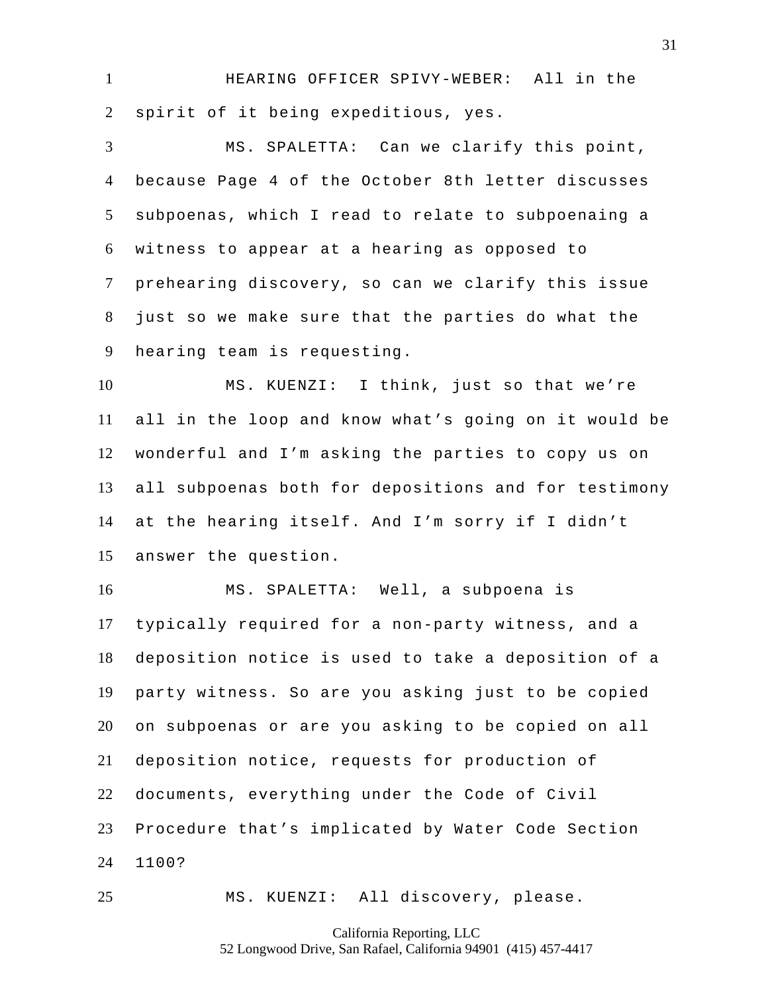HEARING OFFICER SPIVY-WEBER: All in the spirit of it being expeditious, yes.

 MS. SPALETTA: Can we clarify this point, because Page 4 of the October 8th letter discusses subpoenas, which I read to relate to subpoenaing a witness to appear at a hearing as opposed to prehearing discovery, so can we clarify this issue just so we make sure that the parties do what the hearing team is requesting.

 MS. KUENZI: I think, just so that we're all in the loop and know what's going on it would be wonderful and I'm asking the parties to copy us on all subpoenas both for depositions and for testimony at the hearing itself. And I'm sorry if I didn't answer the question.

 MS. SPALETTA: Well, a subpoena is typically required for a non-party witness, and a deposition notice is used to take a deposition of a party witness. So are you asking just to be copied on subpoenas or are you asking to be copied on all deposition notice, requests for production of documents, everything under the Code of Civil Procedure that's implicated by Water Code Section 1100?

MS. KUENZI: All discovery, please.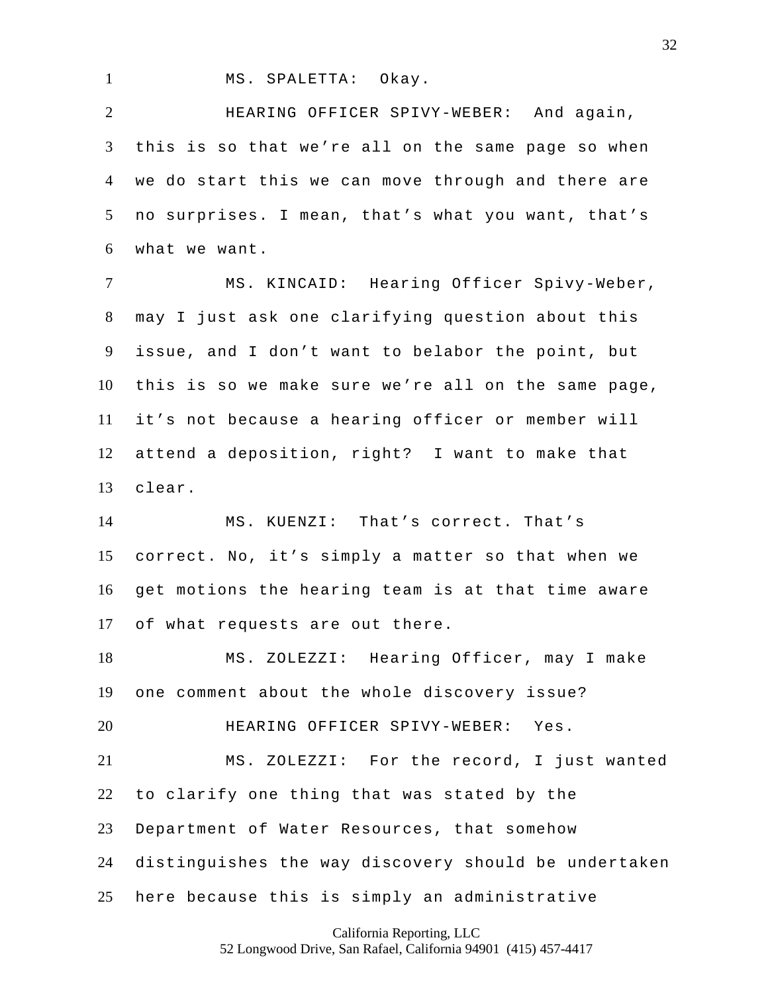MS. SPALETTA: Okay.

 HEARING OFFICER SPIVY-WEBER: And again, this is so that we're all on the same page so when we do start this we can move through and there are no surprises. I mean, that's what you want, that's what we want.

 MS. KINCAID: Hearing Officer Spivy-Weber, may I just ask one clarifying question about this issue, and I don't want to belabor the point, but this is so we make sure we're all on the same page, it's not because a hearing officer or member will attend a deposition, right? I want to make that clear.

 MS. KUENZI: That's correct. That's correct. No, it's simply a matter so that when we get motions the hearing team is at that time aware of what requests are out there.

 MS. ZOLEZZI: Hearing Officer, may I make one comment about the whole discovery issue?

HEARING OFFICER SPIVY-WEBER: Yes.

 MS. ZOLEZZI: For the record, I just wanted to clarify one thing that was stated by the Department of Water Resources, that somehow distinguishes the way discovery should be undertaken here because this is simply an administrative

California Reporting, LLC

52 Longwood Drive, San Rafael, California 94901 (415) 457-4417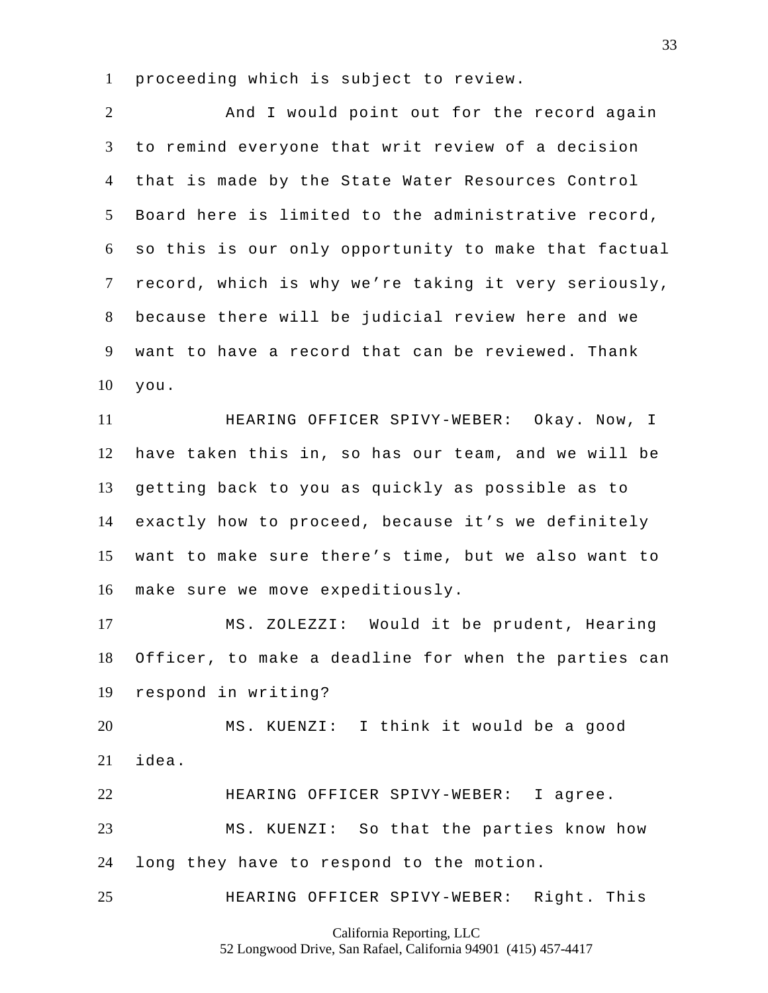proceeding which is subject to review.

2 And I would point out for the record again to remind everyone that writ review of a decision that is made by the State Water Resources Control Board here is limited to the administrative record, so this is our only opportunity to make that factual record, which is why we're taking it very seriously, because there will be judicial review here and we want to have a record that can be reviewed. Thank you. HEARING OFFICER SPIVY-WEBER: Okay. Now, I have taken this in, so has our team, and we will be getting back to you as quickly as possible as to exactly how to proceed, because it's we definitely want to make sure there's time, but we also want to make sure we move expeditiously. MS. ZOLEZZI: Would it be prudent, Hearing Officer, to make a deadline for when the parties can respond in writing? MS. KUENZI: I think it would be a good idea. HEARING OFFICER SPIVY-WEBER: I agree. MS. KUENZI: So that the parties know how long they have to respond to the motion. HEARING OFFICER SPIVY-WEBER: Right. This

California Reporting, LLC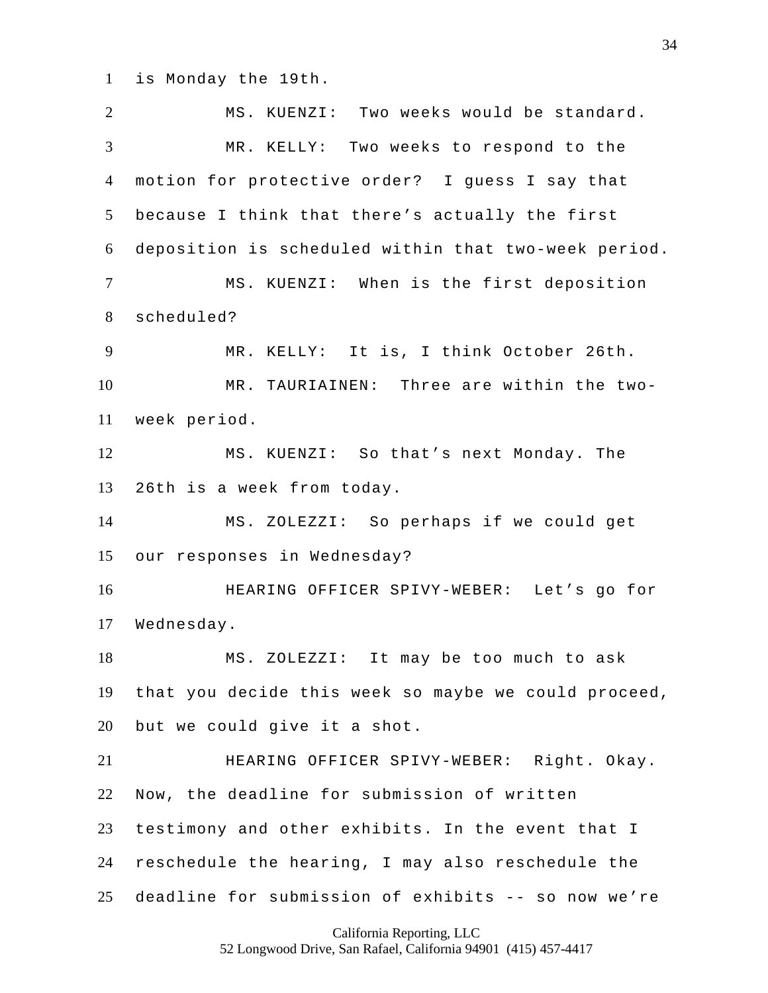is Monday the 19th.

 MS. KUENZI: Two weeks would be standard. MR. KELLY: Two weeks to respond to the motion for protective order? I guess I say that because I think that there's actually the first deposition is scheduled within that two-week period. MS. KUENZI: When is the first deposition scheduled? MR. KELLY: It is, I think October 26th. MR. TAURIAINEN: Three are within the two- week period. MS. KUENZI: So that's next Monday. The 26th is a week from today. MS. ZOLEZZI: So perhaps if we could get our responses in Wednesday? HEARING OFFICER SPIVY-WEBER: Let's go for Wednesday. MS. ZOLEZZI: It may be too much to ask that you decide this week so maybe we could proceed, but we could give it a shot. HEARING OFFICER SPIVY-WEBER: Right. Okay. Now, the deadline for submission of written testimony and other exhibits. In the event that I reschedule the hearing, I may also reschedule the deadline for submission of exhibits -- so now we're

California Reporting, LLC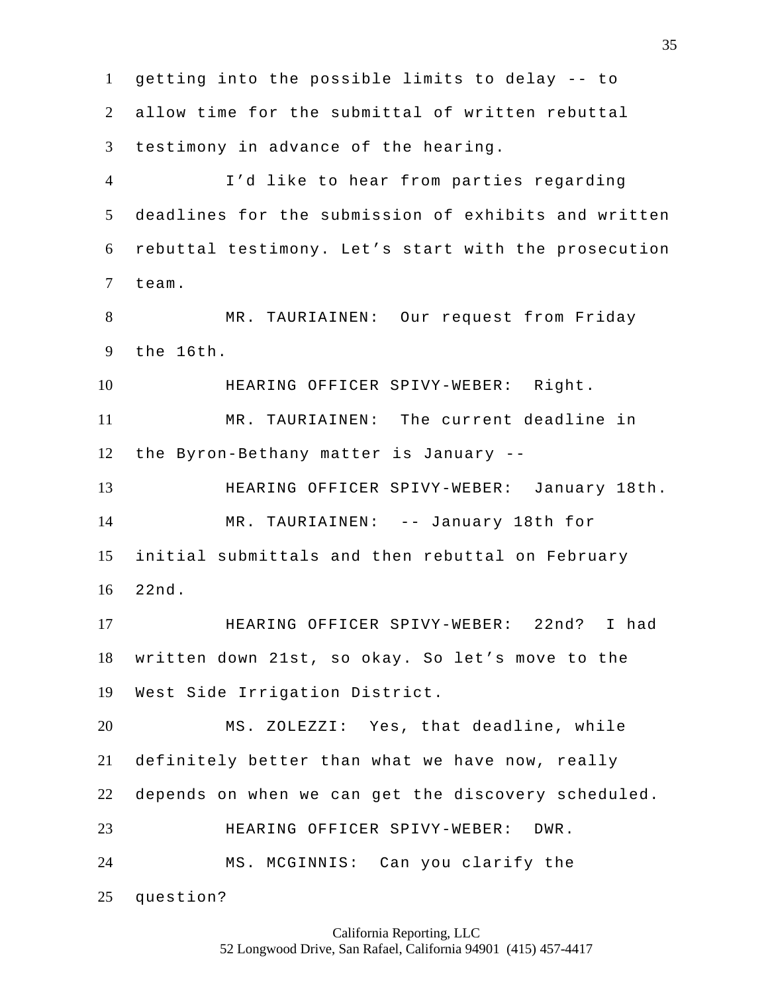getting into the possible limits to delay -- to allow time for the submittal of written rebuttal testimony in advance of the hearing. I'd like to hear from parties regarding deadlines for the submission of exhibits and written rebuttal testimony. Let's start with the prosecution team. MR. TAURIAINEN: Our request from Friday the 16th. HEARING OFFICER SPIVY-WEBER: Right. MR. TAURIAINEN: The current deadline in the Byron-Bethany matter is January -- HEARING OFFICER SPIVY-WEBER: January 18th. MR. TAURIAINEN: -- January 18th for initial submittals and then rebuttal on February 22nd. HEARING OFFICER SPIVY-WEBER: 22nd? I had written down 21st, so okay. So let's move to the West Side Irrigation District. MS. ZOLEZZI: Yes, that deadline, while definitely better than what we have now, really depends on when we can get the discovery scheduled. HEARING OFFICER SPIVY-WEBER: DWR. MS. MCGINNIS: Can you clarify the question?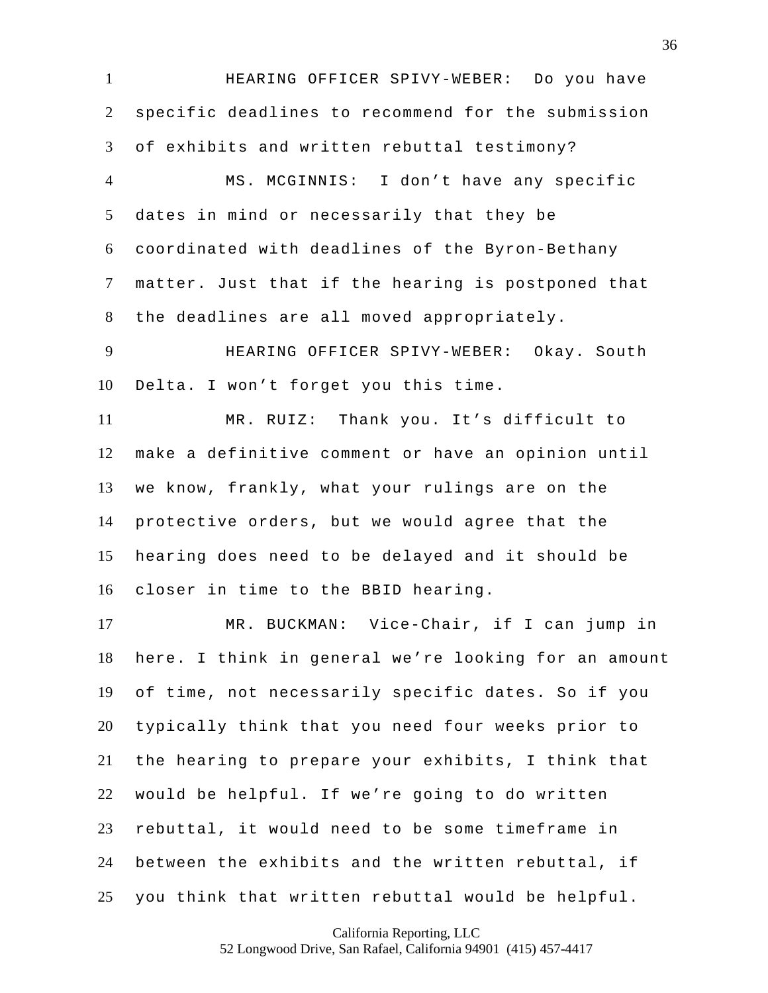HEARING OFFICER SPIVY-WEBER: Do you have specific deadlines to recommend for the submission of exhibits and written rebuttal testimony?

 MS. MCGINNIS: I don't have any specific dates in mind or necessarily that they be coordinated with deadlines of the Byron-Bethany matter. Just that if the hearing is postponed that the deadlines are all moved appropriately.

 HEARING OFFICER SPIVY-WEBER: Okay. South Delta. I won't forget you this time.

 MR. RUIZ: Thank you. It's difficult to make a definitive comment or have an opinion until we know, frankly, what your rulings are on the protective orders, but we would agree that the hearing does need to be delayed and it should be closer in time to the BBID hearing.

 MR. BUCKMAN: Vice-Chair, if I can jump in here. I think in general we're looking for an amount of time, not necessarily specific dates. So if you typically think that you need four weeks prior to the hearing to prepare your exhibits, I think that would be helpful. If we're going to do written rebuttal, it would need to be some timeframe in between the exhibits and the written rebuttal, if you think that written rebuttal would be helpful.

California Reporting, LLC

52 Longwood Drive, San Rafael, California 94901 (415) 457-4417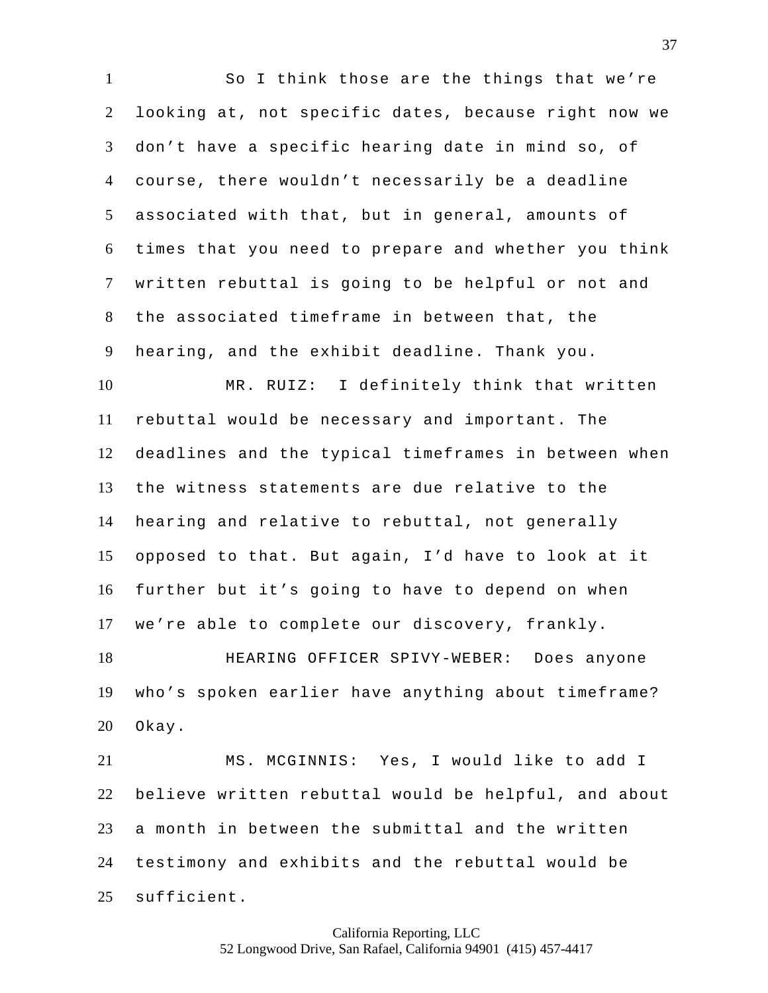So I think those are the things that we're looking at, not specific dates, because right now we don't have a specific hearing date in mind so, of course, there wouldn't necessarily be a deadline associated with that, but in general, amounts of times that you need to prepare and whether you think written rebuttal is going to be helpful or not and the associated timeframe in between that, the hearing, and the exhibit deadline. Thank you. MR. RUIZ: I definitely think that written rebuttal would be necessary and important. The deadlines and the typical timeframes in between when the witness statements are due relative to the hearing and relative to rebuttal, not generally opposed to that. But again, I'd have to look at it further but it's going to have to depend on when we're able to complete our discovery, frankly. HEARING OFFICER SPIVY-WEBER: Does anyone who's spoken earlier have anything about timeframe? Okay. MS. MCGINNIS: Yes, I would like to add I believe written rebuttal would be helpful, and about a month in between the submittal and the written

 testimony and exhibits and the rebuttal would be sufficient.

> California Reporting, LLC 52 Longwood Drive, San Rafael, California 94901 (415) 457-4417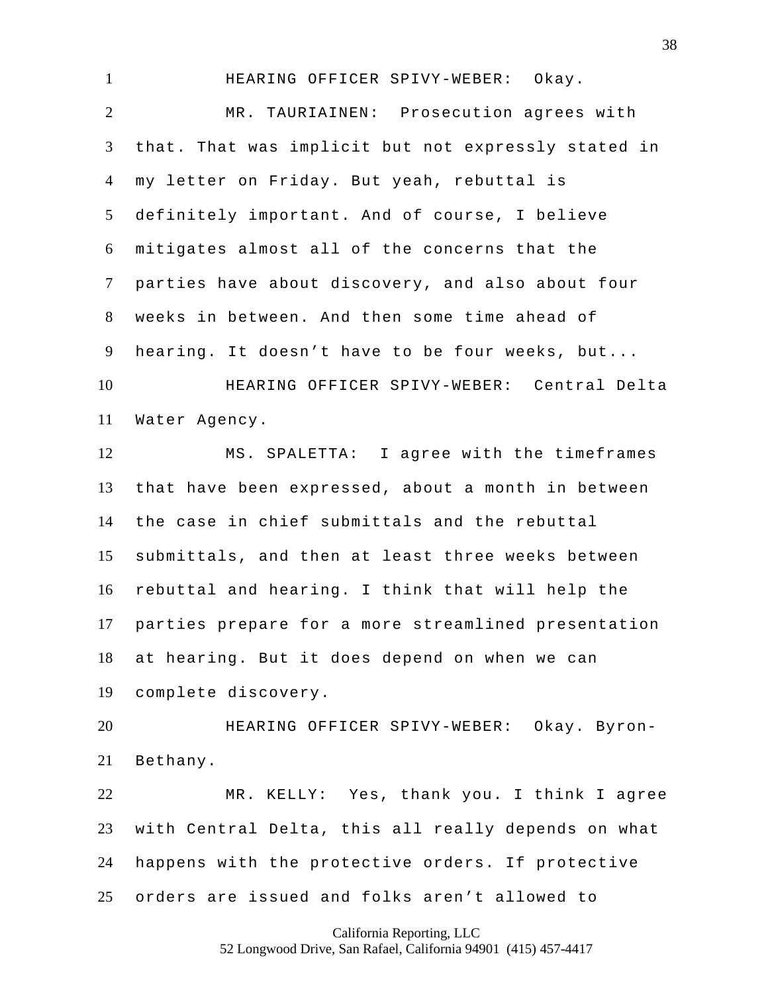HEARING OFFICER SPIVY-WEBER: Okay. MR. TAURIAINEN: Prosecution agrees with that. That was implicit but not expressly stated in my letter on Friday. But yeah, rebuttal is definitely important. And of course, I believe mitigates almost all of the concerns that the parties have about discovery, and also about four weeks in between. And then some time ahead of hearing. It doesn't have to be four weeks, but... HEARING OFFICER SPIVY-WEBER: Central Delta Water Agency. MS. SPALETTA: I agree with the timeframes that have been expressed, about a month in between the case in chief submittals and the rebuttal submittals, and then at least three weeks between rebuttal and hearing. I think that will help the parties prepare for a more streamlined presentation at hearing. But it does depend on when we can complete discovery. HEARING OFFICER SPIVY-WEBER: Okay. Byron-Bethany.

 MR. KELLY: Yes, thank you. I think I agree with Central Delta, this all really depends on what happens with the protective orders. If protective orders are issued and folks aren't allowed to

> California Reporting, LLC 52 Longwood Drive, San Rafael, California 94901 (415) 457-4417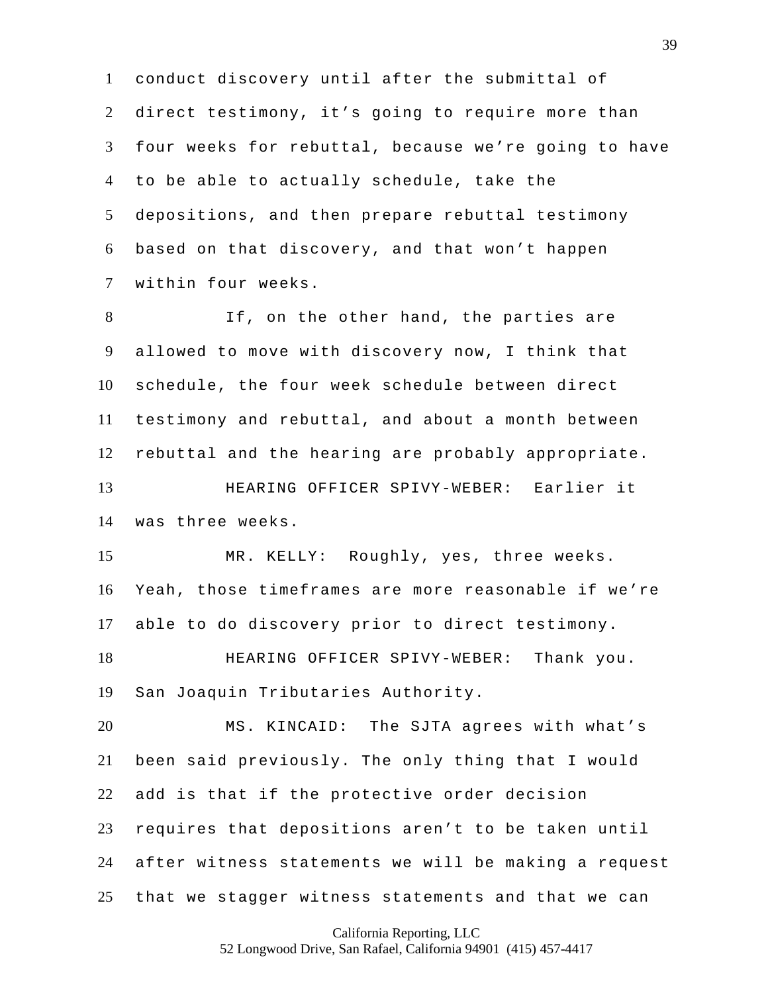conduct discovery until after the submittal of direct testimony, it's going to require more than four weeks for rebuttal, because we're going to have to be able to actually schedule, take the depositions, and then prepare rebuttal testimony based on that discovery, and that won't happen within four weeks.

 If, on the other hand, the parties are allowed to move with discovery now, I think that schedule, the four week schedule between direct testimony and rebuttal, and about a month between rebuttal and the hearing are probably appropriate. HEARING OFFICER SPIVY-WEBER: Earlier it was three weeks.

 MR. KELLY: Roughly, yes, three weeks. Yeah, those timeframes are more reasonable if we're able to do discovery prior to direct testimony.

 HEARING OFFICER SPIVY-WEBER: Thank you. San Joaquin Tributaries Authority.

 MS. KINCAID: The SJTA agrees with what's been said previously. The only thing that I would add is that if the protective order decision requires that depositions aren't to be taken until after witness statements we will be making a request that we stagger witness statements and that we can

California Reporting, LLC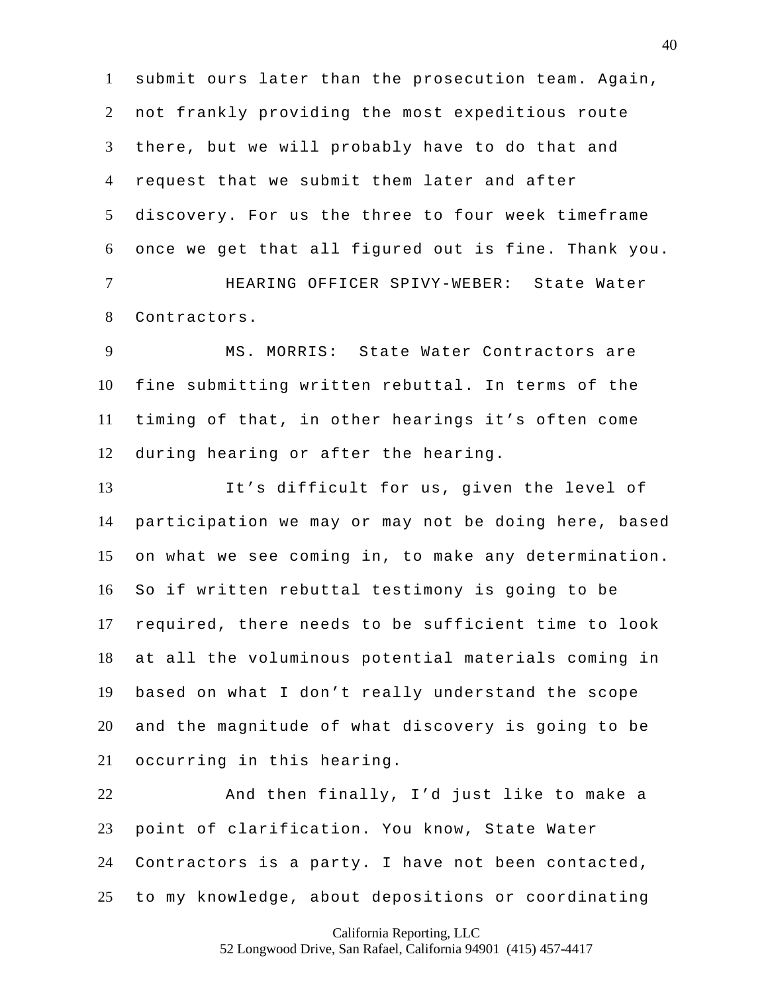submit ours later than the prosecution team. Again, not frankly providing the most expeditious route there, but we will probably have to do that and request that we submit them later and after discovery. For us the three to four week timeframe once we get that all figured out is fine. Thank you. HEARING OFFICER SPIVY-WEBER: State Water

Contractors.

 MS. MORRIS: State Water Contractors are fine submitting written rebuttal. In terms of the timing of that, in other hearings it's often come during hearing or after the hearing.

 It's difficult for us, given the level of participation we may or may not be doing here, based on what we see coming in, to make any determination. So if written rebuttal testimony is going to be required, there needs to be sufficient time to look at all the voluminous potential materials coming in based on what I don't really understand the scope and the magnitude of what discovery is going to be occurring in this hearing.

 And then finally, I'd just like to make a point of clarification. You know, State Water Contractors is a party. I have not been contacted, to my knowledge, about depositions or coordinating

California Reporting, LLC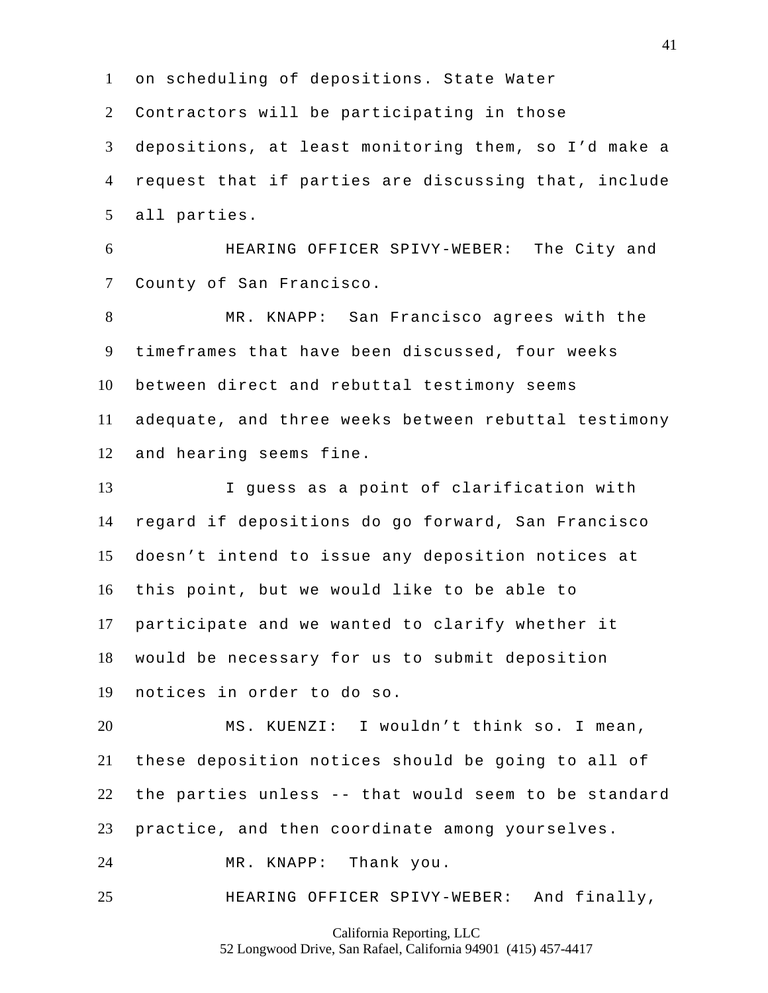on scheduling of depositions. State Water Contractors will be participating in those depositions, at least monitoring them, so I'd make a request that if parties are discussing that, include all parties.

 HEARING OFFICER SPIVY-WEBER: The City and County of San Francisco.

 MR. KNAPP: San Francisco agrees with the timeframes that have been discussed, four weeks between direct and rebuttal testimony seems adequate, and three weeks between rebuttal testimony and hearing seems fine.

 I guess as a point of clarification with regard if depositions do go forward, San Francisco doesn't intend to issue any deposition notices at this point, but we would like to be able to participate and we wanted to clarify whether it would be necessary for us to submit deposition notices in order to do so.

 MS. KUENZI: I wouldn't think so. I mean, these deposition notices should be going to all of the parties unless -- that would seem to be standard practice, and then coordinate among yourselves.

MR. KNAPP: Thank you.

HEARING OFFICER SPIVY-WEBER: And finally,

California Reporting, LLC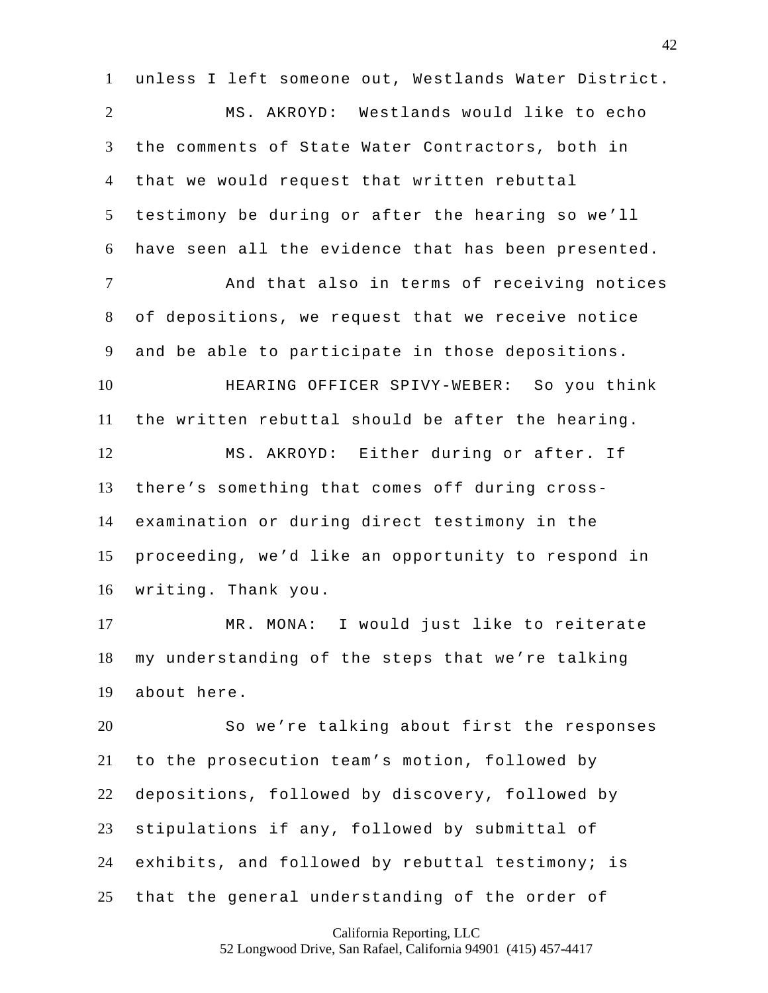unless I left someone out, Westlands Water District. MS. AKROYD: Westlands would like to echo the comments of State Water Contractors, both in that we would request that written rebuttal testimony be during or after the hearing so we'll have seen all the evidence that has been presented. And that also in terms of receiving notices of depositions, we request that we receive notice and be able to participate in those depositions. HEARING OFFICER SPIVY-WEBER: So you think the written rebuttal should be after the hearing. MS. AKROYD: Either during or after. If there's something that comes off during cross- examination or during direct testimony in the proceeding, we'd like an opportunity to respond in writing. Thank you. MR. MONA: I would just like to reiterate my understanding of the steps that we're talking about here. So we're talking about first the responses to the prosecution team's motion, followed by depositions, followed by discovery, followed by stipulations if any, followed by submittal of exhibits, and followed by rebuttal testimony; is that the general understanding of the order of

California Reporting, LLC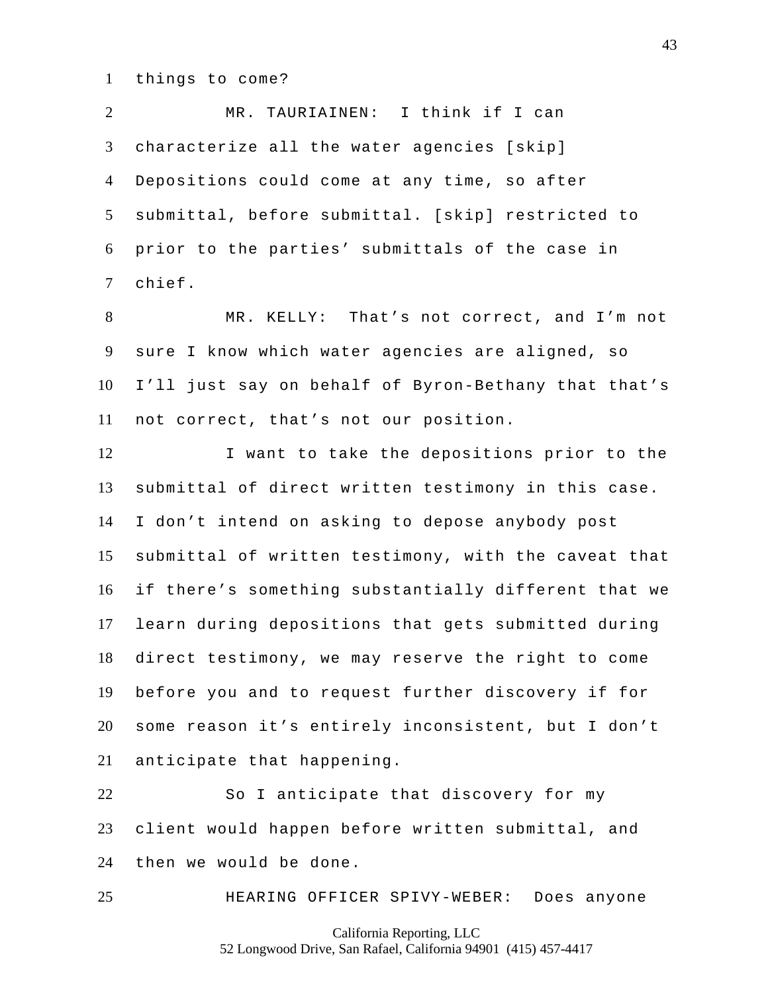things to come?

 MR. TAURIAINEN: I think if I can characterize all the water agencies [skip] Depositions could come at any time, so after submittal, before submittal. [skip] restricted to prior to the parties' submittals of the case in chief.

 MR. KELLY: That's not correct, and I'm not sure I know which water agencies are aligned, so I'll just say on behalf of Byron-Bethany that that's not correct, that's not our position.

 I want to take the depositions prior to the submittal of direct written testimony in this case. I don't intend on asking to depose anybody post submittal of written testimony, with the caveat that if there's something substantially different that we learn during depositions that gets submitted during direct testimony, we may reserve the right to come before you and to request further discovery if for some reason it's entirely inconsistent, but I don't anticipate that happening.

 So I anticipate that discovery for my client would happen before written submittal, and then we would be done.

HEARING OFFICER SPIVY-WEBER: Does anyone

California Reporting, LLC 52 Longwood Drive, San Rafael, California 94901 (415) 457-4417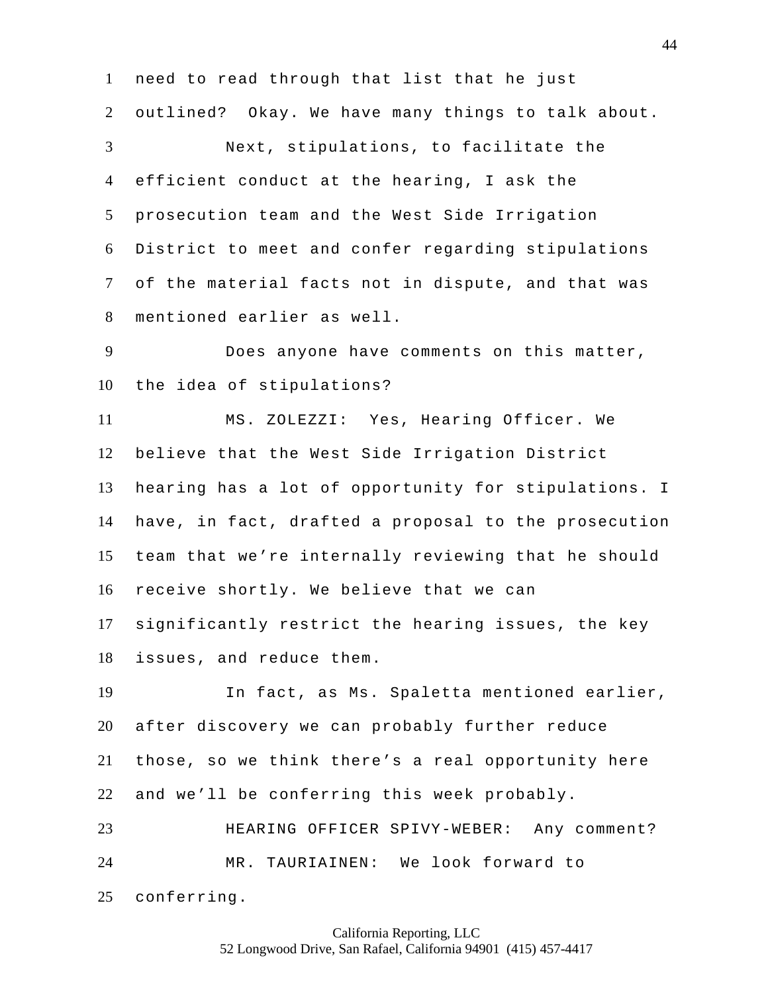need to read through that list that he just outlined? Okay. We have many things to talk about. Next, stipulations, to facilitate the efficient conduct at the hearing, I ask the prosecution team and the West Side Irrigation District to meet and confer regarding stipulations of the material facts not in dispute, and that was mentioned earlier as well.

 Does anyone have comments on this matter, the idea of stipulations?

 MS. ZOLEZZI: Yes, Hearing Officer. We believe that the West Side Irrigation District hearing has a lot of opportunity for stipulations. I have, in fact, drafted a proposal to the prosecution team that we're internally reviewing that he should receive shortly. We believe that we can significantly restrict the hearing issues, the key issues, and reduce them.

 In fact, as Ms. Spaletta mentioned earlier, after discovery we can probably further reduce those, so we think there's a real opportunity here and we'll be conferring this week probably. HEARING OFFICER SPIVY-WEBER: Any comment? MR. TAURIAINEN: We look forward to

conferring.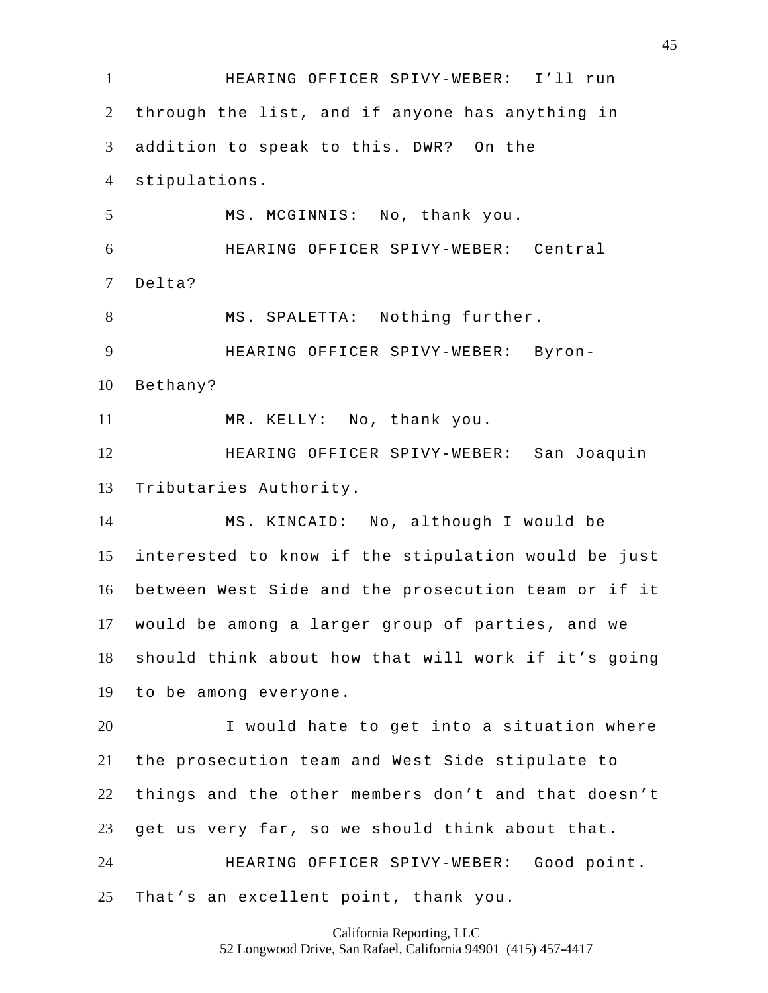HEARING OFFICER SPIVY-WEBER: I'll run through the list, and if anyone has anything in addition to speak to this. DWR? On the stipulations. MS. MCGINNIS: No, thank you. HEARING OFFICER SPIVY-WEBER: Central Delta? MS. SPALETTA: Nothing further. HEARING OFFICER SPIVY-WEBER: Byron- Bethany? MR. KELLY: No, thank you. HEARING OFFICER SPIVY-WEBER: San Joaquin Tributaries Authority. MS. KINCAID: No, although I would be interested to know if the stipulation would be just between West Side and the prosecution team or if it would be among a larger group of parties, and we should think about how that will work if it's going to be among everyone. I would hate to get into a situation where the prosecution team and West Side stipulate to things and the other members don't and that doesn't get us very far, so we should think about that. HEARING OFFICER SPIVY-WEBER: Good point. That's an excellent point, thank you.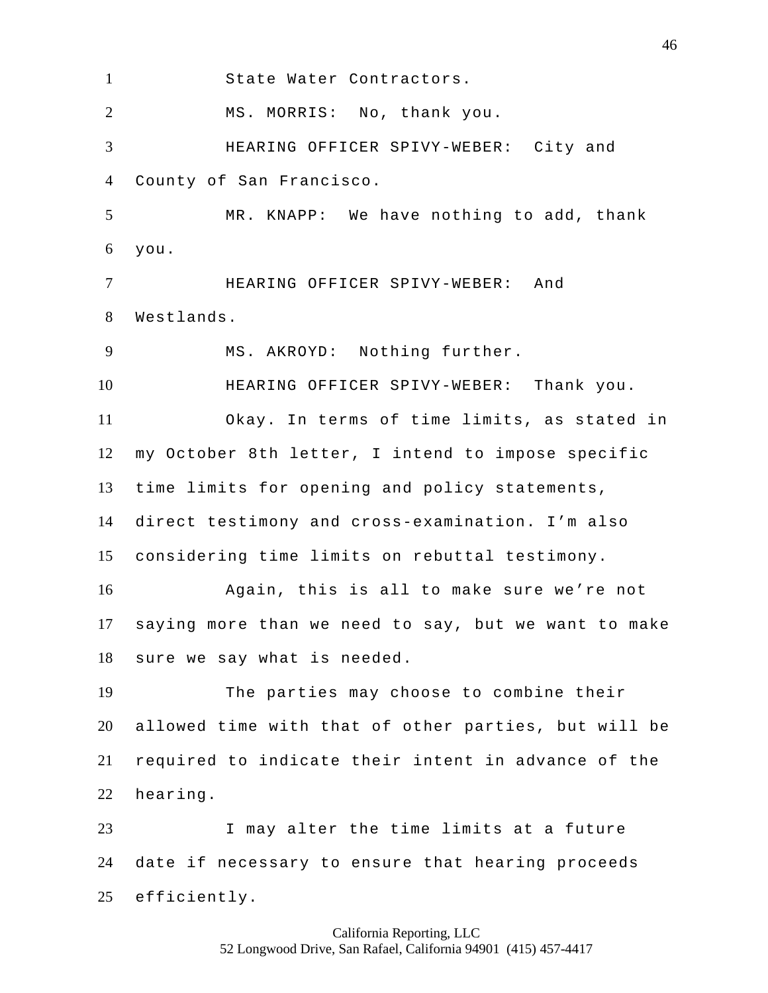State Water Contractors. MS. MORRIS: No, thank you. HEARING OFFICER SPIVY-WEBER: City and County of San Francisco. MR. KNAPP: We have nothing to add, thank you. HEARING OFFICER SPIVY-WEBER: And Westlands. MS. AKROYD: Nothing further. HEARING OFFICER SPIVY-WEBER: Thank you. Okay. In terms of time limits, as stated in my October 8th letter, I intend to impose specific time limits for opening and policy statements, direct testimony and cross-examination. I'm also considering time limits on rebuttal testimony. Again, this is all to make sure we're not saying more than we need to say, but we want to make sure we say what is needed. The parties may choose to combine their allowed time with that of other parties, but will be required to indicate their intent in advance of the hearing. I may alter the time limits at a future date if necessary to ensure that hearing proceeds efficiently.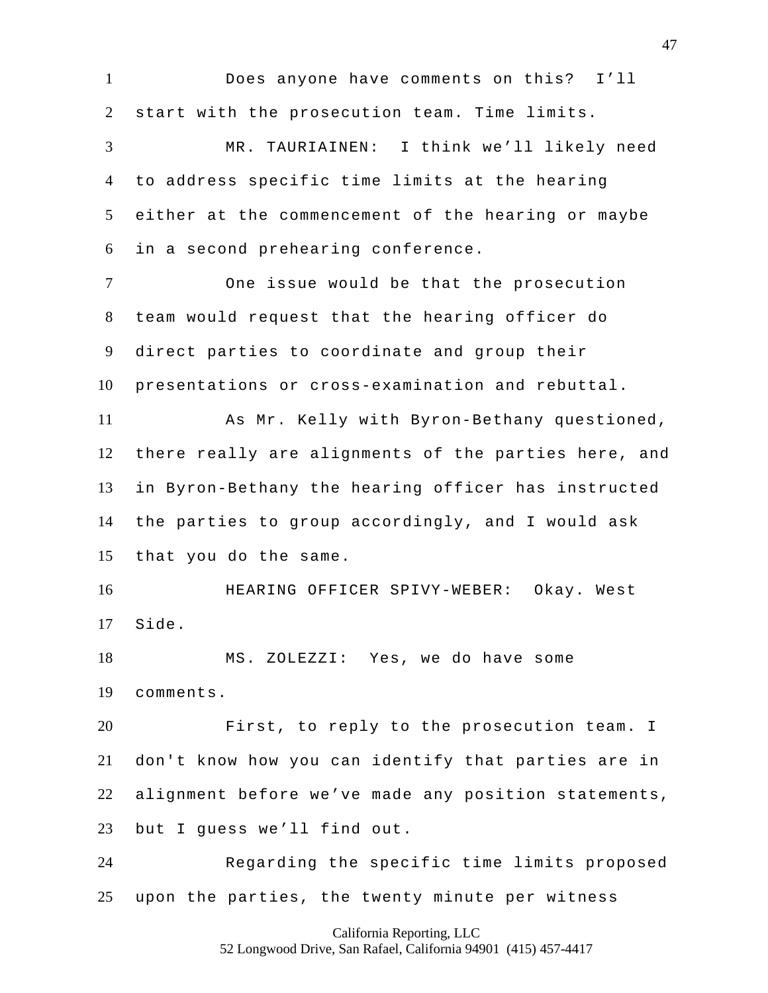Does anyone have comments on this? I'll start with the prosecution team. Time limits. MR. TAURIAINEN: I think we'll likely need to address specific time limits at the hearing either at the commencement of the hearing or maybe in a second prehearing conference. One issue would be that the prosecution team would request that the hearing officer do direct parties to coordinate and group their presentations or cross-examination and rebuttal. As Mr. Kelly with Byron-Bethany questioned, there really are alignments of the parties here, and in Byron-Bethany the hearing officer has instructed the parties to group accordingly, and I would ask that you do the same. HEARING OFFICER SPIVY-WEBER: Okay. West Side. MS. ZOLEZZI: Yes, we do have some comments. First, to reply to the prosecution team. I don't know how you can identify that parties are in alignment before we've made any position statements, but I guess we'll find out. Regarding the specific time limits proposed upon the parties, the twenty minute per witness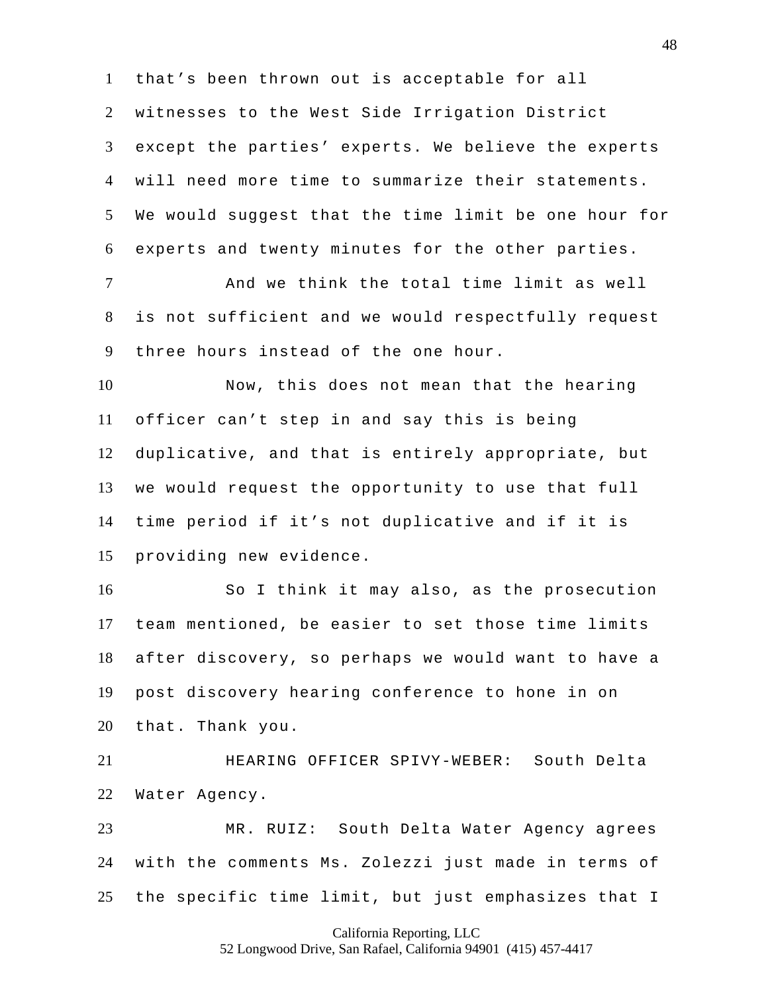that's been thrown out is acceptable for all

 witnesses to the West Side Irrigation District except the parties' experts. We believe the experts will need more time to summarize their statements. We would suggest that the time limit be one hour for experts and twenty minutes for the other parties.

 And we think the total time limit as well is not sufficient and we would respectfully request three hours instead of the one hour.

 Now, this does not mean that the hearing officer can't step in and say this is being duplicative, and that is entirely appropriate, but we would request the opportunity to use that full time period if it's not duplicative and if it is providing new evidence.

 So I think it may also, as the prosecution team mentioned, be easier to set those time limits after discovery, so perhaps we would want to have a post discovery hearing conference to hone in on that. Thank you.

 HEARING OFFICER SPIVY-WEBER: South Delta Water Agency.

 MR. RUIZ: South Delta Water Agency agrees with the comments Ms. Zolezzi just made in terms of the specific time limit, but just emphasizes that I

California Reporting, LLC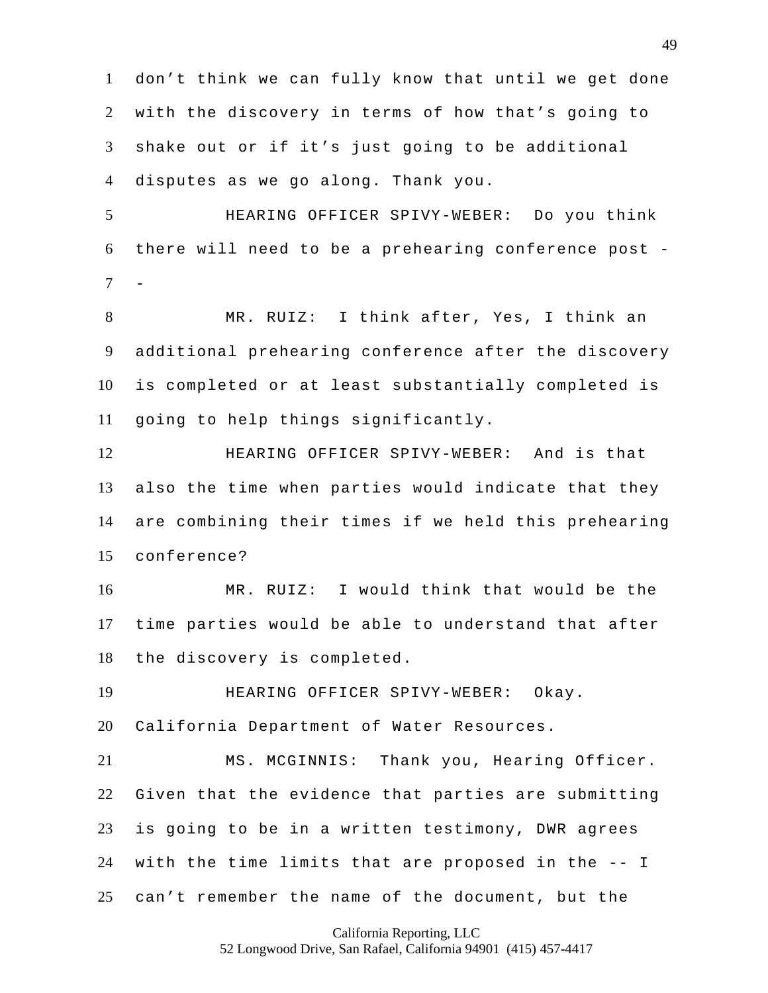don't think we can fully know that until we get done with the discovery in terms of how that's going to shake out or if it's just going to be additional disputes as we go along. Thank you.

 HEARING OFFICER SPIVY-WEBER: Do you think there will need to be a prehearing conference post -  $\overline{7}$ 

 MR. RUIZ: I think after, Yes, I think an additional prehearing conference after the discovery is completed or at least substantially completed is going to help things significantly.

 HEARING OFFICER SPIVY-WEBER: And is that also the time when parties would indicate that they are combining their times if we held this prehearing conference?

 MR. RUIZ: I would think that would be the time parties would be able to understand that after the discovery is completed.

 HEARING OFFICER SPIVY-WEBER: Okay. California Department of Water Resources.

 MS. MCGINNIS: Thank you, Hearing Officer. Given that the evidence that parties are submitting is going to be in a written testimony, DWR agrees with the time limits that are proposed in the -- I can't remember the name of the document, but the

California Reporting, LLC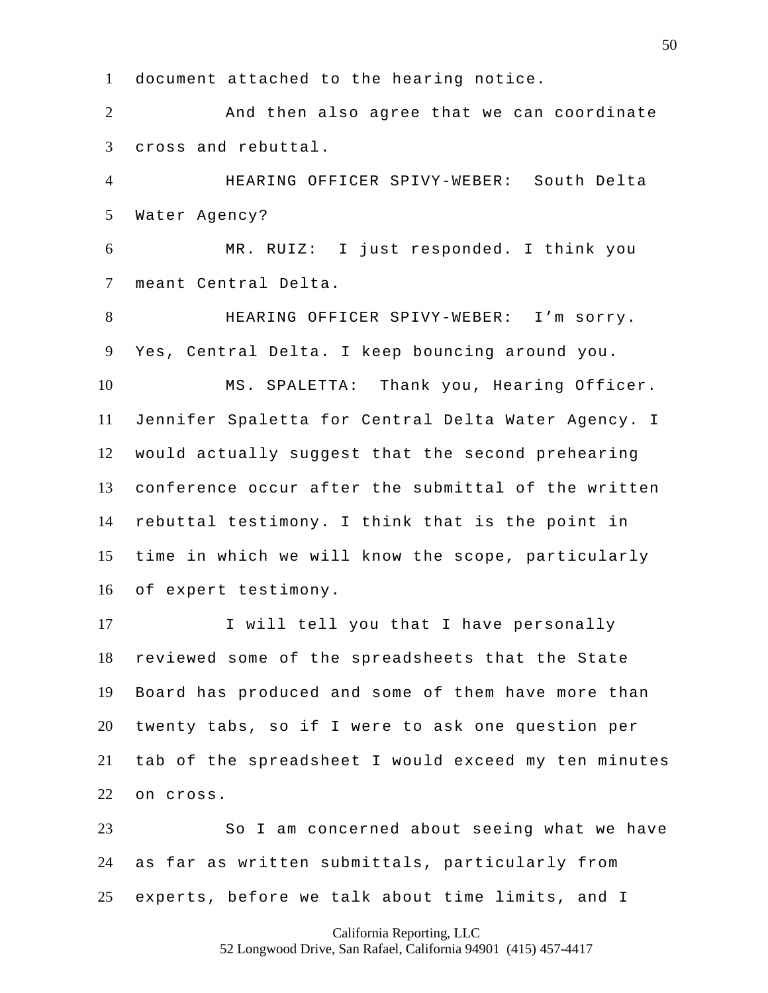document attached to the hearing notice.

2 And then also agree that we can coordinate cross and rebuttal.

 HEARING OFFICER SPIVY-WEBER: South Delta Water Agency?

 MR. RUIZ: I just responded. I think you meant Central Delta.

 HEARING OFFICER SPIVY-WEBER: I'm sorry. Yes, Central Delta. I keep bouncing around you. MS. SPALETTA: Thank you, Hearing Officer. Jennifer Spaletta for Central Delta Water Agency. I would actually suggest that the second prehearing conference occur after the submittal of the written rebuttal testimony. I think that is the point in time in which we will know the scope, particularly of expert testimony.

 I will tell you that I have personally reviewed some of the spreadsheets that the State Board has produced and some of them have more than twenty tabs, so if I were to ask one question per tab of the spreadsheet I would exceed my ten minutes on cross.

 So I am concerned about seeing what we have as far as written submittals, particularly from experts, before we talk about time limits, and I

California Reporting, LLC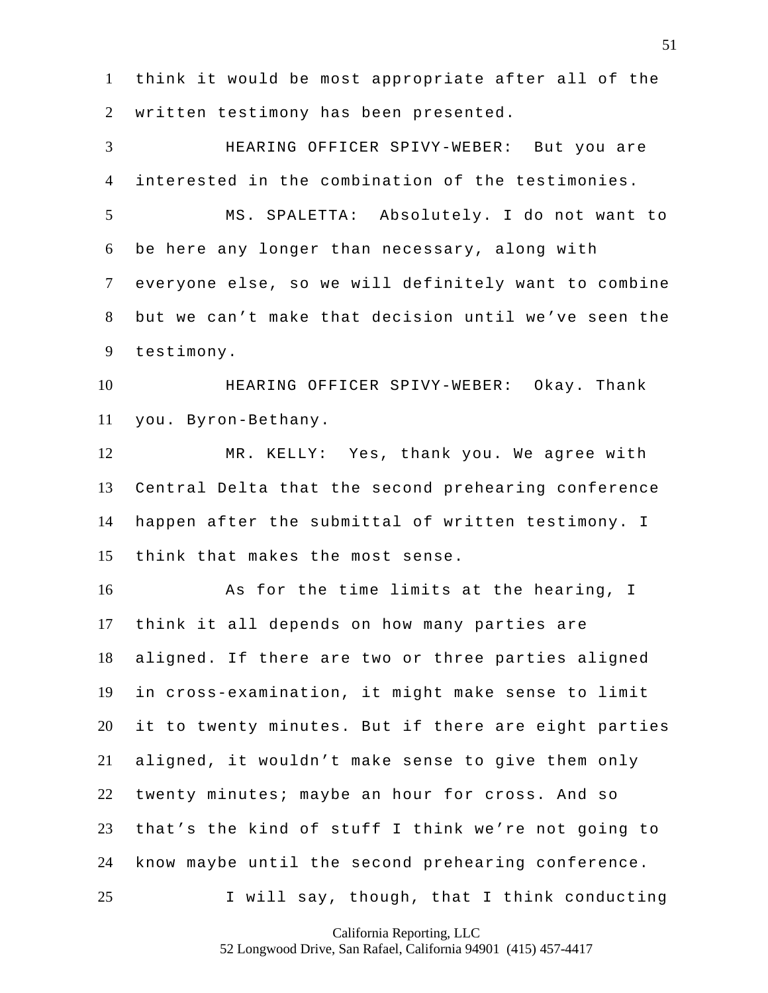think it would be most appropriate after all of the written testimony has been presented.

 HEARING OFFICER SPIVY-WEBER: But you are interested in the combination of the testimonies. MS. SPALETTA: Absolutely. I do not want to be here any longer than necessary, along with everyone else, so we will definitely want to combine but we can't make that decision until we've seen the testimony.

 HEARING OFFICER SPIVY-WEBER: Okay. Thank you. Byron-Bethany.

 MR. KELLY: Yes, thank you. We agree with Central Delta that the second prehearing conference happen after the submittal of written testimony. I think that makes the most sense.

 As for the time limits at the hearing, I think it all depends on how many parties are aligned. If there are two or three parties aligned in cross-examination, it might make sense to limit it to twenty minutes. But if there are eight parties aligned, it wouldn't make sense to give them only twenty minutes; maybe an hour for cross. And so that's the kind of stuff I think we're not going to know maybe until the second prehearing conference. I will say, though, that I think conducting

California Reporting, LLC

52 Longwood Drive, San Rafael, California 94901 (415) 457-4417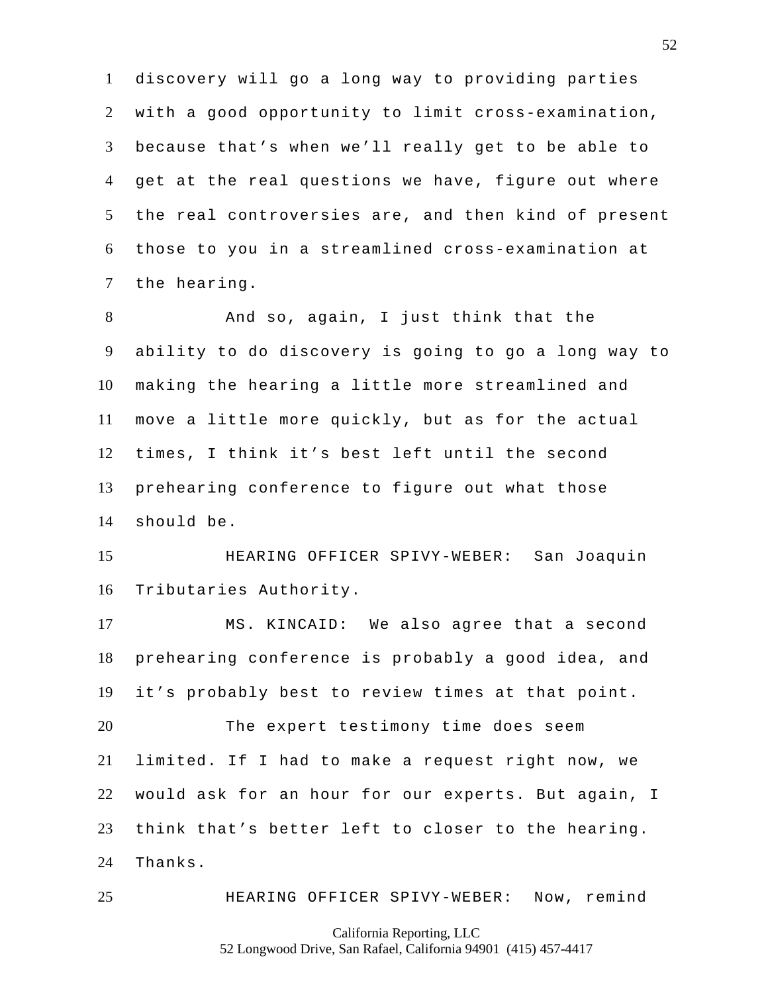discovery will go a long way to providing parties with a good opportunity to limit cross-examination, because that's when we'll really get to be able to get at the real questions we have, figure out where the real controversies are, and then kind of present those to you in a streamlined cross-examination at the hearing.

 And so, again, I just think that the ability to do discovery is going to go a long way to making the hearing a little more streamlined and move a little more quickly, but as for the actual times, I think it's best left until the second prehearing conference to figure out what those should be.

 HEARING OFFICER SPIVY-WEBER: San Joaquin Tributaries Authority.

 MS. KINCAID: We also agree that a second prehearing conference is probably a good idea, and it's probably best to review times at that point.

 The expert testimony time does seem limited. If I had to make a request right now, we would ask for an hour for our experts. But again, I think that's better left to closer to the hearing. Thanks.

HEARING OFFICER SPIVY-WEBER: Now, remind

California Reporting, LLC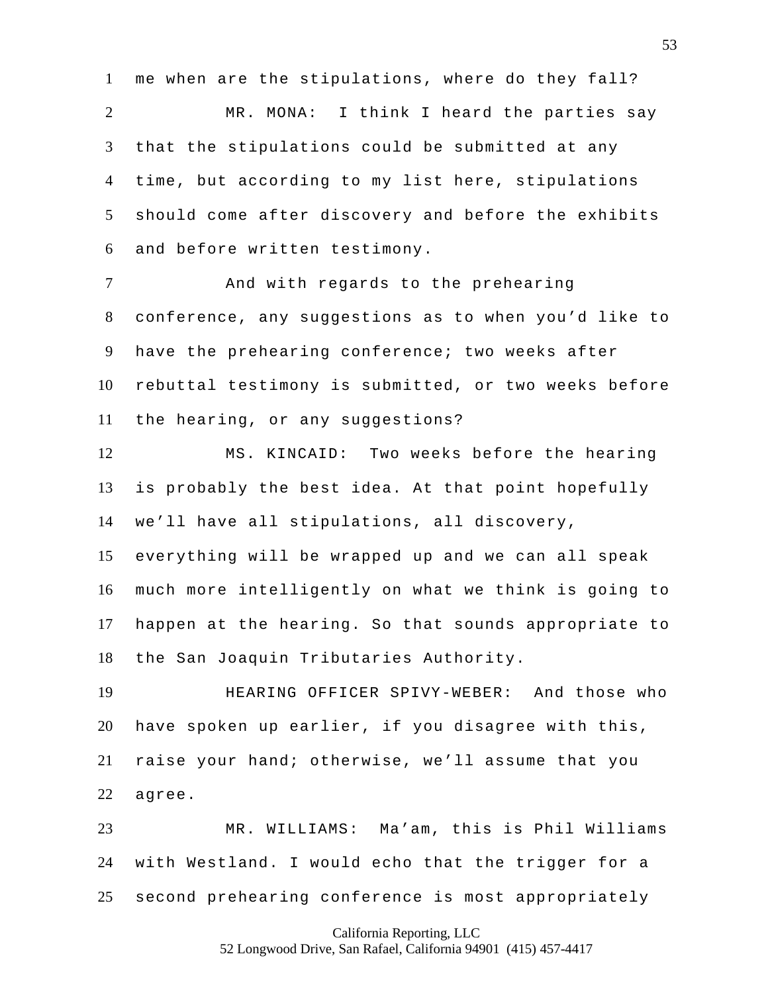me when are the stipulations, where do they fall?

 MR. MONA: I think I heard the parties say that the stipulations could be submitted at any time, but according to my list here, stipulations should come after discovery and before the exhibits and before written testimony.

 And with regards to the prehearing conference, any suggestions as to when you'd like to have the prehearing conference; two weeks after rebuttal testimony is submitted, or two weeks before the hearing, or any suggestions?

 MS. KINCAID: Two weeks before the hearing is probably the best idea. At that point hopefully we'll have all stipulations, all discovery,

 everything will be wrapped up and we can all speak much more intelligently on what we think is going to happen at the hearing. So that sounds appropriate to the San Joaquin Tributaries Authority.

 HEARING OFFICER SPIVY-WEBER: And those who have spoken up earlier, if you disagree with this, raise your hand; otherwise, we'll assume that you agree.

 MR. WILLIAMS: Ma'am, this is Phil Williams with Westland. I would echo that the trigger for a second prehearing conference is most appropriately

California Reporting, LLC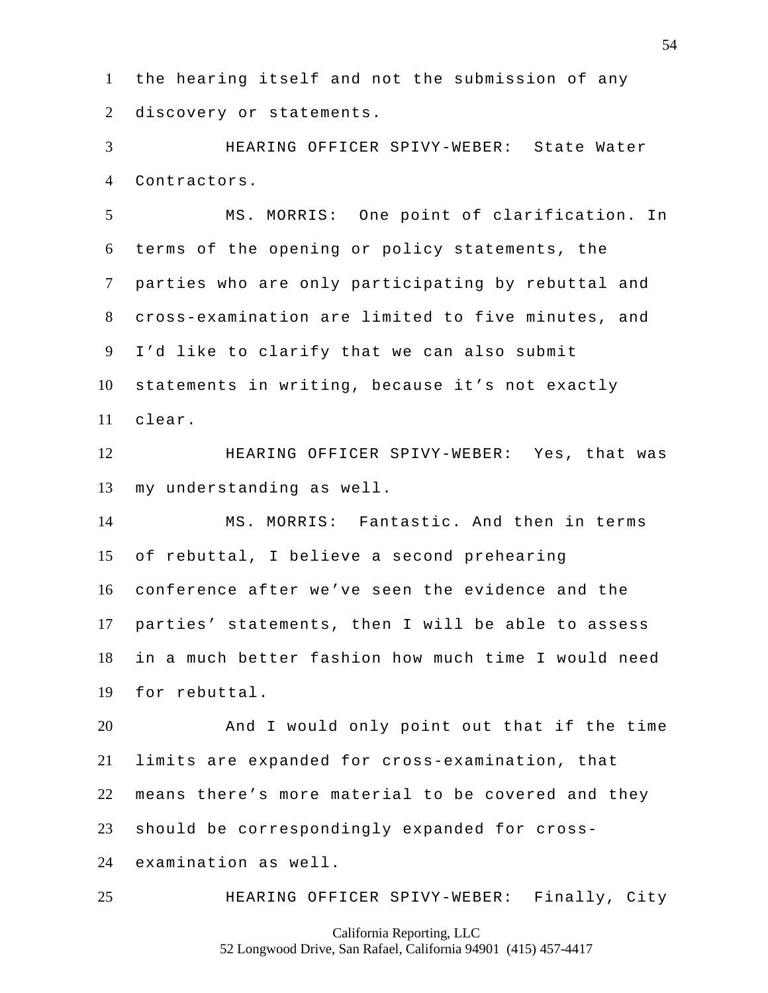the hearing itself and not the submission of any discovery or statements.

 HEARING OFFICER SPIVY-WEBER: State Water Contractors.

 MS. MORRIS: One point of clarification. In terms of the opening or policy statements, the parties who are only participating by rebuttal and cross-examination are limited to five minutes, and I'd like to clarify that we can also submit statements in writing, because it's not exactly clear.

 HEARING OFFICER SPIVY-WEBER: Yes, that was my understanding as well.

 MS. MORRIS: Fantastic. And then in terms of rebuttal, I believe a second prehearing conference after we've seen the evidence and the parties' statements, then I will be able to assess in a much better fashion how much time I would need for rebuttal.

 And I would only point out that if the time limits are expanded for cross-examination, that means there's more material to be covered and they should be correspondingly expanded for cross-examination as well.

HEARING OFFICER SPIVY-WEBER: Finally, City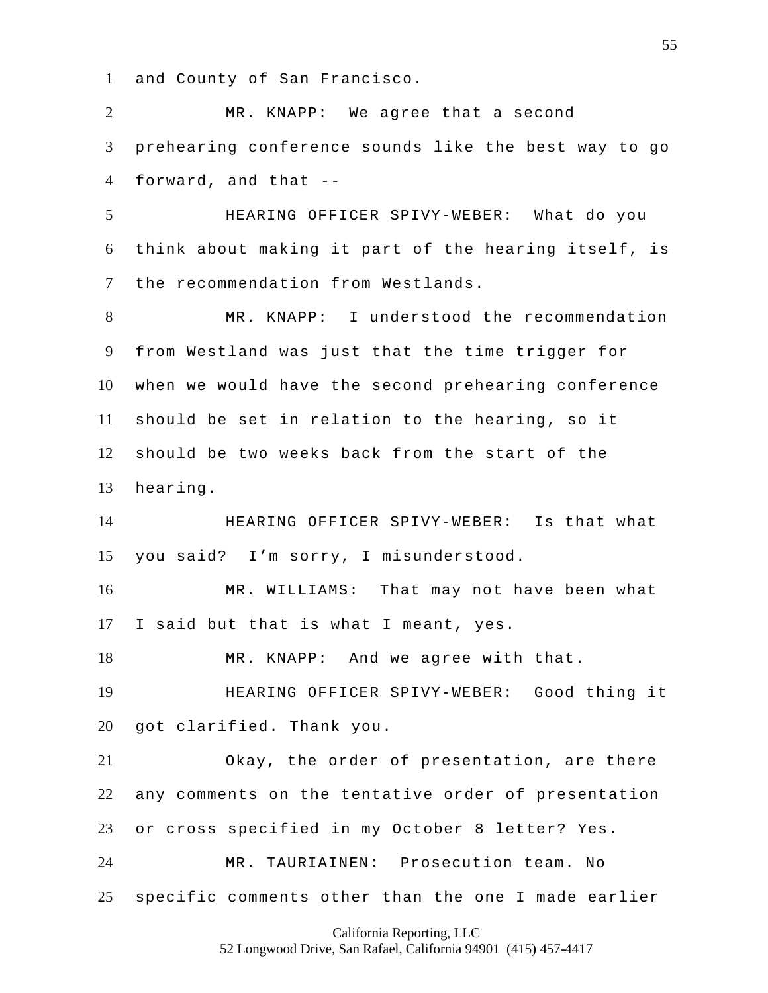and County of San Francisco.

 MR. KNAPP: We agree that a second prehearing conference sounds like the best way to go forward, and that -- HEARING OFFICER SPIVY-WEBER: What do you think about making it part of the hearing itself, is the recommendation from Westlands. MR. KNAPP: I understood the recommendation from Westland was just that the time trigger for when we would have the second prehearing conference should be set in relation to the hearing, so it should be two weeks back from the start of the hearing. HEARING OFFICER SPIVY-WEBER: Is that what you said? I'm sorry, I misunderstood. MR. WILLIAMS: That may not have been what I said but that is what I meant, yes. MR. KNAPP: And we agree with that. HEARING OFFICER SPIVY-WEBER: Good thing it got clarified. Thank you. Okay, the order of presentation, are there any comments on the tentative order of presentation or cross specified in my October 8 letter? Yes. MR. TAURIAINEN: Prosecution team. No specific comments other than the one I made earlier

### California Reporting, LLC

52 Longwood Drive, San Rafael, California 94901 (415) 457-4417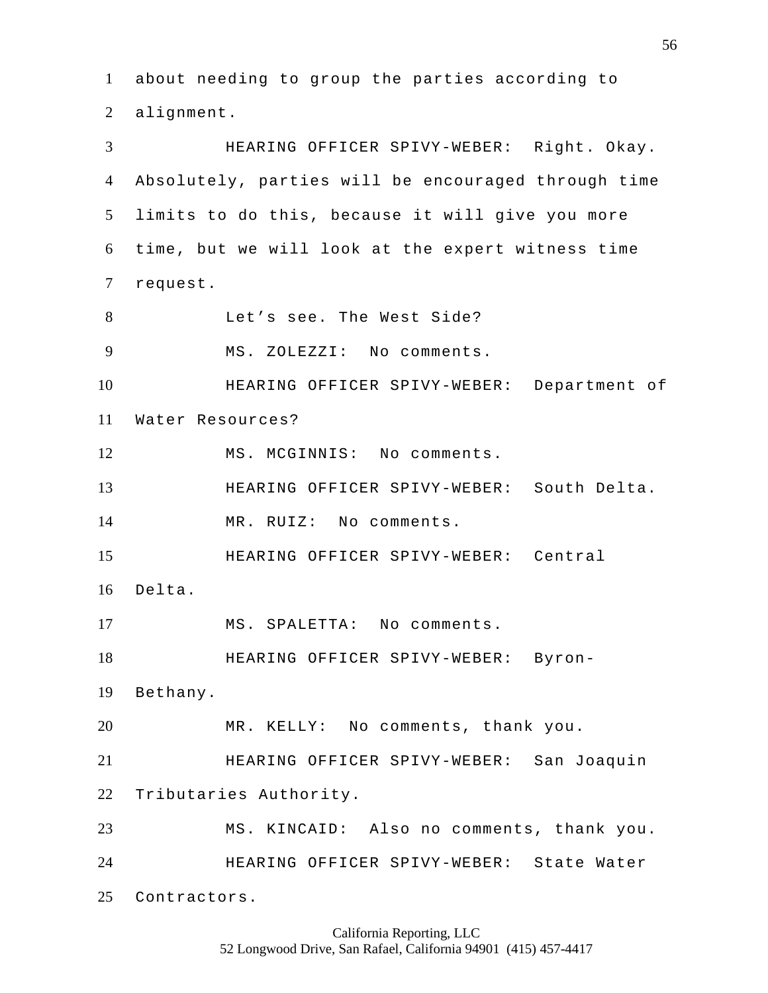about needing to group the parties according to alignment. HEARING OFFICER SPIVY-WEBER: Right. Okay. Absolutely, parties will be encouraged through time limits to do this, because it will give you more time, but we will look at the expert witness time request. Let's see. The West Side? MS. ZOLEZZI: No comments. HEARING OFFICER SPIVY-WEBER: Department of Water Resources? 12 MS. MCGINNIS: No comments. HEARING OFFICER SPIVY-WEBER: South Delta. MR. RUIZ: No comments. HEARING OFFICER SPIVY-WEBER: Central Delta. MS. SPALETTA: No comments. HEARING OFFICER SPIVY-WEBER: Byron- Bethany. MR. KELLY: No comments, thank you. HEARING OFFICER SPIVY-WEBER: San Joaquin Tributaries Authority. MS. KINCAID: Also no comments, thank you. HEARING OFFICER SPIVY-WEBER: State Water Contractors.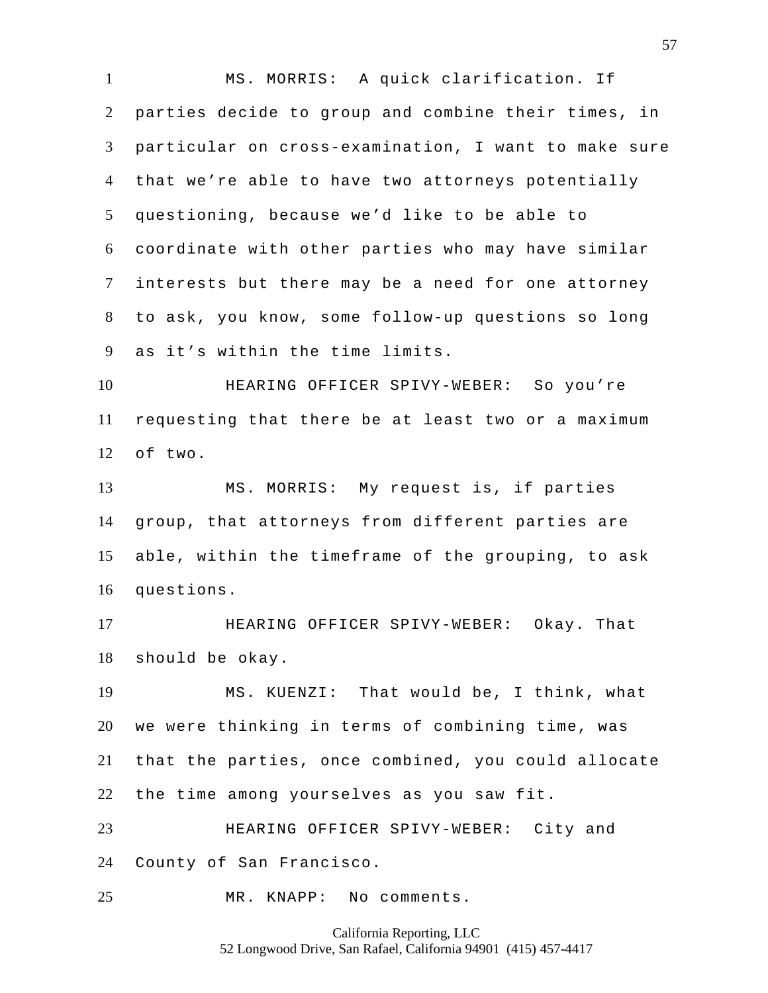MS. MORRIS: A quick clarification. If parties decide to group and combine their times, in particular on cross-examination, I want to make sure that we're able to have two attorneys potentially questioning, because we'd like to be able to coordinate with other parties who may have similar interests but there may be a need for one attorney to ask, you know, some follow-up questions so long as it's within the time limits. HEARING OFFICER SPIVY-WEBER: So you're requesting that there be at least two or a maximum of two. MS. MORRIS: My request is, if parties group, that attorneys from different parties are able, within the timeframe of the grouping, to ask questions. HEARING OFFICER SPIVY-WEBER: Okay. That should be okay. MS. KUENZI: That would be, I think, what we were thinking in terms of combining time, was that the parties, once combined, you could allocate the time among yourselves as you saw fit. HEARING OFFICER SPIVY-WEBER: City and County of San Francisco. MR. KNAPP: No comments.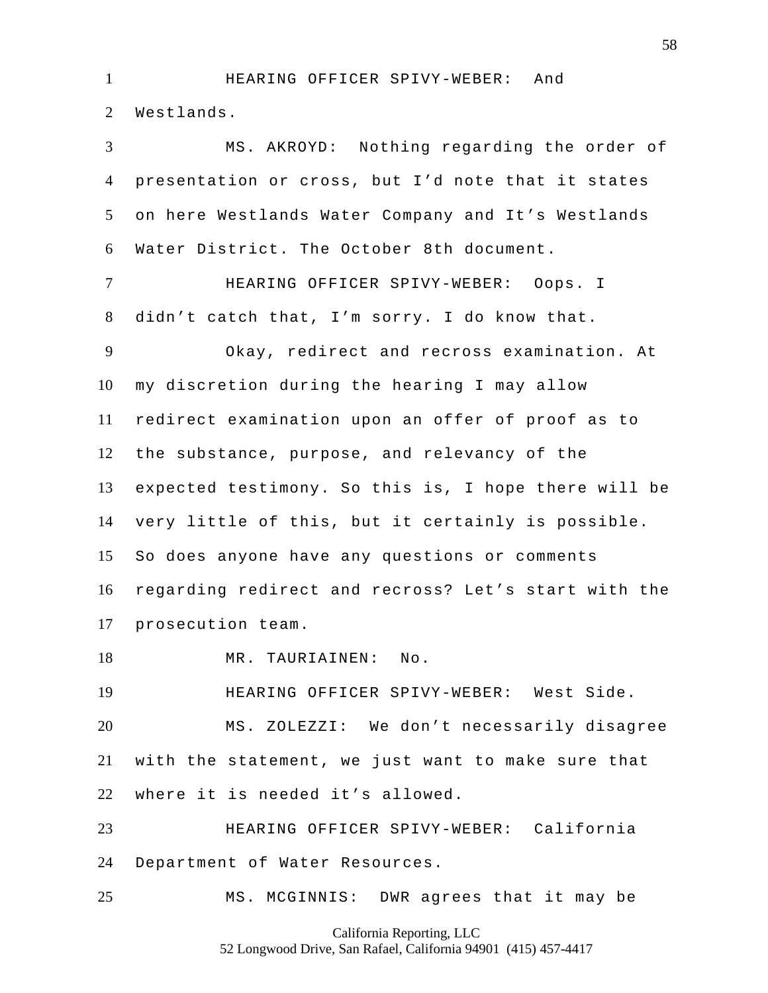HEARING OFFICER SPIVY-WEBER: And Westlands.

 MS. AKROYD: Nothing regarding the order of presentation or cross, but I'd note that it states on here Westlands Water Company and It's Westlands Water District. The October 8th document. HEARING OFFICER SPIVY-WEBER: Oops. I didn't catch that, I'm sorry. I do know that. Okay, redirect and recross examination. At my discretion during the hearing I may allow redirect examination upon an offer of proof as to the substance, purpose, and relevancy of the expected testimony. So this is, I hope there will be very little of this, but it certainly is possible. So does anyone have any questions or comments regarding redirect and recross? Let's start with the prosecution team. MR. TAURIAINEN: No.

HEARING OFFICER SPIVY-WEBER: West Side.

 MS. ZOLEZZI: We don't necessarily disagree with the statement, we just want to make sure that where it is needed it's allowed.

 HEARING OFFICER SPIVY-WEBER: California Department of Water Resources.

MS. MCGINNIS: DWR agrees that it may be

California Reporting, LLC 52 Longwood Drive, San Rafael, California 94901 (415) 457-4417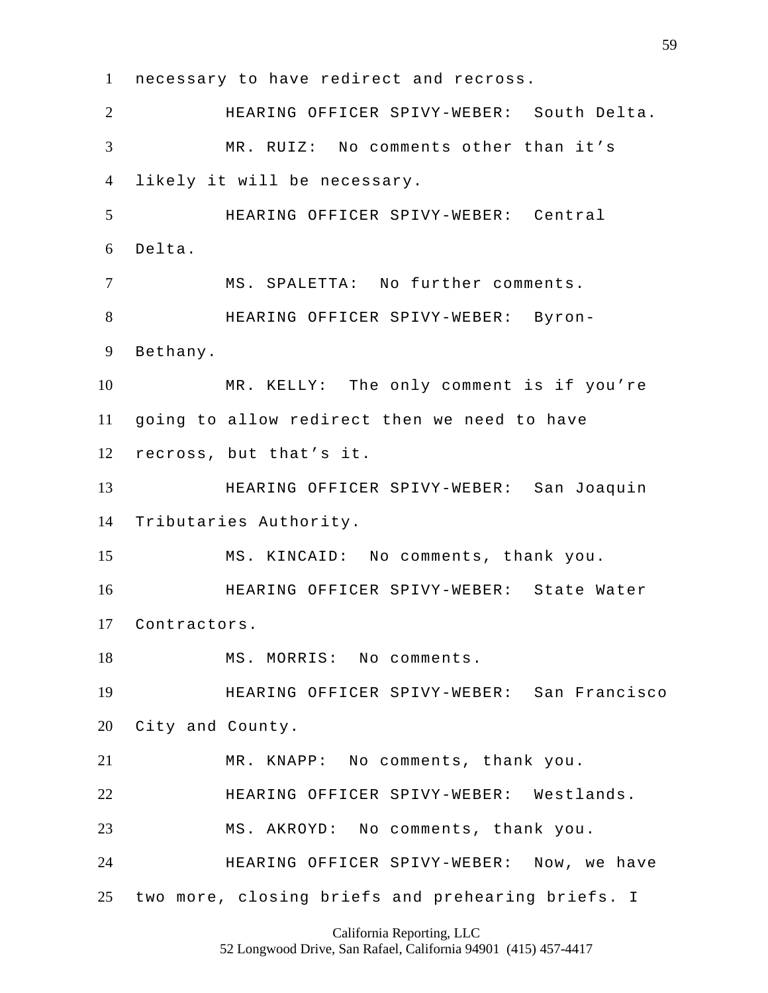necessary to have redirect and recross. HEARING OFFICER SPIVY-WEBER: South Delta. MR. RUIZ: No comments other than it's likely it will be necessary. HEARING OFFICER SPIVY-WEBER: Central Delta. MS. SPALETTA: No further comments. HEARING OFFICER SPIVY-WEBER: Byron- Bethany. MR. KELLY: The only comment is if you're going to allow redirect then we need to have recross, but that's it. HEARING OFFICER SPIVY-WEBER: San Joaquin Tributaries Authority. MS. KINCAID: No comments, thank you. HEARING OFFICER SPIVY-WEBER: State Water Contractors. 18 MS. MORRIS: No comments. HEARING OFFICER SPIVY-WEBER: San Francisco City and County. MR. KNAPP: No comments, thank you. HEARING OFFICER SPIVY-WEBER: Westlands. MS. AKROYD: No comments, thank you. HEARING OFFICER SPIVY-WEBER: Now, we have two more, closing briefs and prehearing briefs. I

California Reporting, LLC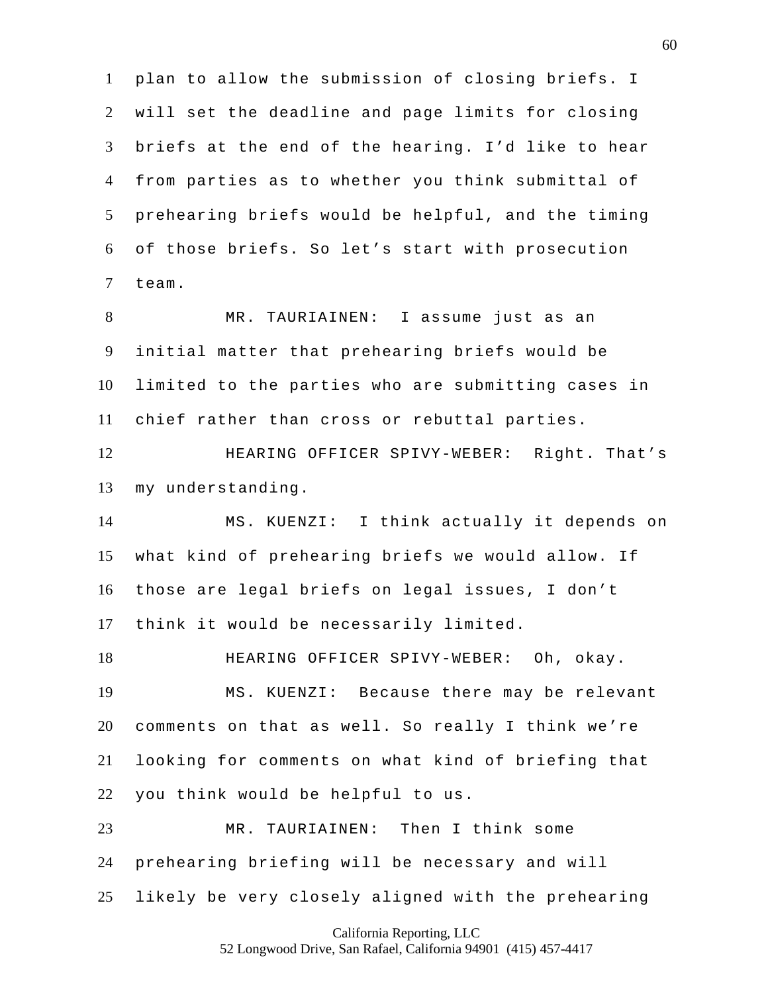plan to allow the submission of closing briefs. I will set the deadline and page limits for closing briefs at the end of the hearing. I'd like to hear from parties as to whether you think submittal of prehearing briefs would be helpful, and the timing of those briefs. So let's start with prosecution team.

 MR. TAURIAINEN: I assume just as an initial matter that prehearing briefs would be limited to the parties who are submitting cases in chief rather than cross or rebuttal parties.

 HEARING OFFICER SPIVY-WEBER: Right. That's my understanding.

 MS. KUENZI: I think actually it depends on what kind of prehearing briefs we would allow. If those are legal briefs on legal issues, I don't think it would be necessarily limited.

 HEARING OFFICER SPIVY-WEBER: Oh, okay. MS. KUENZI: Because there may be relevant comments on that as well. So really I think we're looking for comments on what kind of briefing that you think would be helpful to us.

 MR. TAURIAINEN: Then I think some prehearing briefing will be necessary and will likely be very closely aligned with the prehearing

California Reporting, LLC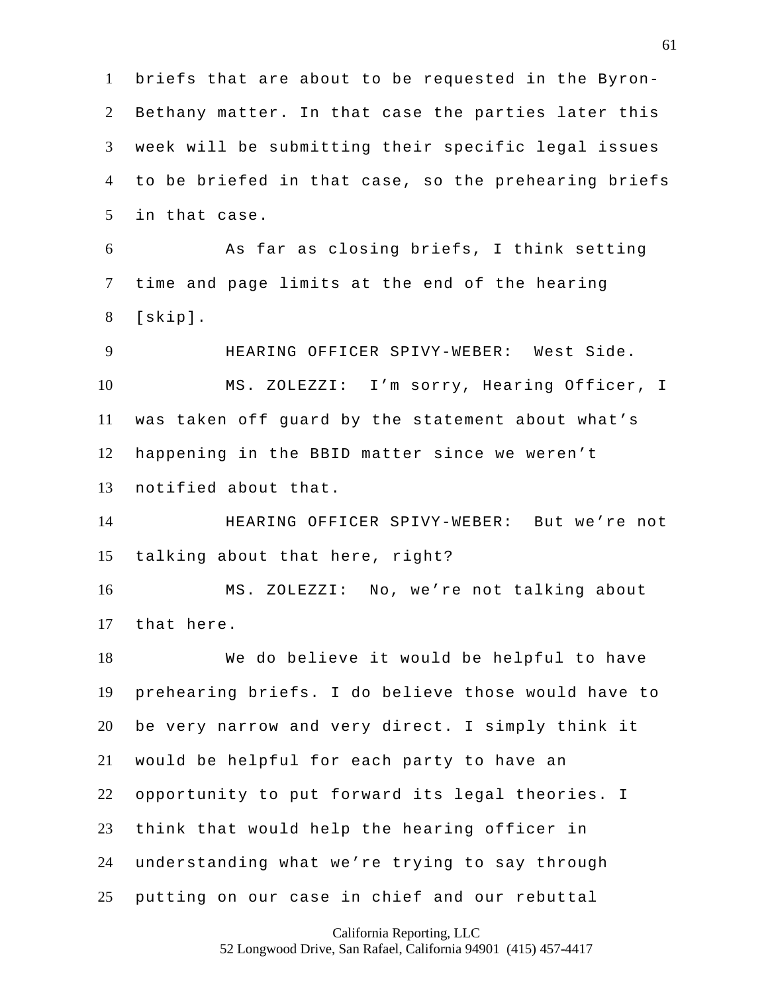briefs that are about to be requested in the Byron- Bethany matter. In that case the parties later this week will be submitting their specific legal issues to be briefed in that case, so the prehearing briefs in that case.

 As far as closing briefs, I think setting time and page limits at the end of the hearing [skip].

 HEARING OFFICER SPIVY-WEBER: West Side. MS. ZOLEZZI: I'm sorry, Hearing Officer, I was taken off guard by the statement about what's happening in the BBID matter since we weren't notified about that.

 HEARING OFFICER SPIVY-WEBER: But we're not talking about that here, right?

 MS. ZOLEZZI: No, we're not talking about that here.

 We do believe it would be helpful to have prehearing briefs. I do believe those would have to be very narrow and very direct. I simply think it would be helpful for each party to have an opportunity to put forward its legal theories. I think that would help the hearing officer in understanding what we're trying to say through putting on our case in chief and our rebuttal

California Reporting, LLC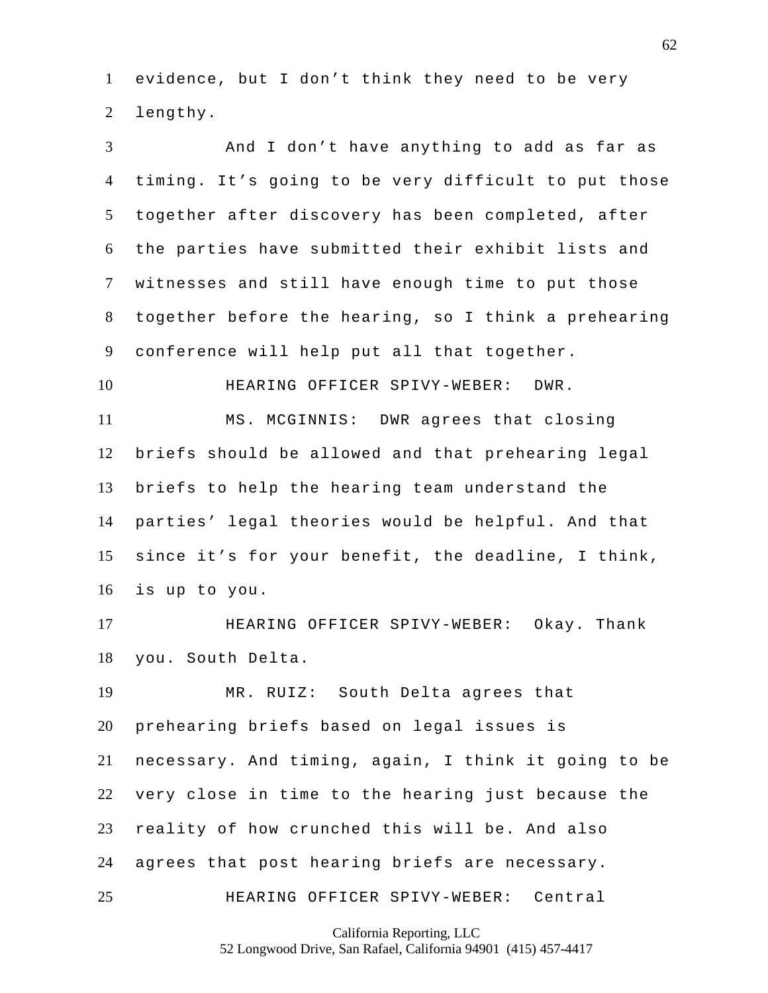evidence, but I don't think they need to be very lengthy.

 And I don't have anything to add as far as timing. It's going to be very difficult to put those together after discovery has been completed, after the parties have submitted their exhibit lists and witnesses and still have enough time to put those together before the hearing, so I think a prehearing conference will help put all that together.

HEARING OFFICER SPIVY-WEBER: DWR.

 MS. MCGINNIS: DWR agrees that closing briefs should be allowed and that prehearing legal briefs to help the hearing team understand the parties' legal theories would be helpful. And that since it's for your benefit, the deadline, I think, is up to you.

 HEARING OFFICER SPIVY-WEBER: Okay. Thank you. South Delta.

 MR. RUIZ: South Delta agrees that prehearing briefs based on legal issues is necessary. And timing, again, I think it going to be very close in time to the hearing just because the reality of how crunched this will be. And also agrees that post hearing briefs are necessary. HEARING OFFICER SPIVY-WEBER: Central

California Reporting, LLC

52 Longwood Drive, San Rafael, California 94901 (415) 457-4417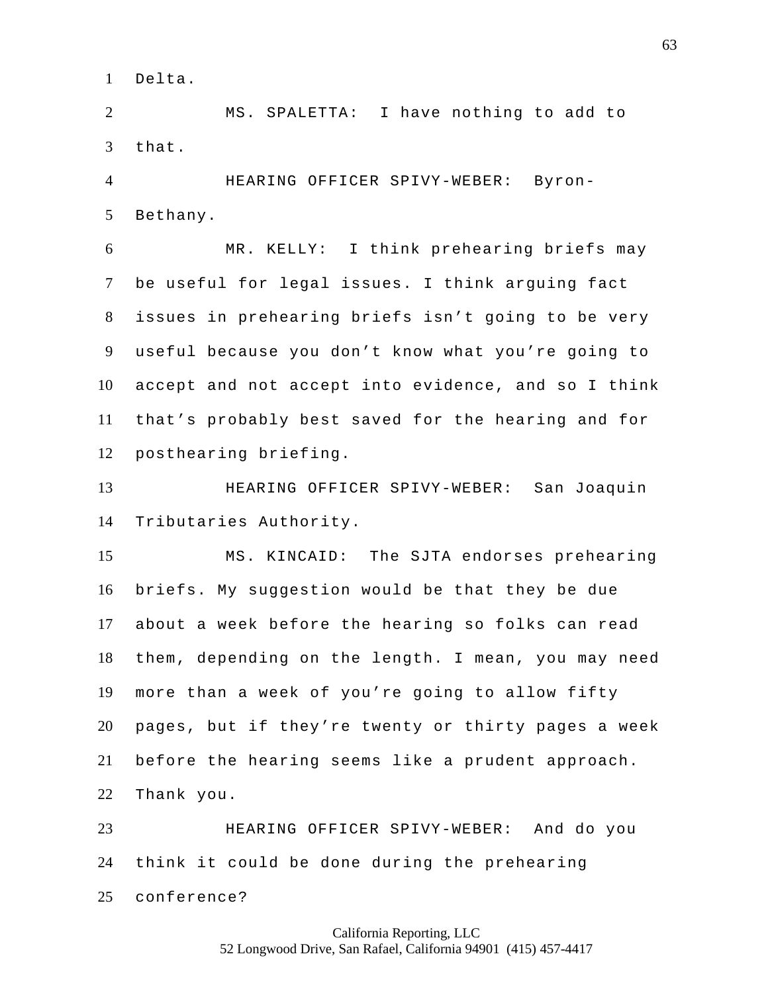Delta.

 MS. SPALETTA: I have nothing to add to that.

 HEARING OFFICER SPIVY-WEBER: Byron-Bethany.

 MR. KELLY: I think prehearing briefs may be useful for legal issues. I think arguing fact issues in prehearing briefs isn't going to be very useful because you don't know what you're going to accept and not accept into evidence, and so I think that's probably best saved for the hearing and for posthearing briefing.

 HEARING OFFICER SPIVY-WEBER: San Joaquin Tributaries Authority.

 MS. KINCAID: The SJTA endorses prehearing briefs. My suggestion would be that they be due about a week before the hearing so folks can read them, depending on the length. I mean, you may need more than a week of you're going to allow fifty pages, but if they're twenty or thirty pages a week before the hearing seems like a prudent approach. Thank you.

 HEARING OFFICER SPIVY-WEBER: And do you think it could be done during the prehearing conference?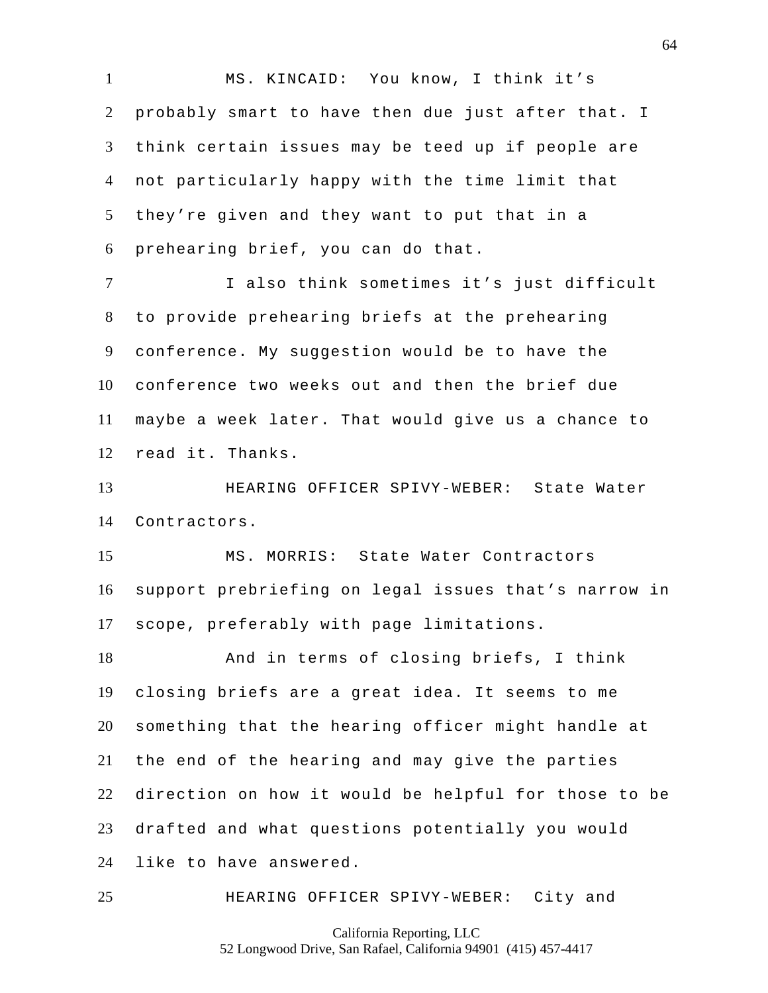MS. KINCAID: You know, I think it's probably smart to have then due just after that. I think certain issues may be teed up if people are not particularly happy with the time limit that they're given and they want to put that in a prehearing brief, you can do that.

 I also think sometimes it's just difficult to provide prehearing briefs at the prehearing conference. My suggestion would be to have the conference two weeks out and then the brief due maybe a week later. That would give us a chance to read it. Thanks.

 HEARING OFFICER SPIVY-WEBER: State Water Contractors.

 MS. MORRIS: State Water Contractors support prebriefing on legal issues that's narrow in scope, preferably with page limitations.

 And in terms of closing briefs, I think closing briefs are a great idea. It seems to me something that the hearing officer might handle at the end of the hearing and may give the parties direction on how it would be helpful for those to be drafted and what questions potentially you would like to have answered.

HEARING OFFICER SPIVY-WEBER: City and

California Reporting, LLC

52 Longwood Drive, San Rafael, California 94901 (415) 457-4417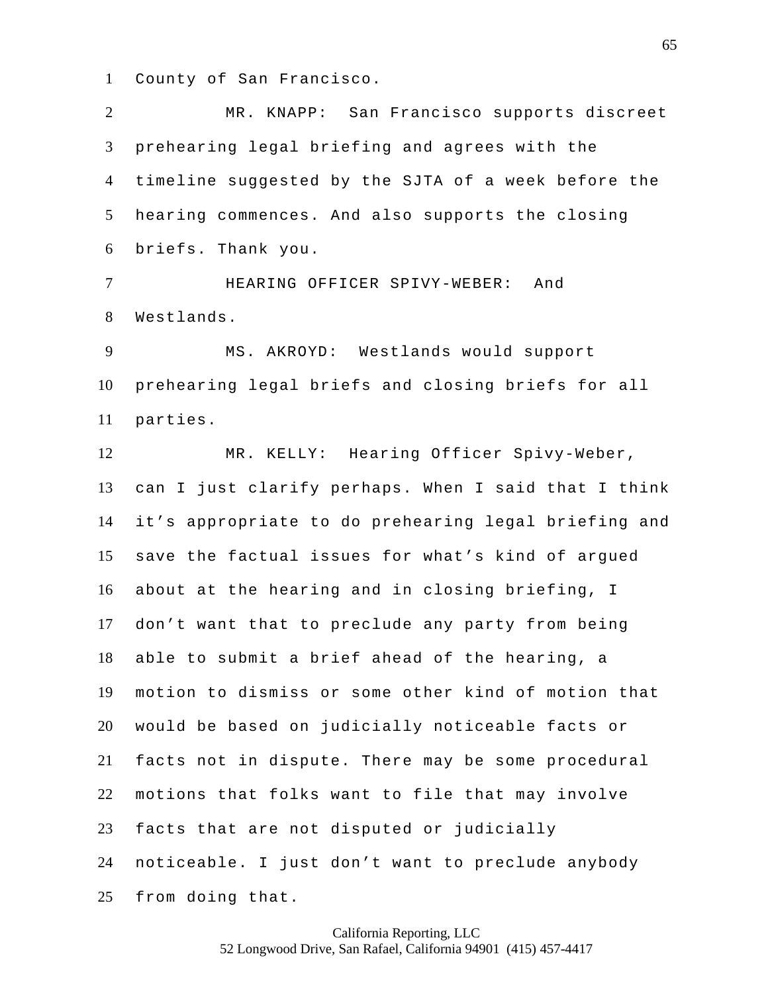County of San Francisco.

 MR. KNAPP: San Francisco supports discreet prehearing legal briefing and agrees with the timeline suggested by the SJTA of a week before the hearing commences. And also supports the closing briefs. Thank you. HEARING OFFICER SPIVY-WEBER: And Westlands. MS. AKROYD: Westlands would support prehearing legal briefs and closing briefs for all parties. MR. KELLY: Hearing Officer Spivy-Weber, can I just clarify perhaps. When I said that I think it's appropriate to do prehearing legal briefing and save the factual issues for what's kind of argued about at the hearing and in closing briefing, I don't want that to preclude any party from being able to submit a brief ahead of the hearing, a motion to dismiss or some other kind of motion that would be based on judicially noticeable facts or facts not in dispute. There may be some procedural motions that folks want to file that may involve facts that are not disputed or judicially noticeable. I just don't want to preclude anybody from doing that.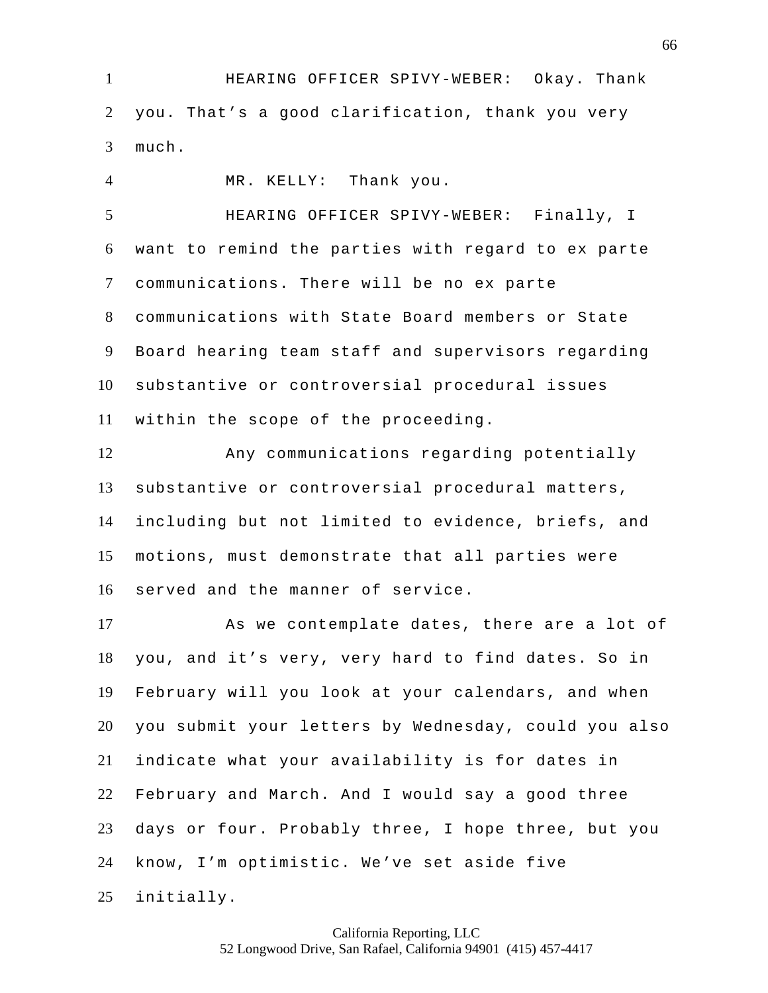HEARING OFFICER SPIVY-WEBER: Okay. Thank you. That's a good clarification, thank you very much.

 MR. KELLY: Thank you. HEARING OFFICER SPIVY-WEBER: Finally, I want to remind the parties with regard to ex parte communications. There will be no ex parte communications with State Board members or State Board hearing team staff and supervisors regarding substantive or controversial procedural issues within the scope of the proceeding.

 Any communications regarding potentially substantive or controversial procedural matters, including but not limited to evidence, briefs, and motions, must demonstrate that all parties were served and the manner of service.

 As we contemplate dates, there are a lot of you, and it's very, very hard to find dates. So in February will you look at your calendars, and when you submit your letters by Wednesday, could you also indicate what your availability is for dates in February and March. And I would say a good three days or four. Probably three, I hope three, but you know, I'm optimistic. We've set aside five initially.

> California Reporting, LLC 52 Longwood Drive, San Rafael, California 94901 (415) 457-4417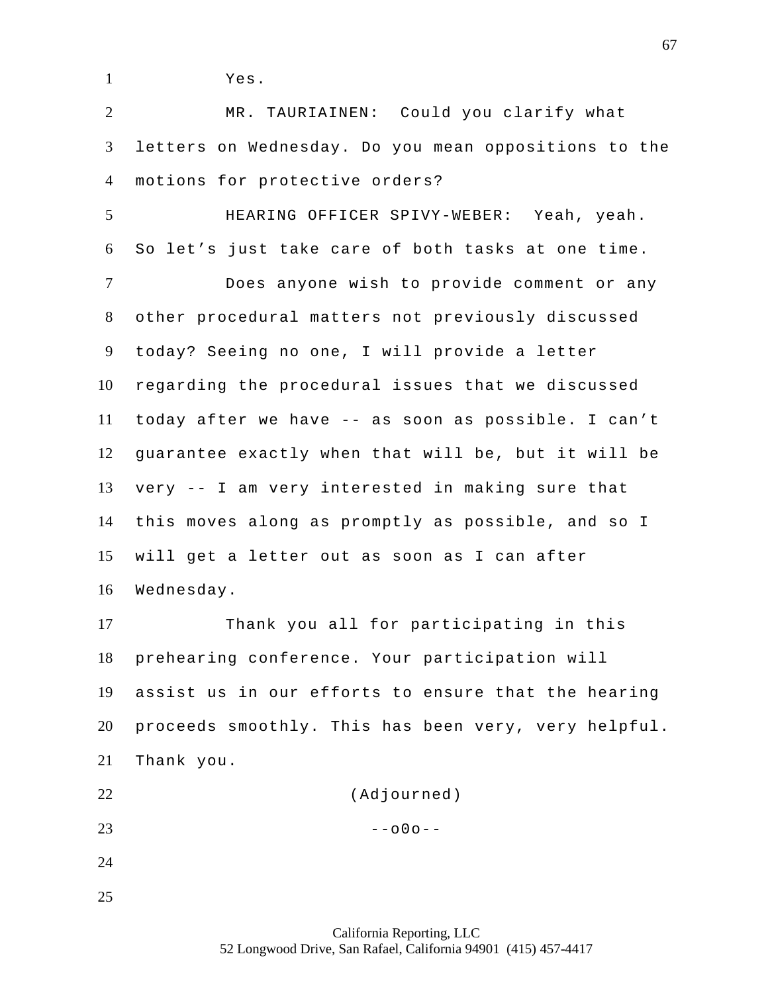Yes.

 MR. TAURIAINEN: Could you clarify what letters on Wednesday. Do you mean oppositions to the motions for protective orders?

 HEARING OFFICER SPIVY-WEBER: Yeah, yeah. So let's just take care of both tasks at one time. Does anyone wish to provide comment or any other procedural matters not previously discussed today? Seeing no one, I will provide a letter regarding the procedural issues that we discussed today after we have -- as soon as possible. I can't guarantee exactly when that will be, but it will be very -- I am very interested in making sure that this moves along as promptly as possible, and so I will get a letter out as soon as I can after Wednesday.

 Thank you all for participating in this prehearing conference. Your participation will assist us in our efforts to ensure that the hearing proceeds smoothly. This has been very, very helpful. Thank you.

 (Adjourned) 23  $-000 -$